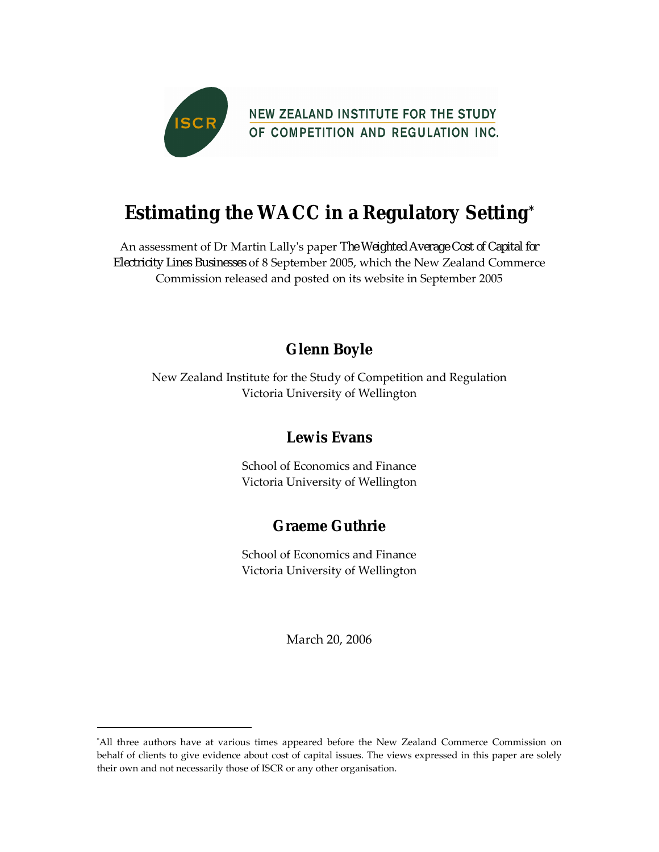

# **Estimating the WACC in a Regulatory Setting\***

An assessment of Dr Martin Lallyʹs paper *The Weighted Average Cost of Capital for Electricity Lines Businesses* of 8 September 2005, which the New Zealand Commerce Commission released and posted on its website in September 2005

## **Glenn Boyle**

New Zealand Institute for the Study of Competition and Regulation Victoria University of Wellington

## **Lewis Evans**

School of Economics and Finance Victoria University of Wellington

## **Graeme Guthrie**

School of Economics and Finance Victoria University of Wellington

March 20, 2006

 $\overline{a}$ 

<sup>\*</sup> All three authors have at various times appeared before the New Zealand Commerce Commission on behalf of clients to give evidence about cost of capital issues. The views expressed in this paper are solely their own and not necessarily those of ISCR or any other organisation.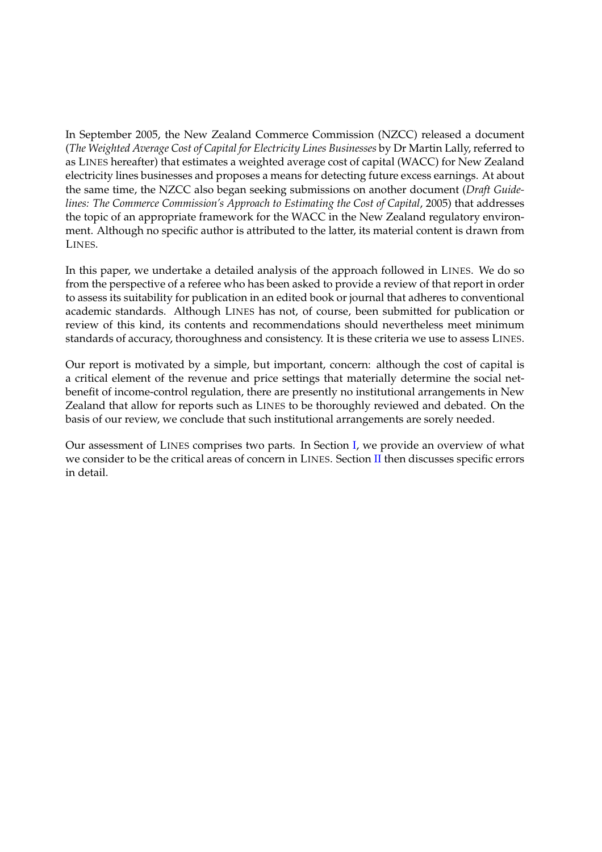In September 2005, the New Zealand Commerce Commission (NZCC) released a document (*The Weighted Average Cost of Capital for Electricity Lines Businesses* by Dr Martin Lally, referred to as LINES hereafter) that estimates a weighted average cost of capital (WACC) for New Zealand electricity lines businesses and proposes a means for detecting future excess earnings. At about the same time, the NZCC also began seeking submissions on another document (*Draft Guidelines: The Commerce Commission's Approach to Estimating the Cost of Capital*, 2005) that addresses the topic of an appropriate framework for the WACC in the New Zealand regulatory environment. Although no specific author is attributed to the latter, its material content is drawn from LINES.

In this paper, we undertake a detailed analysis of the approach followed in LINES. We do so from the perspective of a referee who has been asked to provide a review of that report in order to assess its suitability for publication in an edited book or journal that adheres to conventional academic standards. Although LINES has not, of course, been submitted for publication or review of this kind, its contents and recommendations should nevertheless meet minimum standards of accuracy, thoroughness and consistency. It is these criteria we use to assess LINES.

Our report is motivated by a simple, but important, concern: although the cost of capital is a critical element of the revenue and price settings that materially determine the social netbenefit of income-control regulation, there are presently no institutional arrangements in New Zealand that allow for reports such as LINES to be thoroughly reviewed and debated. On the basis of our review, we conclude that such institutional arrangements are sorely needed.

Our assessment of LINES comprises two parts. In Section [I,](#page-2-0) we provide an overview of what we consider to be the critical areas of concern in LINES. Section [II](#page-10-0) then discusses specific errors in detail.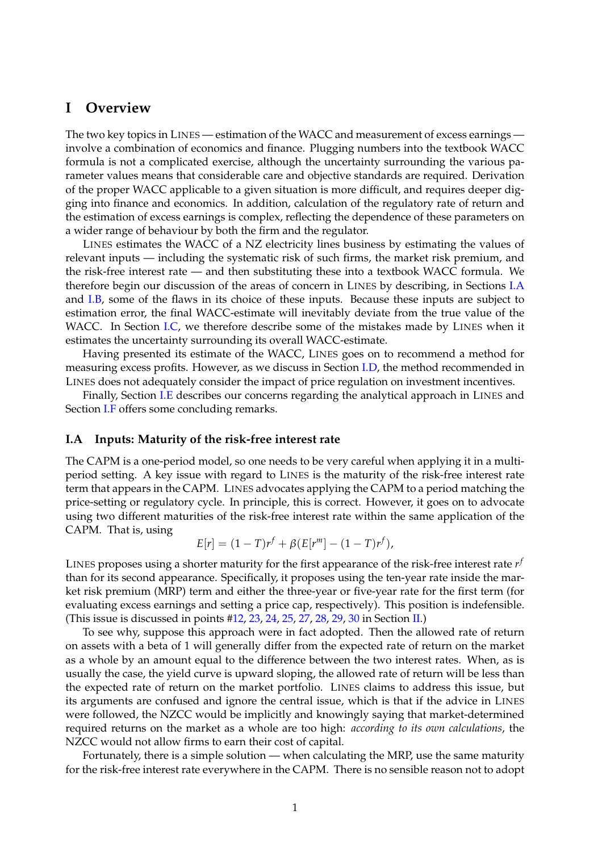## <span id="page-2-0"></span>**I Overview**

The two key topics in LINES — estimation of the WACC and measurement of excess earnings involve a combination of economics and finance. Plugging numbers into the textbook WACC formula is not a complicated exercise, although the uncertainty surrounding the various parameter values means that considerable care and objective standards are required. Derivation of the proper WACC applicable to a given situation is more difficult, and requires deeper digging into finance and economics. In addition, calculation of the regulatory rate of return and the estimation of excess earnings is complex, reflecting the dependence of these parameters on a wider range of behaviour by both the firm and the regulator.

LINES estimates the WACC of a NZ electricity lines business by estimating the values of relevant inputs — including the systematic risk of such firms, the market risk premium, and the risk-free interest rate — and then substituting these into a textbook WACC formula. We therefore begin our discussion of the areas of concern in LINES by describing, in Sections [I.A](#page-2-1) and [I.B,](#page-3-0) some of the flaws in its choice of these inputs. Because these inputs are subject to estimation error, the final WACC-estimate will inevitably deviate from the true value of the WACC. In Section [I.C,](#page-6-0) we therefore describe some of the mistakes made by LINES when it estimates the uncertainty surrounding its overall WACC-estimate.

Having presented its estimate of the WACC, LINES goes on to recommend a method for measuring excess profits. However, as we discuss in Section [I.D,](#page-7-0) the method recommended in LINES does not adequately consider the impact of price regulation on investment incentives.

Finally, Section [I.E](#page-8-0) describes our concerns regarding the analytical approach in LINES and Section [I.F](#page-9-0) offers some concluding remarks.

#### <span id="page-2-1"></span>**I.A Inputs: Maturity of the risk-free interest rate**

The CAPM is a one-period model, so one needs to be very careful when applying it in a multiperiod setting. A key issue with regard to LINES is the maturity of the risk-free interest rate term that appears in the CAPM. LINES advocates applying the CAPM to a period matching the price-setting or regulatory cycle. In principle, this is correct. However, it goes on to advocate using two different maturities of the risk-free interest rate within the same application of the CAPM. That is, using

$$
E[r] = (1 - T)r^{f} + \beta(E[r^{m}] - (1 - T)r^{f}),
$$

LINES proposes using a shorter maturity for the first appearance of the risk-free interest rate *r f* than for its second appearance. Specifically, it proposes using the ten-year rate inside the market risk premium (MRP) term and either the three-year or five-year rate for the first term (for evaluating excess earnings and setting a price cap, respectively). This position is indefensible. (This issue is discussed in points [#12,](#page-13-0) [23,](#page-16-0) [24,](#page-17-0) [25,](#page-17-1) [27,](#page-18-0) [28,](#page-19-0) [29,](#page-20-0) [30](#page-20-1) in Section [II.](#page-10-0))

To see why, suppose this approach were in fact adopted. Then the allowed rate of return on assets with a beta of 1 will generally differ from the expected rate of return on the market as a whole by an amount equal to the difference between the two interest rates. When, as is usually the case, the yield curve is upward sloping, the allowed rate of return will be less than the expected rate of return on the market portfolio. LINES claims to address this issue, but its arguments are confused and ignore the central issue, which is that if the advice in LINES were followed, the NZCC would be implicitly and knowingly saying that market-determined required returns on the market as a whole are too high: *according to its own calculations*, the NZCC would not allow firms to earn their cost of capital.

Fortunately, there is a simple solution — when calculating the MRP, use the same maturity for the risk-free interest rate everywhere in the CAPM. There is no sensible reason not to adopt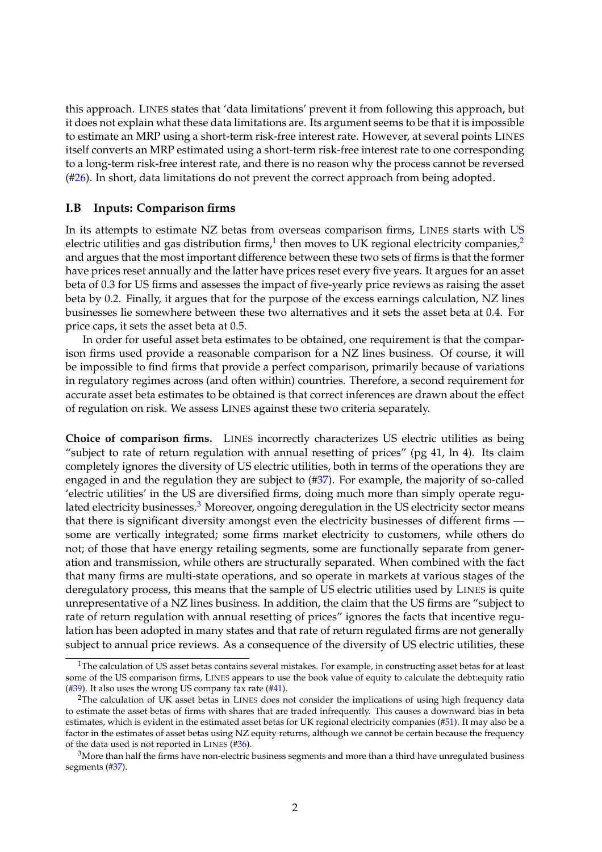this approach. LINES states that 'data limitations' prevent it from following this approach, but it does not explain what these data limitations are. Its argument seems to be that it is impossible to estimate an MRP using a short-term risk-free interest rate. However, at several points LINES itself converts an MRP estimated using a short-term risk-free interest rate to one corresponding to a long-term risk-free interest rate, and there is no reason why the process cannot be reversed  $(H26)$ . In short, data limitations do not prevent the correct approach from being adopted.

## <span id="page-3-0"></span>**I.B Inputs: Comparison firms**

In its attempts to estimate NZ betas from overseas comparison firms, LINES starts with US electric utilities and gas distribution firms, $^1$  $^1$  then moves to UK regional electricity companies, $^2$  $^2$ and argues that the most important difference between these two sets of firms is that the former have prices reset annually and the latter have prices reset every five years. It argues for an asset beta of 0.3 for US firms and assesses the impact of five-yearly price reviews as raising the asset beta by 0.2. Finally, it argues that for the purpose of the excess earnings calculation, NZ lines businesses lie somewhere between these two alternatives and it sets the asset beta at 0.4. For price caps, it sets the asset beta at 0.5.

In order for useful asset beta estimates to be obtained, one requirement is that the comparison firms used provide a reasonable comparison for a NZ lines business. Of course, it will be impossible to find firms that provide a perfect comparison, primarily because of variations in regulatory regimes across (and often within) countries. Therefore, a second requirement for accurate asset beta estimates to be obtained is that correct inferences are drawn about the effect of regulation on risk. We assess LINES against these two criteria separately.

**Choice of comparison firms.** LINES incorrectly characterizes US electric utilities as being "subject to rate of return regulation with annual resetting of prices" (pg 41, ln 4). Its claim completely ignores the diversity of US electric utilities, both in terms of the operations they are engaged in and the regulation they are subject to ([#37\)](#page-22-0). For example, the majority of so-called 'electric utilities' in the US are diversified firms, doing much more than simply operate regu-lated electricity businesses.<sup>[3](#page-3-3)</sup> Moreover, ongoing deregulation in the US electricity sector means that there is significant diversity amongst even the electricity businesses of different firms some are vertically integrated; some firms market electricity to customers, while others do not; of those that have energy retailing segments, some are functionally separate from generation and transmission, while others are structurally separated. When combined with the fact that many firms are multi-state operations, and so operate in markets at various stages of the deregulatory process, this means that the sample of US electric utilities used by LINES is quite unrepresentative of a NZ lines business. In addition, the claim that the US firms are "subject to rate of return regulation with annual resetting of prices" ignores the facts that incentive regulation has been adopted in many states and that rate of return regulated firms are not generally subject to annual price reviews. As a consequence of the diversity of US electric utilities, these

<span id="page-3-1"></span><sup>&</sup>lt;sup>1</sup>The calculation of US asset betas contains several mistakes. For example, in constructing asset betas for at least some of the US comparison firms, LINES appears to use the book value of equity to calculate the debt:equity ratio  $(\text{\#39})$ . It also uses the wrong US company tax rate ( $\text{\#41}$ ).

<span id="page-3-2"></span> $2$ The calculation of UK asset betas in LINES does not consider the implications of using high frequency data to estimate the asset betas of firms with shares that are traded infrequently. This causes a downward bias in beta estimates, which is evident in the estimated asset betas for UK regional electricity companies ([#51\)](#page-26-0). It may also be a factor in the estimates of asset betas using NZ equity returns, although we cannot be certain because the frequency of the data used is not reported in LINES ([#36\)](#page-22-1).

<span id="page-3-3"></span> $3$ More than half the firms have non-electric business segments and more than a third have unregulated business segments ([#37\)](#page-22-0).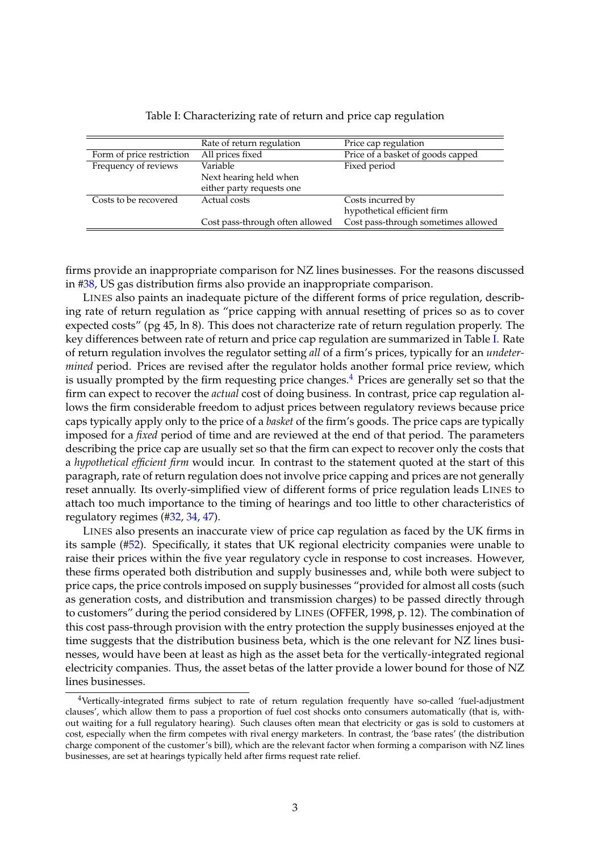<span id="page-4-0"></span>

|                           | Rate of return regulation       | Price cap regulation                |  |
|---------------------------|---------------------------------|-------------------------------------|--|
| Form of price restriction | All prices fixed                | Price of a basket of goods capped   |  |
| Frequency of reviews      | Variable                        | Fixed period                        |  |
|                           | Next hearing held when          |                                     |  |
|                           | either party requests one       |                                     |  |
| Costs to be recovered     | Actual costs                    | Costs incurred by                   |  |
|                           |                                 | hypothetical efficient firm         |  |
|                           | Cost pass-through often allowed | Cost pass-through sometimes allowed |  |

Table I: Characterizing rate of return and price cap regulation

firms provide an inappropriate comparison for NZ lines businesses. For the reasons discussed in [#38,](#page-23-0) US gas distribution firms also provide an inappropriate comparison.

LINES also paints an inadequate picture of the different forms of price regulation, describing rate of return regulation as "price capping with annual resetting of prices so as to cover expected costs" (pg 45, ln 8). This does not characterize rate of return regulation properly. The key differences between rate of return and price cap regulation are summarized in Table [I.](#page-4-0) Rate of return regulation involves the regulator setting *all* of a firm's prices, typically for an *undetermined* period. Prices are revised after the regulator holds another formal price review, which is usually prompted by the firm requesting price changes.<sup>[4](#page-4-1)</sup> Prices are generally set so that the firm can expect to recover the *actual* cost of doing business. In contrast, price cap regulation allows the firm considerable freedom to adjust prices between regulatory reviews because price caps typically apply only to the price of a *basket* of the firm's goods. The price caps are typically imposed for a *fixed* period of time and are reviewed at the end of that period. The parameters describing the price cap are usually set so that the firm can expect to recover only the costs that a *hypothetical efficient firm* would incur. In contrast to the statement quoted at the start of this paragraph, rate of return regulation does not involve price capping and prices are not generally reset annually. Its overly-simplified view of different forms of price regulation leads LINES to attach too much importance to the timing of hearings and too little to other characteristics of regulatory regimes ([#32,](#page-21-0) [34,](#page-22-2) [47\)](#page-25-0).

LINES also presents an inaccurate view of price cap regulation as faced by the UK firms in its sample ([#52\)](#page-27-0). Specifically, it states that UK regional electricity companies were unable to raise their prices within the five year regulatory cycle in response to cost increases. However, these firms operated both distribution and supply businesses and, while both were subject to price caps, the price controls imposed on supply businesses "provided for almost all costs (such as generation costs, and distribution and transmission charges) to be passed directly through to customers" during the period considered by LINES (OFFER, 1998, p. 12). The combination of this cost pass-through provision with the entry protection the supply businesses enjoyed at the time suggests that the distribution business beta, which is the one relevant for NZ lines businesses, would have been at least as high as the asset beta for the vertically-integrated regional electricity companies. Thus, the asset betas of the latter provide a lower bound for those of NZ lines businesses.

<span id="page-4-1"></span><sup>&</sup>lt;sup>4</sup>Vertically-integrated firms subject to rate of return regulation frequently have so-called 'fuel-adjustment clauses', which allow them to pass a proportion of fuel cost shocks onto consumers automatically (that is, without waiting for a full regulatory hearing). Such clauses often mean that electricity or gas is sold to customers at cost, especially when the firm competes with rival energy marketers. In contrast, the 'base rates' (the distribution charge component of the customer's bill), which are the relevant factor when forming a comparison with NZ lines businesses, are set at hearings typically held after firms request rate relief.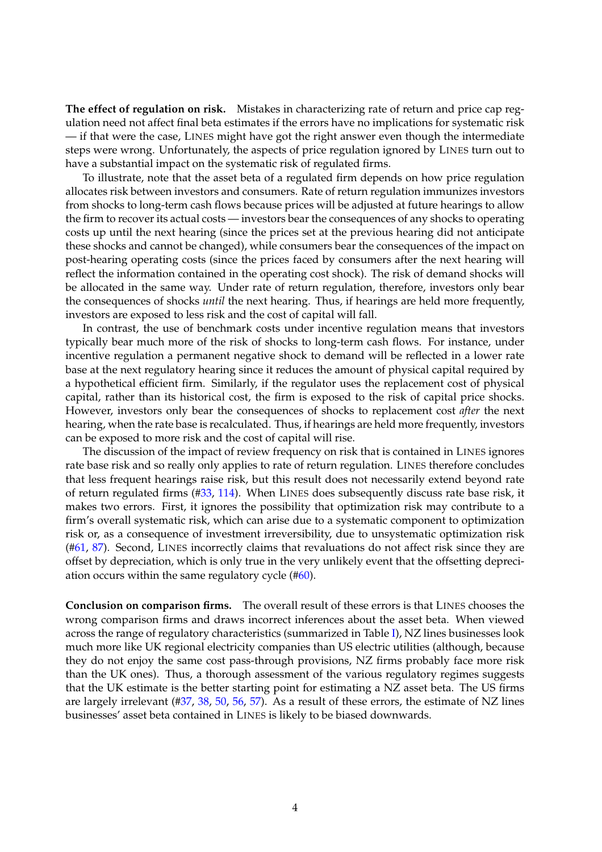**The effect of regulation on risk.** Mistakes in characterizing rate of return and price cap regulation need not affect final beta estimates if the errors have no implications for systematic risk — if that were the case, LINES might have got the right answer even though the intermediate steps were wrong. Unfortunately, the aspects of price regulation ignored by LINES turn out to have a substantial impact on the systematic risk of regulated firms.

To illustrate, note that the asset beta of a regulated firm depends on how price regulation allocates risk between investors and consumers. Rate of return regulation immunizes investors from shocks to long-term cash flows because prices will be adjusted at future hearings to allow the firm to recover its actual costs — investors bear the consequences of any shocks to operating costs up until the next hearing (since the prices set at the previous hearing did not anticipate these shocks and cannot be changed), while consumers bear the consequences of the impact on post-hearing operating costs (since the prices faced by consumers after the next hearing will reflect the information contained in the operating cost shock). The risk of demand shocks will be allocated in the same way. Under rate of return regulation, therefore, investors only bear the consequences of shocks *until* the next hearing. Thus, if hearings are held more frequently, investors are exposed to less risk and the cost of capital will fall.

In contrast, the use of benchmark costs under incentive regulation means that investors typically bear much more of the risk of shocks to long-term cash flows. For instance, under incentive regulation a permanent negative shock to demand will be reflected in a lower rate base at the next regulatory hearing since it reduces the amount of physical capital required by a hypothetical efficient firm. Similarly, if the regulator uses the replacement cost of physical capital, rather than its historical cost, the firm is exposed to the risk of capital price shocks. However, investors only bear the consequences of shocks to replacement cost *after* the next hearing, when the rate base is recalculated. Thus, if hearings are held more frequently, investors can be exposed to more risk and the cost of capital will rise.

The discussion of the impact of review frequency on risk that is contained in LINES ignores rate base risk and so really only applies to rate of return regulation. LINES therefore concludes that less frequent hearings raise risk, but this result does not necessarily extend beyond rate of return regulated firms ([#33,](#page-21-1) [114\)](#page-46-0). When LINES does subsequently discuss rate base risk, it makes two errors. First, it ignores the possibility that optimization risk may contribute to a firm's overall systematic risk, which can arise due to a systematic component to optimization risk or, as a consequence of investment irreversibility, due to unsystematic optimization risk ([#61,](#page-31-0) [87\)](#page-37-0). Second, LINES incorrectly claims that revaluations do not affect risk since they are offset by depreciation, which is only true in the very unlikely event that the offsetting depreciation occurs within the same regulatory cycle  $(\#60)$  $(\#60)$ .

**Conclusion on comparison firms.** The overall result of these errors is that LINES chooses the wrong comparison firms and draws incorrect inferences about the asset beta. When viewed across the range of regulatory characteristics (summarized in Table [I\)](#page-4-0), NZ lines businesses look much more like UK regional electricity companies than US electric utilities (although, because they do not enjoy the same cost pass-through provisions, NZ firms probably face more risk than the UK ones). Thus, a thorough assessment of the various regulatory regimes suggests that the UK estimate is the better starting point for estimating a NZ asset beta. The US firms are largely irrelevant ([#37,](#page-22-0) [38,](#page-23-0) [50,](#page-26-1) [56,](#page-28-0) [57\)](#page-28-1). As a result of these errors, the estimate of NZ lines businesses' asset beta contained in LINES is likely to be biased downwards.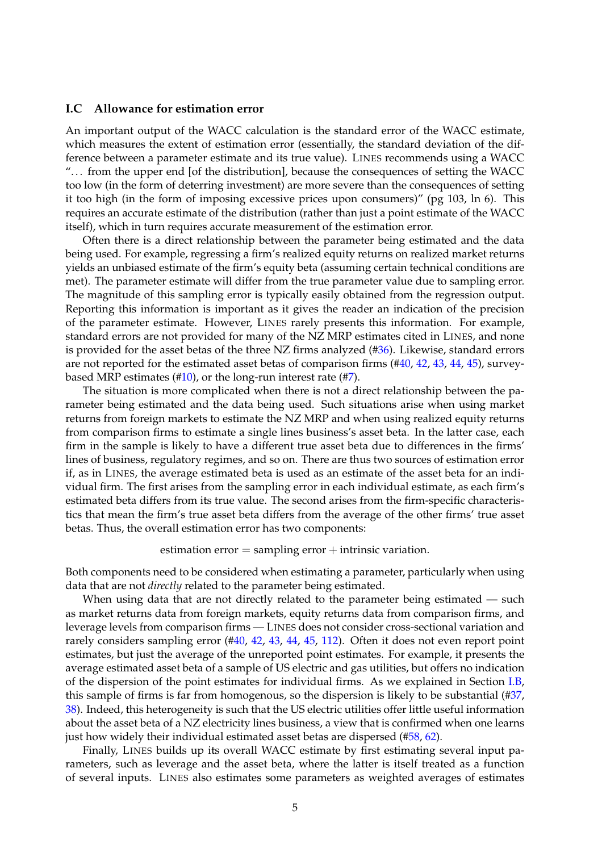#### <span id="page-6-0"></span>**I.C Allowance for estimation error**

An important output of the WACC calculation is the standard error of the WACC estimate, which measures the extent of estimation error (essentially, the standard deviation of the difference between a parameter estimate and its true value). LINES recommends using a WACC "... from the upper end [of the distribution], because the consequences of setting the WACC too low (in the form of deterring investment) are more severe than the consequences of setting it too high (in the form of imposing excessive prices upon consumers)" (pg 103, ln 6). This requires an accurate estimate of the distribution (rather than just a point estimate of the WACC itself), which in turn requires accurate measurement of the estimation error.

Often there is a direct relationship between the parameter being estimated and the data being used. For example, regressing a firm's realized equity returns on realized market returns yields an unbiased estimate of the firm's equity beta (assuming certain technical conditions are met). The parameter estimate will differ from the true parameter value due to sampling error. The magnitude of this sampling error is typically easily obtained from the regression output. Reporting this information is important as it gives the reader an indication of the precision of the parameter estimate. However, LINES rarely presents this information. For example, standard errors are not provided for many of the NZ MRP estimates cited in LINES, and none is provided for the asset betas of the three NZ firms analyzed  $(#36)$  $(#36)$ . Likewise, standard errors are not reported for the estimated asset betas of comparison firms ([#40,](#page-24-2) [42,](#page-25-1) [43,](#page-25-2) [44,](#page-25-3) [45\)](#page-25-4), surveybased MRP estimates ([#10\)](#page-13-1), or the long-run interest rate ([#7\)](#page-12-0).

The situation is more complicated when there is not a direct relationship between the parameter being estimated and the data being used. Such situations arise when using market returns from foreign markets to estimate the NZ MRP and when using realized equity returns from comparison firms to estimate a single lines business's asset beta. In the latter case, each firm in the sample is likely to have a different true asset beta due to differences in the firms' lines of business, regulatory regimes, and so on. There are thus two sources of estimation error if, as in LINES, the average estimated beta is used as an estimate of the asset beta for an individual firm. The first arises from the sampling error in each individual estimate, as each firm's estimated beta differs from its true value. The second arises from the firm-specific characteristics that mean the firm's true asset beta differs from the average of the other firms' true asset betas. Thus, the overall estimation error has two components:

estimation error  $=$  sampling error  $+$  intrinsic variation.

Both components need to be considered when estimating a parameter, particularly when using data that are not *directly* related to the parameter being estimated.

When using data that are not directly related to the parameter being estimated — such as market returns data from foreign markets, equity returns data from comparison firms, and leverage levels from comparison firms — LINES does not consider cross-sectional variation and rarely considers sampling error ([#40,](#page-24-2) [42,](#page-25-1) [43,](#page-25-2) [44,](#page-25-3) [45,](#page-25-4) [112\)](#page-46-1). Often it does not even report point estimates, but just the average of the unreported point estimates. For example, it presents the average estimated asset beta of a sample of US electric and gas utilities, but offers no indication of the dispersion of the point estimates for individual firms. As we explained in Section [I.B,](#page-3-0) this sample of firms is far from homogenous, so the dispersion is likely to be substantial ([#37,](#page-22-0) [38\)](#page-23-0). Indeed, this heterogeneity is such that the US electric utilities offer little useful information about the asset beta of a NZ electricity lines business, a view that is confirmed when one learns just how widely their individual estimated asset betas are dispersed ([#58,](#page-28-2) [62\)](#page-31-1).

Finally, LINES builds up its overall WACC estimate by first estimating several input parameters, such as leverage and the asset beta, where the latter is itself treated as a function of several inputs. LINES also estimates some parameters as weighted averages of estimates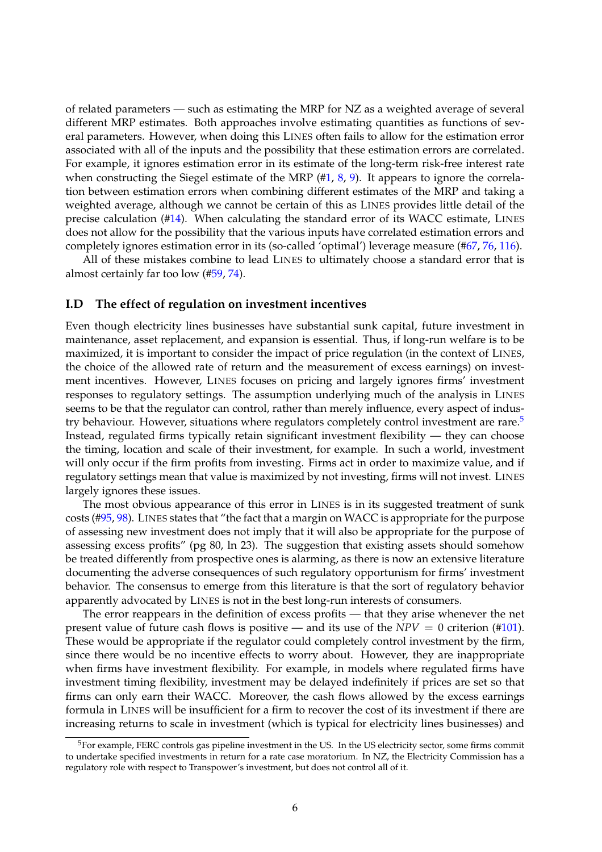of related parameters — such as estimating the MRP for NZ as a weighted average of several different MRP estimates. Both approaches involve estimating quantities as functions of several parameters. However, when doing this LINES often fails to allow for the estimation error associated with all of the inputs and the possibility that these estimation errors are correlated. For example, it ignores estimation error in its estimate of the long-term risk-free interest rate when constructing the Siegel estimate of the MRP ([#1,](#page-10-1) [8,](#page-12-1) [9\)](#page-13-2). It appears to ignore the correlation between estimation errors when combining different estimates of the MRP and taking a weighted average, although we cannot be certain of this as LINES provides little detail of the precise calculation ([#14\)](#page-14-0). When calculating the standard error of its WACC estimate, LINES does not allow for the possibility that the various inputs have correlated estimation errors and completely ignores estimation error in its (so-called 'optimal') leverage measure ([#67,](#page-33-0) [76,](#page-34-0) [116\)](#page-47-0).

All of these mistakes combine to lead LINES to ultimately choose a standard error that is almost certainly far too low ([#59,](#page-30-1) [74\)](#page-34-1).

#### <span id="page-7-0"></span>**I.D The effect of regulation on investment incentives**

Even though electricity lines businesses have substantial sunk capital, future investment in maintenance, asset replacement, and expansion is essential. Thus, if long-run welfare is to be maximized, it is important to consider the impact of price regulation (in the context of LINES, the choice of the allowed rate of return and the measurement of excess earnings) on investment incentives. However, LINES focuses on pricing and largely ignores firms' investment responses to regulatory settings. The assumption underlying much of the analysis in LINES seems to be that the regulator can control, rather than merely influence, every aspect of indus-try behaviour. However, situations where regulators completely control investment are rare.<sup>[5](#page-7-1)</sup> Instead, regulated firms typically retain significant investment flexibility — they can choose the timing, location and scale of their investment, for example. In such a world, investment will only occur if the firm profits from investing. Firms act in order to maximize value, and if regulatory settings mean that value is maximized by not investing, firms will not invest. LINES largely ignores these issues.

The most obvious appearance of this error in LINES is in its suggested treatment of sunk costs ([#95,](#page-40-0) [98\)](#page-40-1). LINES states that "the fact that a margin on WACC is appropriate for the purpose of assessing new investment does not imply that it will also be appropriate for the purpose of assessing excess profits" (pg 80, ln 23). The suggestion that existing assets should somehow be treated differently from prospective ones is alarming, as there is now an extensive literature documenting the adverse consequences of such regulatory opportunism for firms' investment behavior. The consensus to emerge from this literature is that the sort of regulatory behavior apparently advocated by LINES is not in the best long-run interests of consumers.

The error reappears in the definition of excess profits — that they arise whenever the net present value of future cash flows is positive — and its use of the  $NPV = 0$  criterion ([#101\)](#page-41-0). These would be appropriate if the regulator could completely control investment by the firm, since there would be no incentive effects to worry about. However, they are inappropriate when firms have investment flexibility. For example, in models where regulated firms have investment timing flexibility, investment may be delayed indefinitely if prices are set so that firms can only earn their WACC. Moreover, the cash flows allowed by the excess earnings formula in LINES will be insufficient for a firm to recover the cost of its investment if there are increasing returns to scale in investment (which is typical for electricity lines businesses) and

<span id="page-7-1"></span> $<sup>5</sup>$  For example, FERC controls gas pipeline investment in the US. In the US electricity sector, some firms commit</sup> to undertake specified investments in return for a rate case moratorium. In NZ, the Electricity Commission has a regulatory role with respect to Transpower's investment, but does not control all of it.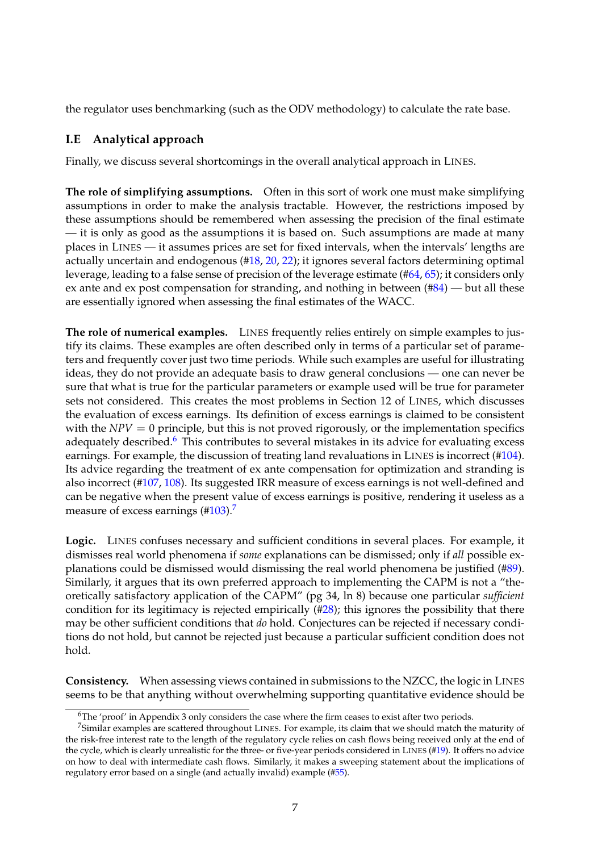the regulator uses benchmarking (such as the ODV methodology) to calculate the rate base.

## <span id="page-8-0"></span>**I.E Analytical approach**

Finally, we discuss several shortcomings in the overall analytical approach in LINES.

**The role of simplifying assumptions.** Often in this sort of work one must make simplifying assumptions in order to make the analysis tractable. However, the restrictions imposed by these assumptions should be remembered when assessing the precision of the final estimate — it is only as good as the assumptions it is based on. Such assumptions are made at many places in LINES — it assumes prices are set for fixed intervals, when the intervals' lengths are actually uncertain and endogenous ([#18,](#page-15-0) [20,](#page-16-1) [22\)](#page-16-2); it ignores several factors determining optimal leverage, leading to a false sense of precision of the leverage estimate ([#64,](#page-32-0) [65\)](#page-32-1); it considers only ex ante and ex post compensation for stranding, and nothing in between ([#84\)](#page-36-0) — but all these are essentially ignored when assessing the final estimates of the WACC.

**The role of numerical examples.** LINES frequently relies entirely on simple examples to justify its claims. These examples are often described only in terms of a particular set of parameters and frequently cover just two time periods. While such examples are useful for illustrating ideas, they do not provide an adequate basis to draw general conclusions — one can never be sure that what is true for the particular parameters or example used will be true for parameter sets not considered. This creates the most problems in Section 12 of LINES, which discusses the evaluation of excess earnings. Its definition of excess earnings is claimed to be consistent with the  $NPV = 0$  principle, but this is not proved rigorously, or the implementation specifics adequately described.<sup>[6](#page-8-1)</sup> This contributes to several mistakes in its advice for evaluating excess earnings. For example, the discussion of treating land revaluations in LINES is incorrect ([#104\)](#page-42-0). Its advice regarding the treatment of ex ante compensation for optimization and stranding is also incorrect ([#107,](#page-43-0) [108\)](#page-45-0). Its suggested IRR measure of excess earnings is not well-defined and can be negative when the present value of excess earnings is positive, rendering it useless as a measure of excess earnings ([#103\)](#page-42-1).<sup>[7](#page-8-2)</sup>

**Logic.** LINES confuses necessary and sufficient conditions in several places. For example, it dismisses real world phenomena if *some* explanations can be dismissed; only if *all* possible explanations could be dismissed would dismissing the real world phenomena be justified ([#89\)](#page-38-0). Similarly, it argues that its own preferred approach to implementing the CAPM is not a "theoretically satisfactory application of the CAPM" (pg 34, ln 8) because one particular *sufficient* condition for its legitimacy is rejected empirically ([#28\)](#page-19-0); this ignores the possibility that there may be other sufficient conditions that *do* hold. Conjectures can be rejected if necessary conditions do not hold, but cannot be rejected just because a particular sufficient condition does not hold.

**Consistency.** When assessing views contained in submissions to the NZCC, the logic in LINES seems to be that anything without overwhelming supporting quantitative evidence should be

 $6$ The 'proof' in Appendix 3 only considers the case where the firm ceases to exist after two periods.

<span id="page-8-2"></span><span id="page-8-1"></span><sup>&</sup>lt;sup>7</sup>Similar examples are scattered throughout LINES. For example, its claim that we should match the maturity of the risk-free interest rate to the length of the regulatory cycle relies on cash flows being received only at the end of the cycle, which is clearly unrealistic for the three- or five-year periods considered in LINES ([#19\)](#page-15-1). It offers no advice on how to deal with intermediate cash flows. Similarly, it makes a sweeping statement about the implications of regulatory error based on a single (and actually invalid) example ([#55\)](#page-27-1).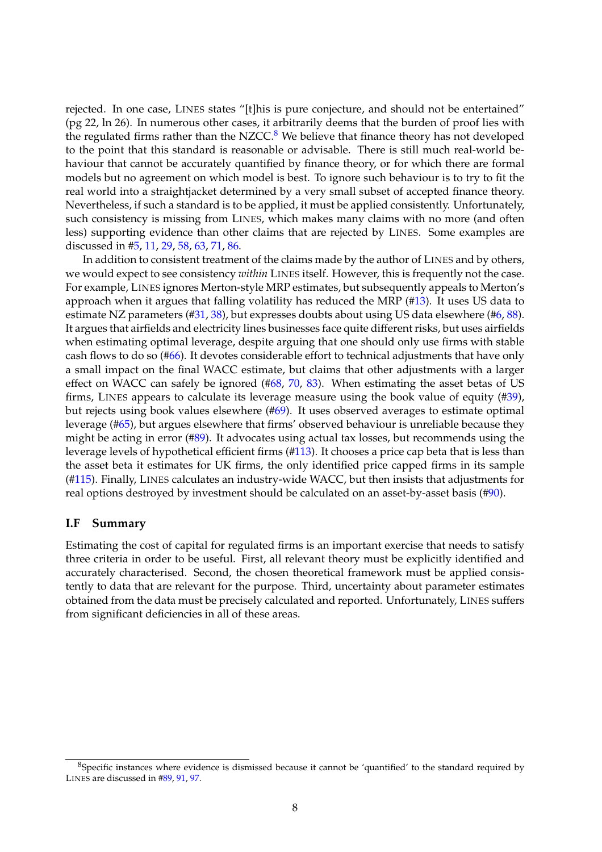rejected. In one case, LINES states "[t]his is pure conjecture, and should not be entertained" (pg 22, ln 26). In numerous other cases, it arbitrarily deems that the burden of proof lies with the regulated firms rather than the NZCC. $8$  We believe that finance theory has not developed to the point that this standard is reasonable or advisable. There is still much real-world behaviour that cannot be accurately quantified by finance theory, or for which there are formal models but no agreement on which model is best. To ignore such behaviour is to try to fit the real world into a straightjacket determined by a very small subset of accepted finance theory. Nevertheless, if such a standard is to be applied, it must be applied consistently. Unfortunately, such consistency is missing from LINES, which makes many claims with no more (and often less) supporting evidence than other claims that are rejected by LINES. Some examples are discussed in [#5,](#page-11-0) [11,](#page-13-3) [29,](#page-20-0) [58,](#page-28-2) [63,](#page-32-2) [71,](#page-33-1) [86.](#page-37-1)

In addition to consistent treatment of the claims made by the author of LINES and by others, we would expect to see consistency *within* LINES itself. However, this is frequently not the case. For example, LINES ignores Merton-style MRP estimates, but subsequently appeals to Merton's approach when it argues that falling volatility has reduced the MRP ([#13\)](#page-13-4). It uses US data to estimate NZ parameters ([#31,](#page-21-2) [38\)](#page-23-0), but expresses doubts about using US data elsewhere ([#6,](#page-12-2) [88\)](#page-38-1). It argues that airfields and electricity lines businesses face quite different risks, but uses airfields when estimating optimal leverage, despite arguing that one should only use firms with stable cash flows to do so ([#66\)](#page-32-3). It devotes considerable effort to technical adjustments that have only a small impact on the final WACC estimate, but claims that other adjustments with a larger effect on WACC can safely be ignored ([#68,](#page-33-2) [70,](#page-33-3) [83\)](#page-36-1). When estimating the asset betas of US firms, LINES appears to calculate its leverage measure using the book value of equity ([#39\)](#page-24-0), but rejects using book values elsewhere ([#69\)](#page-33-4). It uses observed averages to estimate optimal leverage ([#65\)](#page-32-1), but argues elsewhere that firms' observed behaviour is unreliable because they might be acting in error ([#89\)](#page-38-0). It advocates using actual tax losses, but recommends using the leverage levels of hypothetical efficient firms ([#113\)](#page-46-2). It chooses a price cap beta that is less than the asset beta it estimates for UK firms, the only identified price capped firms in its sample ([#115\)](#page-46-3). Finally, LINES calculates an industry-wide WACC, but then insists that adjustments for real options destroyed by investment should be calculated on an asset-by-asset basis ([#90\)](#page-38-2).

#### <span id="page-9-0"></span>**I.F Summary**

Estimating the cost of capital for regulated firms is an important exercise that needs to satisfy three criteria in order to be useful. First, all relevant theory must be explicitly identified and accurately characterised. Second, the chosen theoretical framework must be applied consistently to data that are relevant for the purpose. Third, uncertainty about parameter estimates obtained from the data must be precisely calculated and reported. Unfortunately, LINES suffers from significant deficiencies in all of these areas.

<span id="page-9-1"></span><sup>&</sup>lt;sup>8</sup>Specific instances where evidence is dismissed because it cannot be 'quantified' to the standard required by LINES are discussed in [#89,](#page-38-0) [91,](#page-39-0) [97.](#page-40-2)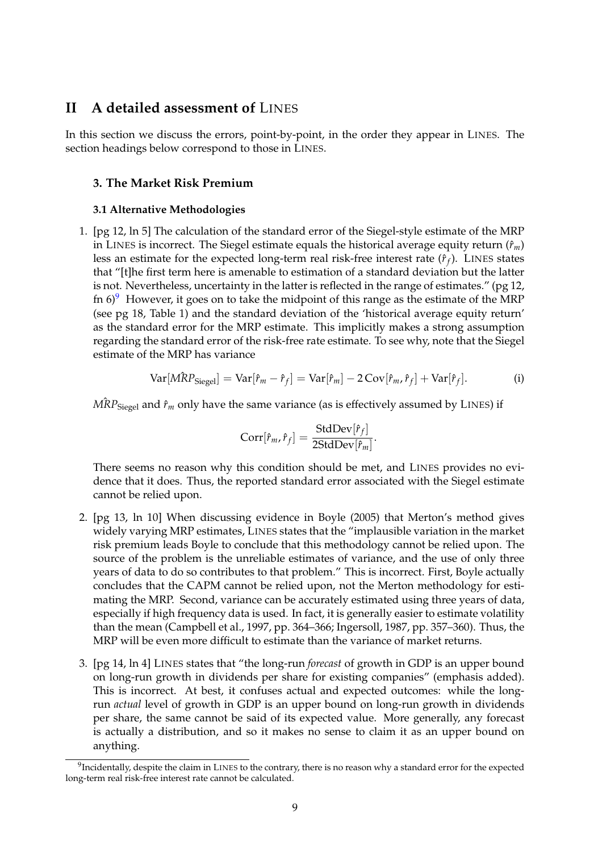## <span id="page-10-0"></span>**II A detailed assessment of** LINES

In this section we discuss the errors, point-by-point, in the order they appear in LINES. The section headings below correspond to those in LINES.

#### **3. The Market Risk Premium**

#### **3.1 Alternative Methodologies**

<span id="page-10-1"></span>1. [pg 12, ln 5] The calculation of the standard error of the Siegel-style estimate of the MRP in LINES is incorrect. The Siegel estimate equals the historical average equity return  $(\hat{r}_m)$ less an estimate for the expected long-term real risk-free interest rate  $(\hat{r}_f)$ . LINES states that "[t]he first term here is amenable to estimation of a standard deviation but the latter is not. Nevertheless, uncertainty in the latter is reflected in the range of estimates." (pg 12, fn  $6$ <sup>[9](#page-10-2)</sup> However, it goes on to take the midpoint of this range as the estimate of the MRP (see pg 18, Table 1) and the standard deviation of the 'historical average equity return' as the standard error for the MRP estimate. This implicitly makes a strong assumption regarding the standard error of the risk-free rate estimate. To see why, note that the Siegel estimate of the MRP has variance

<span id="page-10-3"></span>
$$
Var[M\hat{R}P_{Siegel}] = Var[\hat{r}_m - \hat{r}_f] = Var[\hat{r}_m] - 2Cov[\hat{r}_m, \hat{r}_f] + Var[\hat{r}_f].
$$
 (i)

.

 $\hat{MRP_{\text{Siegel}}}$  and  $\hat{r}_m$  only have the same variance (as is effectively assumed by LINES) if

$$
Corr[\hat{r}_m, \hat{r}_f] = \frac{\text{StdDev}[\hat{r}_f]}{2\text{StdDev}[\hat{r}_m]}
$$

There seems no reason why this condition should be met, and LINES provides no evidence that it does. Thus, the reported standard error associated with the Siegel estimate cannot be relied upon.

- 2. [pg 13, ln 10] When discussing evidence in Boyle (2005) that Merton's method gives widely varying MRP estimates, LINES states that the "implausible variation in the market risk premium leads Boyle to conclude that this methodology cannot be relied upon. The source of the problem is the unreliable estimates of variance, and the use of only three years of data to do so contributes to that problem." This is incorrect. First, Boyle actually concludes that the CAPM cannot be relied upon, not the Merton methodology for estimating the MRP. Second, variance can be accurately estimated using three years of data, especially if high frequency data is used. In fact, it is generally easier to estimate volatility than the mean (Campbell et al., 1997, pp. 364–366; Ingersoll, 1987, pp. 357–360). Thus, the MRP will be even more difficult to estimate than the variance of market returns.
- 3. [pg 14, ln 4] LINES states that "the long-run *forecast* of growth in GDP is an upper bound on long-run growth in dividends per share for existing companies" (emphasis added). This is incorrect. At best, it confuses actual and expected outcomes: while the longrun *actual* level of growth in GDP is an upper bound on long-run growth in dividends per share, the same cannot be said of its expected value. More generally, any forecast is actually a distribution, and so it makes no sense to claim it as an upper bound on anything.

<span id="page-10-2"></span> $^9$ Incidentally, despite the claim in LINES to the contrary, there is no reason why a standard error for the expected long-term real risk-free interest rate cannot be calculated.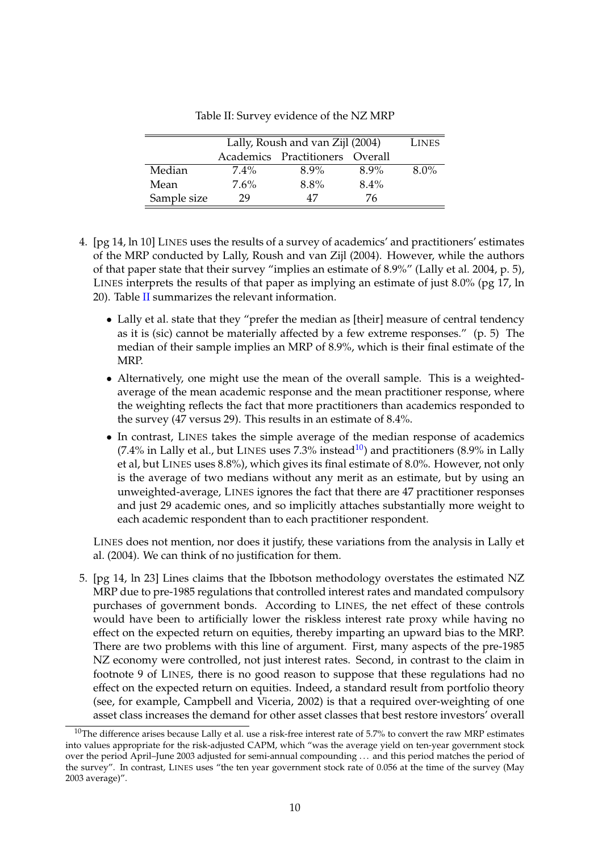<span id="page-11-1"></span>

|             | Lally, Roush and van Zijl (2004) | LINES                           |         |         |
|-------------|----------------------------------|---------------------------------|---------|---------|
|             |                                  | Academics Practitioners Overall |         |         |
| Median      | $7.4\%$                          | $8.9\%$                         | $8.9\%$ | $8.0\%$ |
| Mean        | $7.6\%$                          | $8.8\%$                         | $8.4\%$ |         |
| Sample size | 29                               | 47                              | 76      |         |

Table II: Survey evidence of the NZ MRP

- 4. [pg 14, ln 10] LINES uses the results of a survey of academics' and practitioners' estimates of the MRP conducted by Lally, Roush and van Zijl (2004). However, while the authors of that paper state that their survey "implies an estimate of 8.9%" (Lally et al. 2004, p. 5), LINES interprets the results of that paper as implying an estimate of just 8.0% (pg 17, ln 20). Table  $II$  summarizes the relevant information.
	- Lally et al. state that they "prefer the median as [their] measure of central tendency as it is (sic) cannot be materially affected by a few extreme responses." (p. 5) The median of their sample implies an MRP of 8.9%, which is their final estimate of the MRP.
	- Alternatively, one might use the mean of the overall sample. This is a weightedaverage of the mean academic response and the mean practitioner response, where the weighting reflects the fact that more practitioners than academics responded to the survey (47 versus 29). This results in an estimate of 8.4%.
	- In contrast, LINES takes the simple average of the median response of academics  $(7.4\%$  in Lally et al., but LINES uses  $7.3\%$  instead<sup>[10](#page-11-2)</sup>) and practitioners  $(8.9\%$  in Lally et al, but LINES uses 8.8%), which gives its final estimate of 8.0%. However, not only is the average of two medians without any merit as an estimate, but by using an unweighted-average, LINES ignores the fact that there are 47 practitioner responses and just 29 academic ones, and so implicitly attaches substantially more weight to each academic respondent than to each practitioner respondent.

LINES does not mention, nor does it justify, these variations from the analysis in Lally et al. (2004). We can think of no justification for them.

<span id="page-11-0"></span>5. [pg 14, ln 23] Lines claims that the Ibbotson methodology overstates the estimated NZ MRP due to pre-1985 regulations that controlled interest rates and mandated compulsory purchases of government bonds. According to LINES, the net effect of these controls would have been to artificially lower the riskless interest rate proxy while having no effect on the expected return on equities, thereby imparting an upward bias to the MRP. There are two problems with this line of argument. First, many aspects of the pre-1985 NZ economy were controlled, not just interest rates. Second, in contrast to the claim in footnote 9 of LINES, there is no good reason to suppose that these regulations had no effect on the expected return on equities. Indeed, a standard result from portfolio theory (see, for example, Campbell and Viceria, 2002) is that a required over-weighting of one asset class increases the demand for other asset classes that best restore investors' overall

<span id="page-11-2"></span> $10$ The difference arises because Lally et al. use a risk-free interest rate of 5.7% to convert the raw MRP estimates into values appropriate for the risk-adjusted CAPM, which "was the average yield on ten-year government stock over the period April–June 2003 adjusted for semi-annual compounding . . . and this period matches the period of the survey". In contrast, LINES uses "the ten year government stock rate of 0.056 at the time of the survey (May 2003 average)".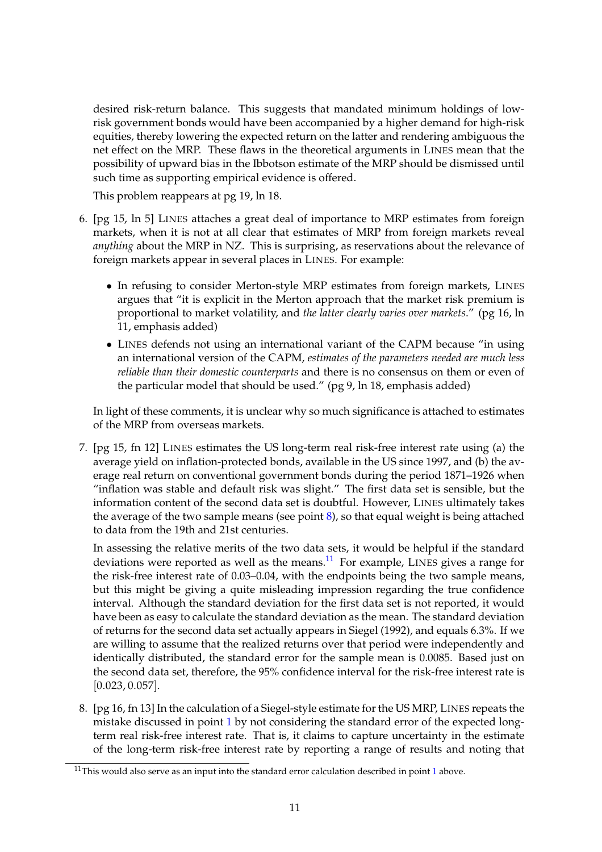desired risk-return balance. This suggests that mandated minimum holdings of lowrisk government bonds would have been accompanied by a higher demand for high-risk equities, thereby lowering the expected return on the latter and rendering ambiguous the net effect on the MRP. These flaws in the theoretical arguments in LINES mean that the possibility of upward bias in the Ibbotson estimate of the MRP should be dismissed until such time as supporting empirical evidence is offered.

This problem reappears at pg 19, ln 18.

- <span id="page-12-2"></span>6. [pg 15, ln 5] LINES attaches a great deal of importance to MRP estimates from foreign markets, when it is not at all clear that estimates of MRP from foreign markets reveal *anything* about the MRP in NZ. This is surprising, as reservations about the relevance of foreign markets appear in several places in LINES. For example:
	- In refusing to consider Merton-style MRP estimates from foreign markets, LINES argues that "it is explicit in the Merton approach that the market risk premium is proportional to market volatility, and *the latter clearly varies over markets*." (pg 16, ln 11, emphasis added)
	- LINES defends not using an international variant of the CAPM because "in using an international version of the CAPM, *estimates of the parameters needed are much less reliable than their domestic counterparts* and there is no consensus on them or even of the particular model that should be used." (pg 9, ln 18, emphasis added)

In light of these comments, it is unclear why so much significance is attached to estimates of the MRP from overseas markets.

<span id="page-12-0"></span>7. [pg 15, fn 12] LINES estimates the US long-term real risk-free interest rate using (a) the average yield on inflation-protected bonds, available in the US since 1997, and (b) the average real return on conventional government bonds during the period 1871–1926 when "inflation was stable and default risk was slight." The first data set is sensible, but the information content of the second data set is doubtful. However, LINES ultimately takes the average of the two sample means (see point [8\)](#page-12-1), so that equal weight is being attached to data from the 19th and 21st centuries.

In assessing the relative merits of the two data sets, it would be helpful if the standard deviations were reported as well as the means. $^{11}$  $^{11}$  $^{11}$  For example, LINES gives a range for the risk-free interest rate of 0.03–0.04, with the endpoints being the two sample means, but this might be giving a quite misleading impression regarding the true confidence interval. Although the standard deviation for the first data set is not reported, it would have been as easy to calculate the standard deviation as the mean. The standard deviation of returns for the second data set actually appears in Siegel (1992), and equals 6.3%. If we are willing to assume that the realized returns over that period were independently and identically distributed, the standard error for the sample mean is 0.0085. Based just on the second data set, therefore, the 95% confidence interval for the risk-free interest rate is [0.023, 0.057].

<span id="page-12-1"></span>8. [pg 16, fn 13] In the calculation of a Siegel-style estimate for the US MRP, LINES repeats the mistake discussed in point [1](#page-10-1) by not considering the standard error of the expected longterm real risk-free interest rate. That is, it claims to capture uncertainty in the estimate of the long-term risk-free interest rate by reporting a range of results and noting that

<span id="page-12-3"></span> $11$  $11$ This would also serve as an input into the standard error calculation described in point  $1$  above.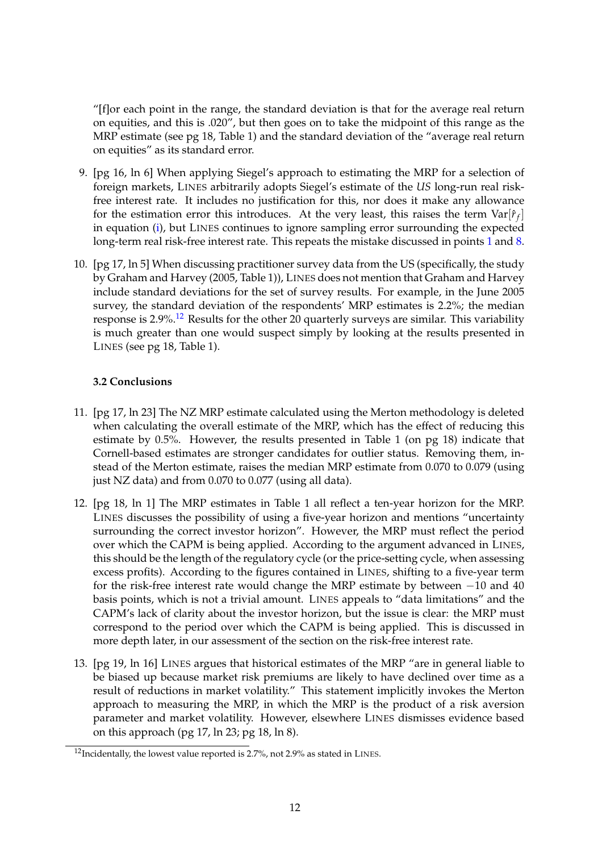"[f]or each point in the range, the standard deviation is that for the average real return on equities, and this is .020", but then goes on to take the midpoint of this range as the MRP estimate (see pg 18, Table 1) and the standard deviation of the "average real return on equities" as its standard error.

- <span id="page-13-2"></span>9. [pg 16, ln 6] When applying Siegel's approach to estimating the MRP for a selection of foreign markets, LINES arbitrarily adopts Siegel's estimate of the *US* long-run real riskfree interest rate. It includes no justification for this, nor does it make any allowance for the estimation error this introduces. At the very least, this raises the term  $\text{Var}[\hat{r}_f]$ in equation [\(i\)](#page-10-3), but LINES continues to ignore sampling error surrounding the expected long-term real risk-free interest rate. This repeats the mistake discussed in points [1](#page-10-1) and [8.](#page-12-1)
- <span id="page-13-1"></span>10. [pg 17, ln 5] When discussing practitioner survey data from the US (specifically, the study by Graham and Harvey (2005, Table 1)), LINES does not mention that Graham and Harvey include standard deviations for the set of survey results. For example, in the June 2005 survey, the standard deviation of the respondents' MRP estimates is 2.2%; the median response is  $2.9\%$ .<sup>[12](#page-13-5)</sup> Results for the other 20 quarterly surveys are similar. This variability is much greater than one would suspect simply by looking at the results presented in LINES (see pg 18, Table 1).

## **3.2 Conclusions**

- <span id="page-13-3"></span>11. [pg 17, ln 23] The NZ MRP estimate calculated using the Merton methodology is deleted when calculating the overall estimate of the MRP, which has the effect of reducing this estimate by 0.5%. However, the results presented in Table 1 (on pg 18) indicate that Cornell-based estimates are stronger candidates for outlier status. Removing them, instead of the Merton estimate, raises the median MRP estimate from 0.070 to 0.079 (using just NZ data) and from 0.070 to 0.077 (using all data).
- <span id="page-13-0"></span>12. [pg 18, ln 1] The MRP estimates in Table 1 all reflect a ten-year horizon for the MRP. LINES discusses the possibility of using a five-year horizon and mentions "uncertainty surrounding the correct investor horizon". However, the MRP must reflect the period over which the CAPM is being applied. According to the argument advanced in LINES, this should be the length of the regulatory cycle (or the price-setting cycle, when assessing excess profits). According to the figures contained in LINES, shifting to a five-year term for the risk-free interest rate would change the MRP estimate by between −10 and 40 basis points, which is not a trivial amount. LINES appeals to "data limitations" and the CAPM's lack of clarity about the investor horizon, but the issue is clear: the MRP must correspond to the period over which the CAPM is being applied. This is discussed in more depth later, in our assessment of the section on the risk-free interest rate.
- <span id="page-13-4"></span>13. [pg 19, ln 16] LINES argues that historical estimates of the MRP "are in general liable to be biased up because market risk premiums are likely to have declined over time as a result of reductions in market volatility." This statement implicitly invokes the Merton approach to measuring the MRP, in which the MRP is the product of a risk aversion parameter and market volatility. However, elsewhere LINES dismisses evidence based on this approach (pg 17, ln 23; pg 18, ln 8).

<span id="page-13-5"></span><sup>&</sup>lt;sup>12</sup>Incidentally, the lowest value reported is 2.7%, not 2.9% as stated in LINES.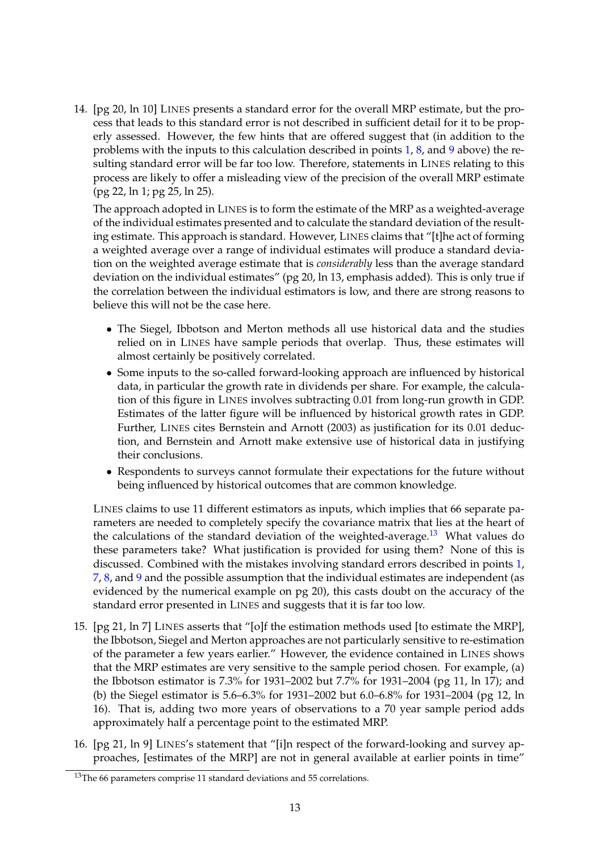<span id="page-14-0"></span>14. [pg 20, ln 10] LINES presents a standard error for the overall MRP estimate, but the process that leads to this standard error is not described in sufficient detail for it to be properly assessed. However, the few hints that are offered suggest that (in addition to the problems with the inputs to this calculation described in points [1,](#page-10-1) [8,](#page-12-1) and [9](#page-13-2) above) the resulting standard error will be far too low. Therefore, statements in LINES relating to this process are likely to offer a misleading view of the precision of the overall MRP estimate (pg 22, ln 1; pg 25, ln 25).

The approach adopted in LINES is to form the estimate of the MRP as a weighted-average of the individual estimates presented and to calculate the standard deviation of the resulting estimate. This approach is standard. However, LINES claims that "[t]he act of forming a weighted average over a range of individual estimates will produce a standard deviation on the weighted average estimate that is *considerably* less than the average standard deviation on the individual estimates" (pg 20, ln 13, emphasis added). This is only true if the correlation between the individual estimators is low, and there are strong reasons to believe this will not be the case here.

- The Siegel, Ibbotson and Merton methods all use historical data and the studies relied on in LINES have sample periods that overlap. Thus, these estimates will almost certainly be positively correlated.
- Some inputs to the so-called forward-looking approach are influenced by historical data, in particular the growth rate in dividends per share. For example, the calculation of this figure in LINES involves subtracting 0.01 from long-run growth in GDP. Estimates of the latter figure will be influenced by historical growth rates in GDP. Further, LINES cites Bernstein and Arnott (2003) as justification for its 0.01 deduction, and Bernstein and Arnott make extensive use of historical data in justifying their conclusions.
- Respondents to surveys cannot formulate their expectations for the future without being influenced by historical outcomes that are common knowledge.

LINES claims to use 11 different estimators as inputs, which implies that 66 separate parameters are needed to completely specify the covariance matrix that lies at the heart of the calculations of the standard deviation of the weighted-average.<sup>[13](#page-14-1)</sup> What values do these parameters take? What justification is provided for using them? None of this is discussed. Combined with the mistakes involving standard errors described in points [1,](#page-10-1) [7,](#page-12-0) [8,](#page-12-1) and [9](#page-13-2) and the possible assumption that the individual estimates are independent (as evidenced by the numerical example on pg 20), this casts doubt on the accuracy of the standard error presented in LINES and suggests that it is far too low.

- 15. [pg 21, ln 7] LINES asserts that "[o]f the estimation methods used [to estimate the MRP], the Ibbotson, Siegel and Merton approaches are not particularly sensitive to re-estimation of the parameter a few years earlier." However, the evidence contained in LINES shows that the MRP estimates are very sensitive to the sample period chosen. For example, (a) the Ibbotson estimator is 7.3% for 1931–2002 but 7.7% for 1931–2004 (pg 11, ln 17); and (b) the Siegel estimator is 5.6–6.3% for 1931–2002 but 6.0–6.8% for 1931–2004 (pg 12, ln 16). That is, adding two more years of observations to a 70 year sample period adds approximately half a percentage point to the estimated MRP.
- 16. [pg 21, ln 9] LINES's statement that "[i]n respect of the forward-looking and survey approaches, [estimates of the MRP] are not in general available at earlier points in time"

<span id="page-14-1"></span> $13$ The 66 parameters comprise 11 standard deviations and 55 correlations.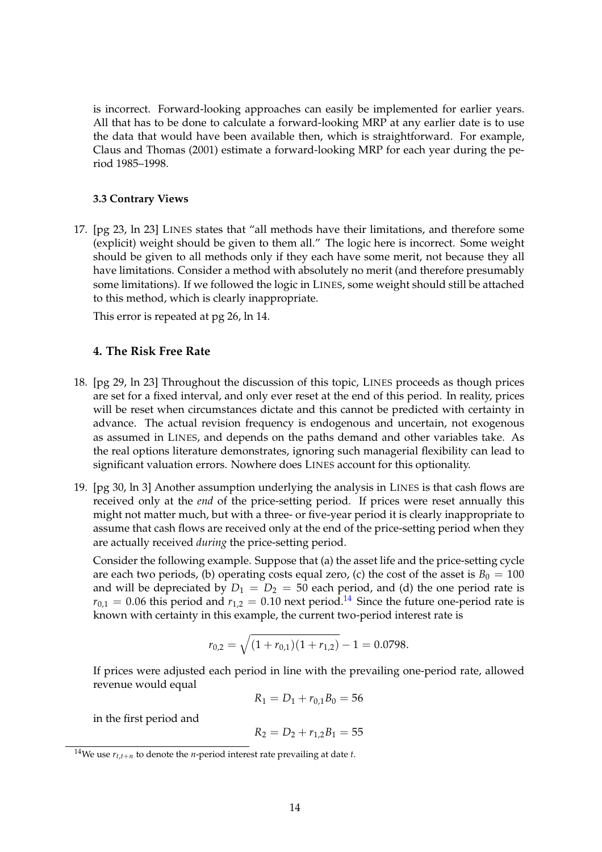is incorrect. Forward-looking approaches can easily be implemented for earlier years. All that has to be done to calculate a forward-looking MRP at any earlier date is to use the data that would have been available then, which is straightforward. For example, Claus and Thomas (2001) estimate a forward-looking MRP for each year during the period 1985–1998.

#### **3.3 Contrary Views**

17. [pg 23, ln 23] LINES states that "all methods have their limitations, and therefore some (explicit) weight should be given to them all." The logic here is incorrect. Some weight should be given to all methods only if they each have some merit, not because they all have limitations. Consider a method with absolutely no merit (and therefore presumably some limitations). If we followed the logic in LINES, some weight should still be attached to this method, which is clearly inappropriate.

This error is repeated at pg 26, ln 14.

#### **4. The Risk Free Rate**

- <span id="page-15-0"></span>18. [pg 29, ln 23] Throughout the discussion of this topic, LINES proceeds as though prices are set for a fixed interval, and only ever reset at the end of this period. In reality, prices will be reset when circumstances dictate and this cannot be predicted with certainty in advance. The actual revision frequency is endogenous and uncertain, not exogenous as assumed in LINES, and depends on the paths demand and other variables take. As the real options literature demonstrates, ignoring such managerial flexibility can lead to significant valuation errors. Nowhere does LINES account for this optionality.
- <span id="page-15-1"></span>19. [pg 30, ln 3] Another assumption underlying the analysis in LINES is that cash flows are received only at the *end* of the price-setting period. If prices were reset annually this might not matter much, but with a three- or five-year period it is clearly inappropriate to assume that cash flows are received only at the end of the price-setting period when they are actually received *during* the price-setting period.

Consider the following example. Suppose that (a) the asset life and the price-setting cycle are each two periods, (b) operating costs equal zero, (c) the cost of the asset is  $B_0 = 100$ and will be depreciated by  $D_1 = D_2 = 50$  each period, and (d) the one period rate is  $r_{0,1} = 0.06$  this period and  $r_{1,2} = 0.10$  next period.<sup>[14](#page-15-2)</sup> Since the future one-period rate is known with certainty in this example, the current two-period interest rate is

$$
r_{0,2} = \sqrt{(1 + r_{0,1})(1 + r_{1,2})} - 1 = 0.0798.
$$

If prices were adjusted each period in line with the prevailing one-period rate, allowed revenue would equal

$$
R_1 = D_1 + r_{0,1}B_0 = 56
$$

in the first period and

$$
R_2 = D_2 + r_{1,2}B_1 = 55
$$

<span id="page-15-2"></span><sup>&</sup>lt;sup>14</sup>We use  $r_{t,t+n}$  to denote the *n*-period interest rate prevailing at date *t*.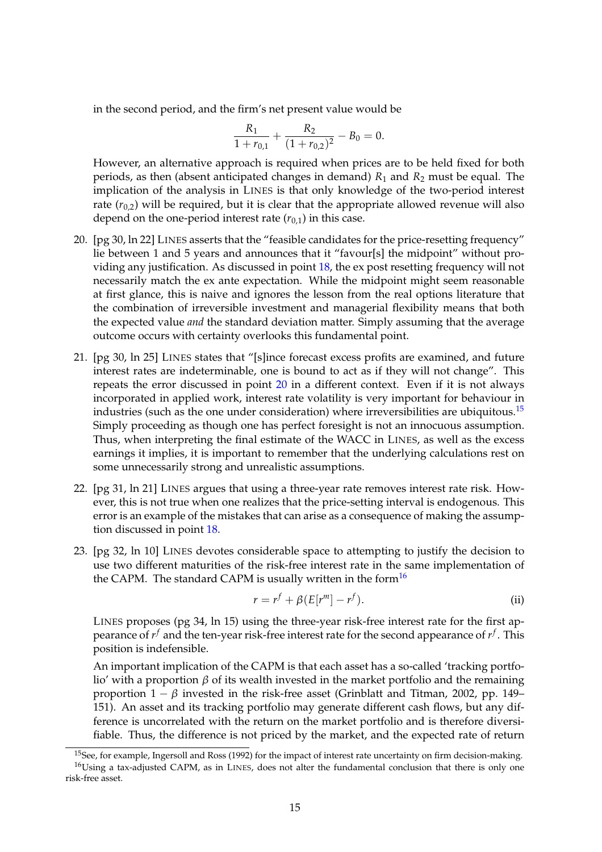in the second period, and the firm's net present value would be

$$
\frac{R_1}{1+r_{0,1}} + \frac{R_2}{(1+r_{0,2})^2} - B_0 = 0.
$$

However, an alternative approach is required when prices are to be held fixed for both periods, as then (absent anticipated changes in demand) *R*<sup>1</sup> and *R*<sup>2</sup> must be equal. The implication of the analysis in LINES is that only knowledge of the two-period interest rate  $(r_{0,2})$  will be required, but it is clear that the appropriate allowed revenue will also depend on the one-period interest rate  $(r_{0,1})$  in this case.

- <span id="page-16-1"></span>20. [pg 30, ln 22] LINES asserts that the "feasible candidates for the price-resetting frequency" lie between 1 and 5 years and announces that it "favour[s] the midpoint" without providing any justification. As discussed in point [18,](#page-15-0) the ex post resetting frequency will not necessarily match the ex ante expectation. While the midpoint might seem reasonable at first glance, this is naive and ignores the lesson from the real options literature that the combination of irreversible investment and managerial flexibility means that both the expected value *and* the standard deviation matter. Simply assuming that the average outcome occurs with certainty overlooks this fundamental point.
- 21. [pg 30, ln 25] LINES states that "[s]ince forecast excess profits are examined, and future interest rates are indeterminable, one is bound to act as if they will not change". This repeats the error discussed in point [20](#page-16-1) in a different context. Even if it is not always incorporated in applied work, interest rate volatility is very important for behaviour in industries (such as the one under consideration) where irreversibilities are ubiquitous.<sup>[15](#page-16-3)</sup> Simply proceeding as though one has perfect foresight is not an innocuous assumption. Thus, when interpreting the final estimate of the WACC in LINES, as well as the excess earnings it implies, it is important to remember that the underlying calculations rest on some unnecessarily strong and unrealistic assumptions.
- <span id="page-16-2"></span>22. [pg 31, ln 21] LINES argues that using a three-year rate removes interest rate risk. However, this is not true when one realizes that the price-setting interval is endogenous. This error is an example of the mistakes that can arise as a consequence of making the assumption discussed in point [18.](#page-15-0)
- <span id="page-16-0"></span>23. [pg 32, ln 10] LINES devotes considerable space to attempting to justify the decision to use two different maturities of the risk-free interest rate in the same implementation of the CAPM. The standard CAPM is usually written in the form<sup>[16](#page-16-4)</sup>

<span id="page-16-5"></span>
$$
r = r^f + \beta \left( E[r^m] - r^f \right). \tag{ii}
$$

LINES proposes (pg 34, ln 15) using the three-year risk-free interest rate for the first appearance of  $r^f$  and the ten-year risk-free interest rate for the second appearance of  $r^f$ . This position is indefensible.

An important implication of the CAPM is that each asset has a so-called 'tracking portfolio' with a proportion  $β$  of its wealth invested in the market portfolio and the remaining proportion  $1 - \beta$  invested in the risk-free asset (Grinblatt and Titman, 2002, pp. 149– 151). An asset and its tracking portfolio may generate different cash flows, but any difference is uncorrelated with the return on the market portfolio and is therefore diversifiable. Thus, the difference is not priced by the market, and the expected rate of return

<span id="page-16-4"></span><span id="page-16-3"></span> $15$ See, for example, Ingersoll and Ross (1992) for the impact of interest rate uncertainty on firm decision-making.  $16$ Using a tax-adjusted CAPM, as in LINES, does not alter the fundamental conclusion that there is only one risk-free asset.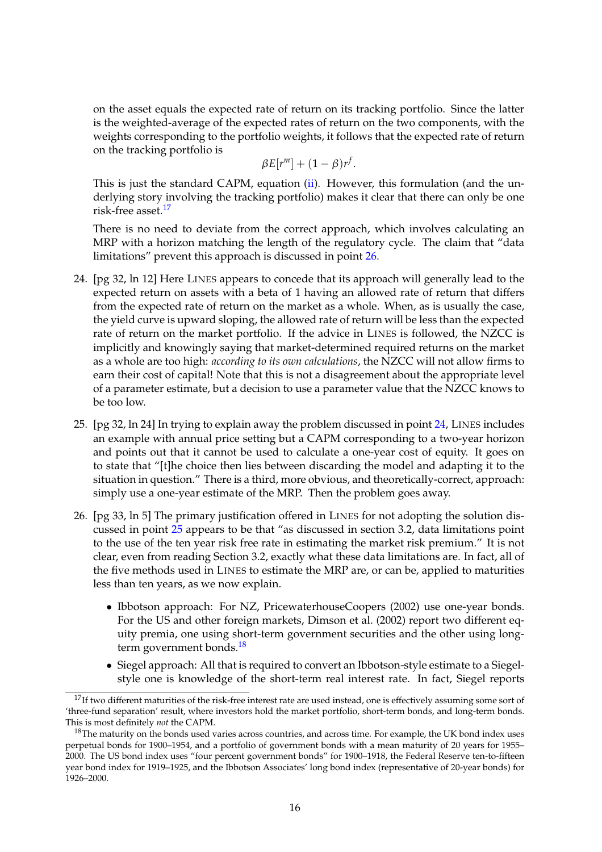on the asset equals the expected rate of return on its tracking portfolio. Since the latter is the weighted-average of the expected rates of return on the two components, with the weights corresponding to the portfolio weights, it follows that the expected rate of return on the tracking portfolio is

$$
\beta E[r^m] + (1 - \beta)r^f.
$$

This is just the standard CAPM, equation [\(ii\)](#page-16-5). However, this formulation (and the underlying story involving the tracking portfolio) makes it clear that there can only be one risk-free asset.[17](#page-17-3)

There is no need to deviate from the correct approach, which involves calculating an MRP with a horizon matching the length of the regulatory cycle. The claim that "data limitations" prevent this approach is discussed in point [26.](#page-17-2)

- <span id="page-17-0"></span>24. [pg 32, ln 12] Here LINES appears to concede that its approach will generally lead to the expected return on assets with a beta of 1 having an allowed rate of return that differs from the expected rate of return on the market as a whole. When, as is usually the case, the yield curve is upward sloping, the allowed rate of return will be less than the expected rate of return on the market portfolio. If the advice in LINES is followed, the NZCC is implicitly and knowingly saying that market-determined required returns on the market as a whole are too high: *according to its own calculations*, the NZCC will not allow firms to earn their cost of capital! Note that this is not a disagreement about the appropriate level of a parameter estimate, but a decision to use a parameter value that the NZCC knows to be too low.
- <span id="page-17-1"></span>25. [pg 32, ln 24] In trying to explain away the problem discussed in point [24,](#page-17-0) LINES includes an example with annual price setting but a CAPM corresponding to a two-year horizon and points out that it cannot be used to calculate a one-year cost of equity. It goes on to state that "[t]he choice then lies between discarding the model and adapting it to the situation in question." There is a third, more obvious, and theoretically-correct, approach: simply use a one-year estimate of the MRP. Then the problem goes away.
- <span id="page-17-2"></span>26. [pg 33, ln 5] The primary justification offered in LINES for not adopting the solution discussed in point [25](#page-17-1) appears to be that "as discussed in section 3.2, data limitations point to the use of the ten year risk free rate in estimating the market risk premium." It is not clear, even from reading Section 3.2, exactly what these data limitations are. In fact, all of the five methods used in LINES to estimate the MRP are, or can be, applied to maturities less than ten years, as we now explain.
	- Ibbotson approach: For NZ, PricewaterhouseCoopers (2002) use one-year bonds. For the US and other foreign markets, Dimson et al. (2002) report two different equity premia, one using short-term government securities and the other using long-term government bonds.<sup>[18](#page-17-4)</sup>
	- Siegel approach: All that is required to convert an Ibbotson-style estimate to a Siegelstyle one is knowledge of the short-term real interest rate. In fact, Siegel reports

<span id="page-17-3"></span> $17$ If two different maturities of the risk-free interest rate are used instead, one is effectively assuming some sort of 'three-fund separation' result, where investors hold the market portfolio, short-term bonds, and long-term bonds. This is most definitely *not* the CAPM.

<span id="page-17-4"></span> $18$ The maturity on the bonds used varies across countries, and across time. For example, the UK bond index uses perpetual bonds for 1900–1954, and a portfolio of government bonds with a mean maturity of 20 years for 1955– 2000. The US bond index uses "four percent government bonds" for 1900–1918, the Federal Reserve ten-to-fifteen year bond index for 1919–1925, and the Ibbotson Associates' long bond index (representative of 20-year bonds) for 1926–2000.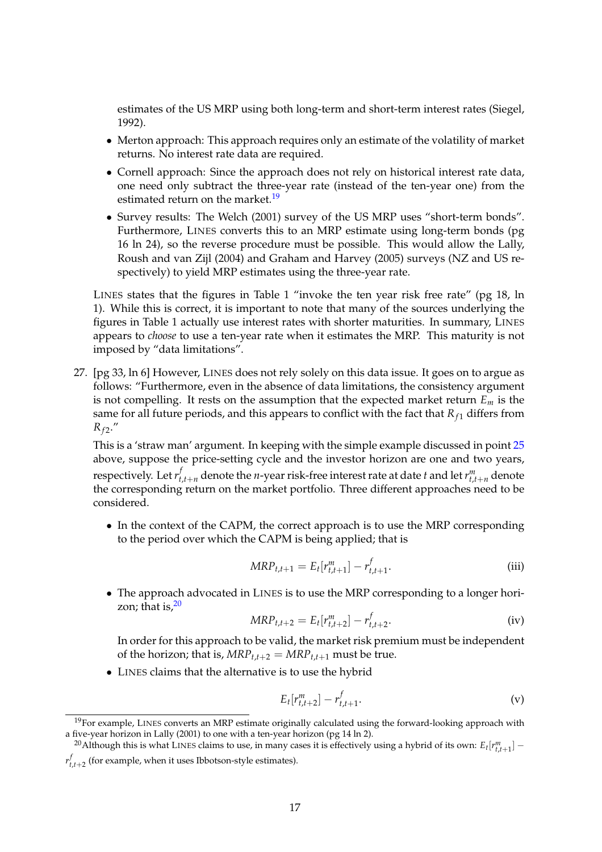estimates of the US MRP using both long-term and short-term interest rates (Siegel, 1992).

- Merton approach: This approach requires only an estimate of the volatility of market returns. No interest rate data are required.
- Cornell approach: Since the approach does not rely on historical interest rate data, one need only subtract the three-year rate (instead of the ten-year one) from the estimated return on the market.<sup>[19](#page-18-1)</sup>
- Survey results: The Welch (2001) survey of the US MRP uses "short-term bonds". Furthermore, LINES converts this to an MRP estimate using long-term bonds (pg 16 ln 24), so the reverse procedure must be possible. This would allow the Lally, Roush and van Zijl (2004) and Graham and Harvey (2005) surveys (NZ and US respectively) to yield MRP estimates using the three-year rate.

LINES states that the figures in Table 1 "invoke the ten year risk free rate" (pg 18, ln 1). While this is correct, it is important to note that many of the sources underlying the figures in Table 1 actually use interest rates with shorter maturities. In summary, LINES appears to *choose* to use a ten-year rate when it estimates the MRP. This maturity is not imposed by "data limitations".

<span id="page-18-0"></span>27. [pg 33, ln 6] However, LINES does not rely solely on this data issue. It goes on to argue as follows: "Furthermore, even in the absence of data limitations, the consistency argument is not compelling. It rests on the assumption that the expected market return *E<sup>m</sup>* is the same for all future periods, and this appears to conflict with the fact that  $R_{f1}$  differs from *R<sup>f</sup>* <sup>2</sup> ."

This is a 'straw man' argument. In keeping with the simple example discussed in point [25](#page-17-1) above, suppose the price-setting cycle and the investor horizon are one and two years, respectively. Let  $r_{t,t+n}^f$  denote the *n*-year risk-free interest rate at date *t* and let  $r_{t,t+n}^m$  denote the corresponding return on the market portfolio. Three different approaches need to be considered.

• In the context of the CAPM, the correct approach is to use the MRP corresponding to the period over which the CAPM is being applied; that is

<span id="page-18-3"></span>
$$
MRP_{t,t+1} = E_t[r_{t,t+1}^m] - r_{t,t+1}^f.
$$
 (iii)

<span id="page-18-5"></span>• The approach advocated in LINES is to use the MRP corresponding to a longer horizon; that is, $20$ 

$$
MRP_{t,t+2} = E_t[r_{t,t+2}^m] - r_{t,t+2}^f.
$$
 (iv)

In order for this approach to be valid, the market risk premium must be independent of the horizon; that is,  $MRP_{t,t+2} = MRP_{t,t+1}$  must be true.

• LINES claims that the alternative is to use the hybrid

<span id="page-18-4"></span>
$$
E_t[r_{t,t+2}^m] - r_{t,t+1}^f.
$$
 (v)

 $^{20}$ Although this is what LINES claims to use, in many cases it is effectively using a hybrid of its own:  $E_t[r^m_{t,t+1}]-1$ 

<span id="page-18-1"></span> $19$ For example, LINES converts an MRP estimate originally calculated using the forward-looking approach with a five-year horizon in Lally (2001) to one with a ten-year horizon (pg 14 ln 2).

<span id="page-18-2"></span> $r_{t,t+2}^f$  (for example, when it uses Ibbotson-style estimates).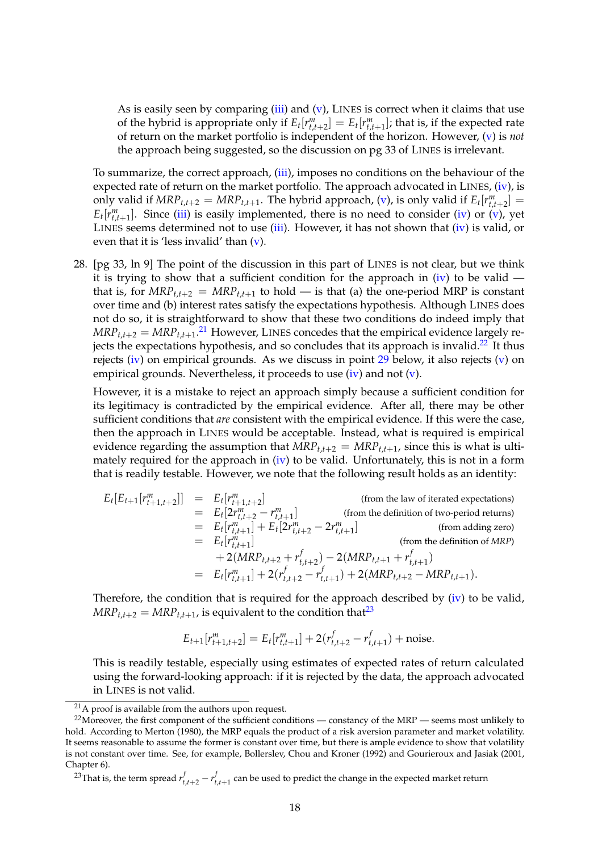As is easily seen by comparing [\(iii\)](#page-18-3) and  $(v)$ , LINES is correct when it claims that use of the hybrid is appropriate only if  $E_t[r^m_{t,t+2}] = E_t[r^m_{t,t+1}]$ ; that is, if the expected rate of return on the market portfolio is independent of the horizon. However, [\(v\)](#page-18-4) is *not* the approach being suggested, so the discussion on pg 33 of LINES is irrelevant.

To summarize, the correct approach, [\(iii\)](#page-18-3), imposes no conditions on the behaviour of the expected rate of return on the market portfolio. The approach advocated in LINES, [\(iv\)](#page-18-5), is only valid if  $MRP_{t,t+2} = MRP_{t,t+1}$ . The hybrid approach, [\(v\)](#page-18-4), is only valid if  $E_t[r_{t,t+2}^m] =$  $E_t[r^m_{t,t+1}]$ . Since [\(iii\)](#page-18-3) is easily implemented, there is no need to consider [\(iv\)](#page-18-5) or [\(v\)](#page-18-4), yet LINES seems determined not to use [\(iii\)](#page-18-3). However, it has not shown that [\(iv\)](#page-18-5) is valid, or even that it is 'less invalid' than [\(v\)](#page-18-4).

<span id="page-19-0"></span>28. [pg 33, ln 9] The point of the discussion in this part of LINES is not clear, but we think it is trying to show that a sufficient condition for the approach in [\(iv\)](#page-18-5) to be valid  $$ that is, for  $MRP_{t,t+2} = MRP_{t,t+1}$  to hold — is that (a) the one-period MRP is constant over time and (b) interest rates satisfy the expectations hypothesis. Although LINES does not do so, it is straightforward to show that these two conditions do indeed imply that  $MRP_{t,t+2} = MRP_{t,t+1}.$ <sup>[21](#page-19-1)</sup> However, LINES concedes that the empirical evidence largely rejects the expectations hypothesis, and so concludes that its approach is invalid. $^{22}$  $^{22}$  $^{22}$  It thus rejects [\(iv\)](#page-18-5) on empirical grounds. As we discuss in point [29](#page-20-0) below, it also rejects [\(v\)](#page-18-4) on empirical grounds. Nevertheless, it proceeds to use  $(iv)$  and not  $(v)$ .

However, it is a mistake to reject an approach simply because a sufficient condition for its legitimacy is contradicted by the empirical evidence. After all, there may be other sufficient conditions that *are* consistent with the empirical evidence. If this were the case, then the approach in LINES would be acceptable. Instead, what is required is empirical evidence regarding the assumption that  $MRP_{t,t+2} = MRP_{t,t+1}$ , since this is what is ulti-mately required for the approach in [\(iv\)](#page-18-5) to be valid. Unfortunately, this is not in a form that is readily testable. However, we note that the following result holds as an identity:

$$
E_t[E_{t+1}[r_{t+1,t+2}^m]] = E_t[r_{t+1,t+2}^m]
$$
 (from the law of iterated expectations)  
\n
$$
= E_t[P_{t,t+2}^m - r_{t,t+1}^m]
$$
 (from the definition of two-period returns)  
\n
$$
= E_t[r_{t,t+1}^m] + E_t[2r_{t,t+2}^m - 2r_{t,t+1}^m]
$$
 (from adding zero)  
\n
$$
= E_t[r_{t,t+1}^m]
$$
 (from the definition of *MRP*)  
\n
$$
+ 2(MRP_{t,t+2} + r_{t,t+2}^f) - 2(MRP_{t,t+1} + r_{t,t+1}^f)
$$
  
\n
$$
= E_t[r_{t,t+1}^m] + 2(r_{t,t+2}^f - r_{t,t+1}^f) + 2(MRP_{t,t+2} - MRP_{t,t+1}).
$$

Therefore, the condition that is required for the approach described by  $(iv)$  to be valid,  $MRP_{t,t+2} = MRP_{t,t+1}$ , is equivalent to the condition that<sup>[23](#page-19-3)</sup>

$$
E_{t+1}[r_{t+1,t+2}^m] = E_t[r_{t,t+1}^m] + 2(r_{t,t+2}^f - r_{t,t+1}^f) + \text{noise}.
$$

This is readily testable, especially using estimates of expected rates of return calculated using the forward-looking approach: if it is rejected by the data, the approach advocated in LINES is not valid.

<span id="page-19-3"></span><sup>23</sup>That is, the term spread  $r_{t,t+2}^f - r_{t,t+1}^f$  can be used to predict the change in the expected market return

<sup>21</sup>A proof is available from the authors upon request.

<span id="page-19-2"></span><span id="page-19-1"></span> $22$ Moreover, the first component of the sufficient conditions — constancy of the MRP — seems most unlikely to hold. According to Merton (1980), the MRP equals the product of a risk aversion parameter and market volatility. It seems reasonable to assume the former is constant over time, but there is ample evidence to show that volatility is not constant over time. See, for example, Bollerslev, Chou and Kroner (1992) and Gourieroux and Jasiak (2001, Chapter 6).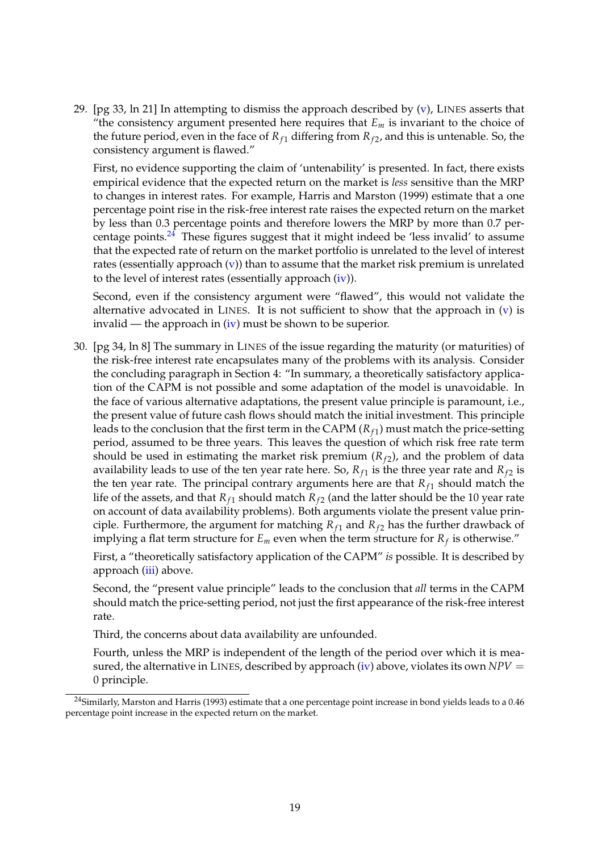<span id="page-20-0"></span>29. [pg 33, ln 21] In attempting to dismiss the approach described by  $(v)$ , LINES asserts that "the consistency argument presented here requires that  $E_m$  is invariant to the choice of the future period, even in the face of  $R_{f1}$  differing from  $R_{f2}$ , and this is untenable. So, the consistency argument is flawed."

First, no evidence supporting the claim of 'untenability' is presented. In fact, there exists empirical evidence that the expected return on the market is *less* sensitive than the MRP to changes in interest rates. For example, Harris and Marston (1999) estimate that a one percentage point rise in the risk-free interest rate raises the expected return on the market by less than 0.3 percentage points and therefore lowers the MRP by more than 0.7 percentage points. $24$  These figures suggest that it might indeed be 'less invalid' to assume that the expected rate of return on the market portfolio is unrelated to the level of interest rates (essentially approach  $(v)$ ) than to assume that the market risk premium is unrelated to the level of interest rates (essentially approach [\(iv\)](#page-18-5)).

Second, even if the consistency argument were "flawed", this would not validate the alternative advocated in LINES. It is not sufficient to show that the approach in  $(v)$  is invalid — the approach in  $(iv)$  must be shown to be superior.

<span id="page-20-1"></span>30. [pg 34, ln 8] The summary in LINES of the issue regarding the maturity (or maturities) of the risk-free interest rate encapsulates many of the problems with its analysis. Consider the concluding paragraph in Section 4: "In summary, a theoretically satisfactory application of the CAPM is not possible and some adaptation of the model is unavoidable. In the face of various alternative adaptations, the present value principle is paramount, i.e., the present value of future cash flows should match the initial investment. This principle leads to the conclusion that the first term in the  ${\rm CAPM}$  ( $R_{f1})$  must match the price-setting period, assumed to be three years. This leaves the question of which risk free rate term should be used in estimating the market risk premium  $(R_{f2})$ , and the problem of data availability leads to use of the ten year rate here. So,  $R_{f1}$  is the three year rate and  $R_{f2}$  is the ten year rate. The principal contrary arguments here are that  $R_{f1}$  should match the life of the assets, and that  $R_{f1}$  should match  $R_{f2}$  (and the latter should be the 10 year rate on account of data availability problems). Both arguments violate the present value principle. Furthermore, the argument for matching  $R_{f1}$  and  $R_{f2}$  has the further drawback of implying a flat term structure for  $E_m$  even when the term structure for  $R_f$  is otherwise."

First, a "theoretically satisfactory application of the CAPM" *is* possible. It is described by approach [\(iii\)](#page-18-3) above.

Second, the "present value principle" leads to the conclusion that *all* terms in the CAPM should match the price-setting period, not just the first appearance of the risk-free interest rate.

Third, the concerns about data availability are unfounded.

Fourth, unless the MRP is independent of the length of the period over which it is mea-sured, the alternative in LINES, described by approach [\(iv\)](#page-18-5) above, violates its own  $NPV =$ 0 principle.

<span id="page-20-2"></span><sup>&</sup>lt;sup>24</sup>Similarly, Marston and Harris (1993) estimate that a one percentage point increase in bond yields leads to a 0.46 percentage point increase in the expected return on the market.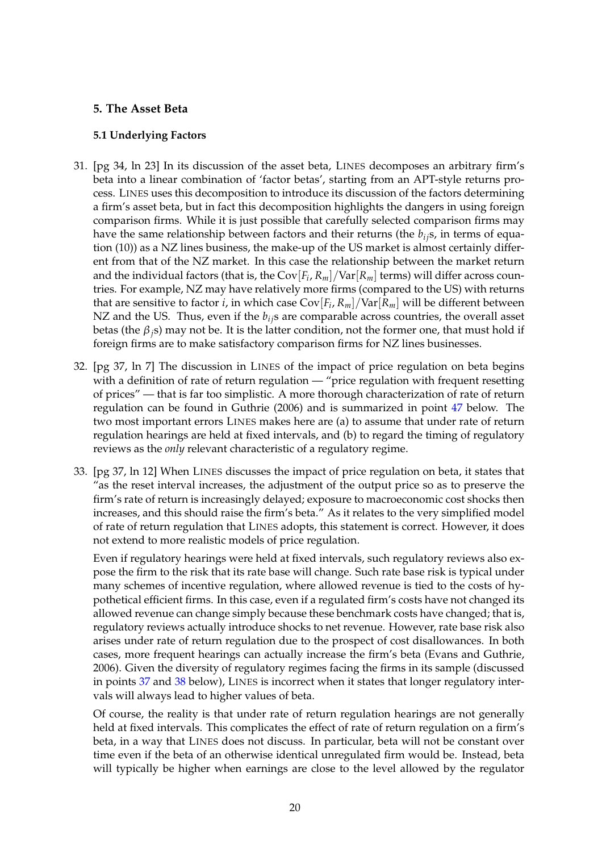## **5. The Asset Beta**

### **5.1 Underlying Factors**

- <span id="page-21-2"></span>31. [pg 34, ln 23] In its discussion of the asset beta, LINES decomposes an arbitrary firm's beta into a linear combination of 'factor betas', starting from an APT-style returns process. LINES uses this decomposition to introduce its discussion of the factors determining a firm's asset beta, but in fact this decomposition highlights the dangers in using foreign comparison firms. While it is just possible that carefully selected comparison firms may have the same relationship between factors and their returns (the  $b_i$ ; is, in terms of equation (10)) as a NZ lines business, the make-up of the US market is almost certainly different from that of the NZ market. In this case the relationship between the market return and the individual factors (that is, the  $\text{Cov}[F_i,R_m]/\text{Var}[R_m]$  terms) will differ across countries. For example, NZ may have relatively more firms (compared to the US) with returns that are sensitive to factor *i*, in which case Cov[*F<sup>i</sup>* , *Rm*]/Var[*Rm*] will be different between NZ and the US. Thus, even if the *bij*s are comparable across countries, the overall asset betas (the  $\beta_i$ s) may not be. It is the latter condition, not the former one, that must hold if foreign firms are to make satisfactory comparison firms for NZ lines businesses.
- <span id="page-21-0"></span>32. [pg 37, ln 7] The discussion in LINES of the impact of price regulation on beta begins with a definition of rate of return regulation — "price regulation with frequent resetting of prices" — that is far too simplistic. A more thorough characterization of rate of return regulation can be found in Guthrie (2006) and is summarized in point [47](#page-25-0) below. The two most important errors LINES makes here are (a) to assume that under rate of return regulation hearings are held at fixed intervals, and (b) to regard the timing of regulatory reviews as the *only* relevant characteristic of a regulatory regime.
- <span id="page-21-1"></span>33. [pg 37, ln 12] When LINES discusses the impact of price regulation on beta, it states that "as the reset interval increases, the adjustment of the output price so as to preserve the firm's rate of return is increasingly delayed; exposure to macroeconomic cost shocks then increases, and this should raise the firm's beta." As it relates to the very simplified model of rate of return regulation that LINES adopts, this statement is correct. However, it does not extend to more realistic models of price regulation.

Even if regulatory hearings were held at fixed intervals, such regulatory reviews also expose the firm to the risk that its rate base will change. Such rate base risk is typical under many schemes of incentive regulation, where allowed revenue is tied to the costs of hypothetical efficient firms. In this case, even if a regulated firm's costs have not changed its allowed revenue can change simply because these benchmark costs have changed; that is, regulatory reviews actually introduce shocks to net revenue. However, rate base risk also arises under rate of return regulation due to the prospect of cost disallowances. In both cases, more frequent hearings can actually increase the firm's beta (Evans and Guthrie, 2006). Given the diversity of regulatory regimes facing the firms in its sample (discussed in points [37](#page-22-0) and [38](#page-23-0) below), LINES is incorrect when it states that longer regulatory intervals will always lead to higher values of beta.

Of course, the reality is that under rate of return regulation hearings are not generally held at fixed intervals. This complicates the effect of rate of return regulation on a firm's beta, in a way that LINES does not discuss. In particular, beta will not be constant over time even if the beta of an otherwise identical unregulated firm would be. Instead, beta will typically be higher when earnings are close to the level allowed by the regulator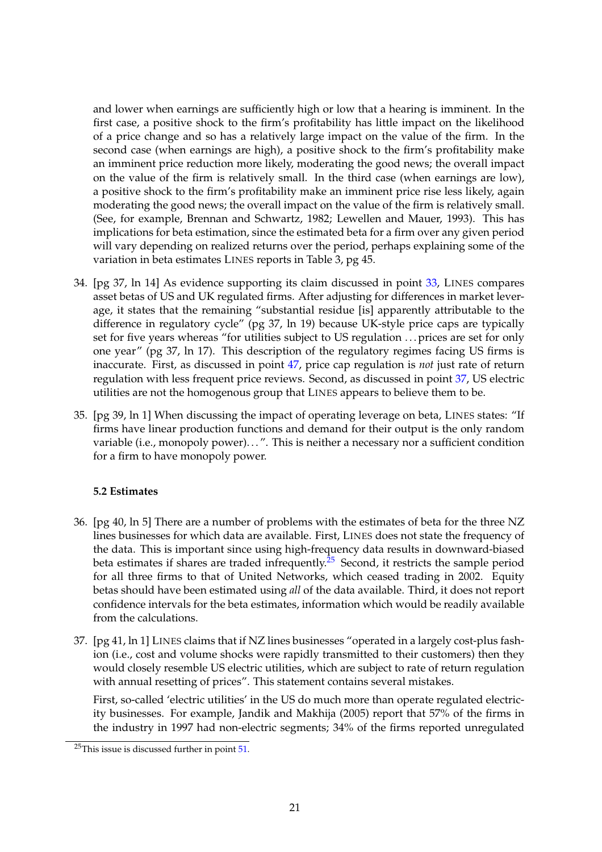and lower when earnings are sufficiently high or low that a hearing is imminent. In the first case, a positive shock to the firm's profitability has little impact on the likelihood of a price change and so has a relatively large impact on the value of the firm. In the second case (when earnings are high), a positive shock to the firm's profitability make an imminent price reduction more likely, moderating the good news; the overall impact on the value of the firm is relatively small. In the third case (when earnings are low), a positive shock to the firm's profitability make an imminent price rise less likely, again moderating the good news; the overall impact on the value of the firm is relatively small. (See, for example, Brennan and Schwartz, 1982; Lewellen and Mauer, 1993). This has implications for beta estimation, since the estimated beta for a firm over any given period will vary depending on realized returns over the period, perhaps explaining some of the variation in beta estimates LINES reports in Table 3, pg 45.

- <span id="page-22-2"></span>34. [pg 37, ln 14] As evidence supporting its claim discussed in point [33,](#page-21-1) LINES compares asset betas of US and UK regulated firms. After adjusting for differences in market leverage, it states that the remaining "substantial residue [is] apparently attributable to the difference in regulatory cycle" (pg 37, ln 19) because UK-style price caps are typically set for five years whereas "for utilities subject to US regulation . . . prices are set for only one year" (pg 37, ln 17). This description of the regulatory regimes facing US firms is inaccurate. First, as discussed in point [47,](#page-25-0) price cap regulation is *not* just rate of return regulation with less frequent price reviews. Second, as discussed in point [37,](#page-22-0) US electric utilities are not the homogenous group that LINES appears to believe them to be.
- 35. [pg 39, ln 1] When discussing the impact of operating leverage on beta, LINES states: "If firms have linear production functions and demand for their output is the only random variable (i.e., monopoly power)...". This is neither a necessary nor a sufficient condition for a firm to have monopoly power.

## **5.2 Estimates**

- <span id="page-22-1"></span>36. [pg 40, ln 5] There are a number of problems with the estimates of beta for the three NZ lines businesses for which data are available. First, LINES does not state the frequency of the data. This is important since using high-frequency data results in downward-biased beta estimates if shares are traded infrequently.<sup>[25](#page-22-3)</sup> Second, it restricts the sample period for all three firms to that of United Networks, which ceased trading in 2002. Equity betas should have been estimated using *all* of the data available. Third, it does not report confidence intervals for the beta estimates, information which would be readily available from the calculations.
- <span id="page-22-0"></span>37. [pg 41, ln 1] LINES claims that if NZ lines businesses "operated in a largely cost-plus fashion (i.e., cost and volume shocks were rapidly transmitted to their customers) then they would closely resemble US electric utilities, which are subject to rate of return regulation with annual resetting of prices". This statement contains several mistakes.

First, so-called 'electric utilities' in the US do much more than operate regulated electricity businesses. For example, Jandik and Makhija (2005) report that 57% of the firms in the industry in 1997 had non-electric segments; 34% of the firms reported unregulated

<span id="page-22-3"></span> $25$ This issue is discussed further in point  $51$ .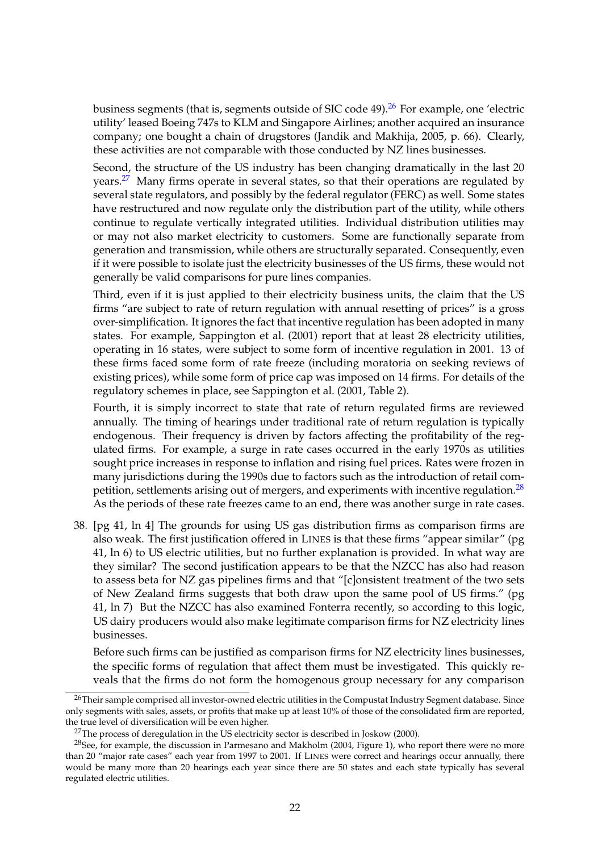business segments (that is, segments outside of SIC code 49). [26](#page-23-1) For example, one 'electric utility' leased Boeing 747s to KLM and Singapore Airlines; another acquired an insurance company; one bought a chain of drugstores (Jandik and Makhija, 2005, p. 66). Clearly, these activities are not comparable with those conducted by NZ lines businesses.

Second, the structure of the US industry has been changing dramatically in the last 20 years. $27$  Many firms operate in several states, so that their operations are regulated by several state regulators, and possibly by the federal regulator (FERC) as well. Some states have restructured and now regulate only the distribution part of the utility, while others continue to regulate vertically integrated utilities. Individual distribution utilities may or may not also market electricity to customers. Some are functionally separate from generation and transmission, while others are structurally separated. Consequently, even if it were possible to isolate just the electricity businesses of the US firms, these would not generally be valid comparisons for pure lines companies.

Third, even if it is just applied to their electricity business units, the claim that the US firms "are subject to rate of return regulation with annual resetting of prices" is a gross over-simplification. It ignores the fact that incentive regulation has been adopted in many states. For example, Sappington et al. (2001) report that at least 28 electricity utilities, operating in 16 states, were subject to some form of incentive regulation in 2001. 13 of these firms faced some form of rate freeze (including moratoria on seeking reviews of existing prices), while some form of price cap was imposed on 14 firms. For details of the regulatory schemes in place, see Sappington et al. (2001, Table 2).

Fourth, it is simply incorrect to state that rate of return regulated firms are reviewed annually. The timing of hearings under traditional rate of return regulation is typically endogenous. Their frequency is driven by factors affecting the profitability of the regulated firms. For example, a surge in rate cases occurred in the early 1970s as utilities sought price increases in response to inflation and rising fuel prices. Rates were frozen in many jurisdictions during the 1990s due to factors such as the introduction of retail competition, settlements arising out of mergers, and experiments with incentive regulation.[28](#page-23-3) As the periods of these rate freezes came to an end, there was another surge in rate cases.

<span id="page-23-0"></span>38. [pg 41, ln 4] The grounds for using US gas distribution firms as comparison firms are also weak. The first justification offered in LINES is that these firms "appear similar" (pg 41, ln 6) to US electric utilities, but no further explanation is provided. In what way are they similar? The second justification appears to be that the NZCC has also had reason to assess beta for NZ gas pipelines firms and that "[c]onsistent treatment of the two sets of New Zealand firms suggests that both draw upon the same pool of US firms." (pg 41, ln 7) But the NZCC has also examined Fonterra recently, so according to this logic, US dairy producers would also make legitimate comparison firms for NZ electricity lines businesses.

Before such firms can be justified as comparison firms for NZ electricity lines businesses, the specific forms of regulation that affect them must be investigated. This quickly reveals that the firms do not form the homogenous group necessary for any comparison

<span id="page-23-1"></span><sup>&</sup>lt;sup>26</sup>Their sample comprised all investor-owned electric utilities in the Compustat Industry Segment database. Since only segments with sales, assets, or profits that make up at least 10% of those of the consolidated firm are reported, the true level of diversification will be even higher.

 $27$ The process of deregulation in the US electricity sector is described in Joskow (2000).

<span id="page-23-3"></span><span id="page-23-2"></span> $28$ See, for example, the discussion in Parmesano and Makholm (2004, Figure 1), who report there were no more than 20 "major rate cases" each year from 1997 to 2001. If LINES were correct and hearings occur annually, there would be many more than 20 hearings each year since there are 50 states and each state typically has several regulated electric utilities.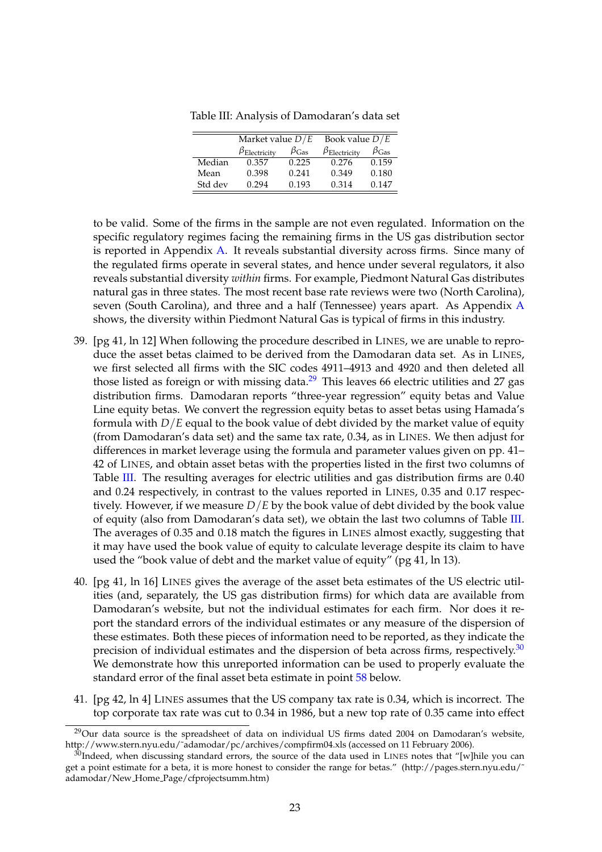<span id="page-24-4"></span>Table III: Analysis of Damodaran's data set

|         | Market value $D/E$  |             | Book value $D/E$    |             |
|---------|---------------------|-------------|---------------------|-------------|
|         | $\beta$ Electricity | $\beta$ Gas | $\beta$ Electricity | $\beta$ Gas |
| Median  | 0.357               | 0.225       | 0.276               | 0.159       |
| Mean    | 0.398               | 0.241       | 0.349               | 0.180       |
| Std dev | 0.294               | 0.193       | 0.314               | 0.147       |

to be valid. Some of the firms in the sample are not even regulated. Information on the specific regulatory regimes facing the remaining firms in the US gas distribution sector is reported in Appendix [A.](#page-52-0) It reveals substantial diversity across firms. Since many of the regulated firms operate in several states, and hence under several regulators, it also reveals substantial diversity *within* firms. For example, Piedmont Natural Gas distributes natural gas in three states. The most recent base rate reviews were two (North Carolina), seven (South Carolina), and three and a half (Tennessee) years apart. As Appendix [A](#page-52-0) shows, the diversity within Piedmont Natural Gas is typical of firms in this industry.

- <span id="page-24-0"></span>39. [pg 41, ln 12] When following the procedure described in LINES, we are unable to reproduce the asset betas claimed to be derived from the Damodaran data set. As in LINES, we first selected all firms with the SIC codes 4911–4913 and 4920 and then deleted all those listed as foreign or with missing data.<sup>[29](#page-24-3)</sup> This leaves 66 electric utilities and 27 gas distribution firms. Damodaran reports "three-year regression" equity betas and Value Line equity betas. We convert the regression equity betas to asset betas using Hamada's formula with *D*/*E* equal to the book value of debt divided by the market value of equity (from Damodaran's data set) and the same tax rate, 0.34, as in LINES. We then adjust for differences in market leverage using the formula and parameter values given on pp. 41– 42 of LINES, and obtain asset betas with the properties listed in the first two columns of Table [III.](#page-24-4) The resulting averages for electric utilities and gas distribution firms are 0.40 and 0.24 respectively, in contrast to the values reported in LINES, 0.35 and 0.17 respectively. However, if we measure  $D/E$  by the book value of debt divided by the book value of equity (also from Damodaran's data set), we obtain the last two columns of Table [III.](#page-24-4) The averages of 0.35 and 0.18 match the figures in LINES almost exactly, suggesting that it may have used the book value of equity to calculate leverage despite its claim to have used the "book value of debt and the market value of equity" (pg 41, ln 13).
- <span id="page-24-2"></span>40. [pg 41, ln 16] LINES gives the average of the asset beta estimates of the US electric utilities (and, separately, the US gas distribution firms) for which data are available from Damodaran's website, but not the individual estimates for each firm. Nor does it report the standard errors of the individual estimates or any measure of the dispersion of these estimates. Both these pieces of information need to be reported, as they indicate the precision of individual estimates and the dispersion of beta across firms, respectively.[30](#page-24-5) We demonstrate how this unreported information can be used to properly evaluate the standard error of the final asset beta estimate in point [58](#page-28-2) below.
- <span id="page-24-1"></span>41. [pg 42, ln 4] LINES assumes that the US company tax rate is 0.34, which is incorrect. The top corporate tax rate was cut to 0.34 in 1986, but a new top rate of 0.35 came into effect

<span id="page-24-3"></span> $^{29}$ Our data source is the spreadsheet of data on individual US firms dated 2004 on Damodaran's website, http://www.stern.nyu.edu/˜adamodar/pc/archives/compfirm04.xls (accessed on 11 February 2006).

<span id="page-24-5"></span> $^{30}$ Indeed, when discussing standard errors, the source of the data used in LINES notes that "[w]hile you can get a point estimate for a beta, it is more honest to consider the range for betas." (http://pages.stern.nyu.edu/˜ adamodar/New Home Page/cfprojectsumm.htm)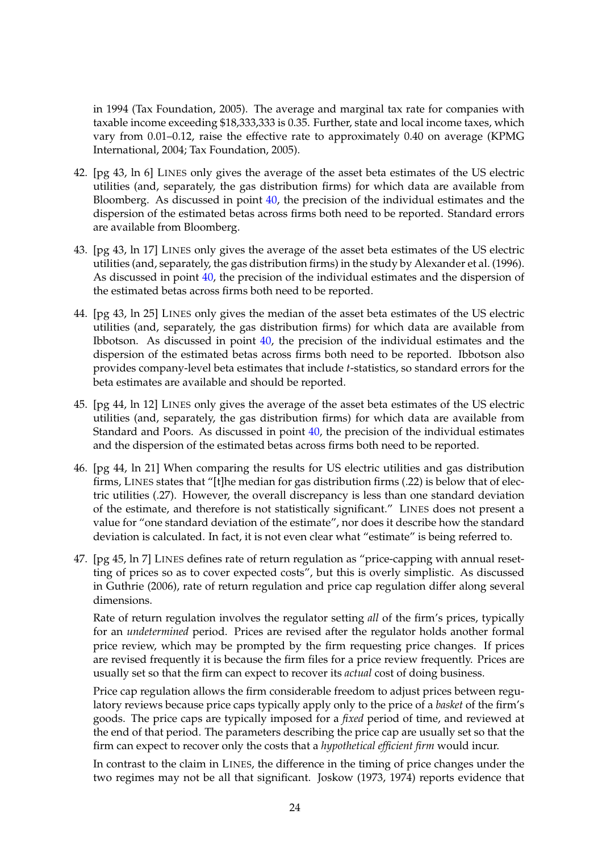in 1994 (Tax Foundation, 2005). The average and marginal tax rate for companies with taxable income exceeding \$18,333,333 is 0.35. Further, state and local income taxes, which vary from 0.01–0.12, raise the effective rate to approximately 0.40 on average (KPMG International, 2004; Tax Foundation, 2005).

- <span id="page-25-1"></span>42. [pg 43, ln 6] LINES only gives the average of the asset beta estimates of the US electric utilities (and, separately, the gas distribution firms) for which data are available from Bloomberg. As discussed in point [40,](#page-24-2) the precision of the individual estimates and the dispersion of the estimated betas across firms both need to be reported. Standard errors are available from Bloomberg.
- <span id="page-25-2"></span>43. [pg 43, ln 17] LINES only gives the average of the asset beta estimates of the US electric utilities (and, separately, the gas distribution firms) in the study by Alexander et al. (1996). As discussed in point [40,](#page-24-2) the precision of the individual estimates and the dispersion of the estimated betas across firms both need to be reported.
- <span id="page-25-3"></span>44. [pg 43, ln 25] LINES only gives the median of the asset beta estimates of the US electric utilities (and, separately, the gas distribution firms) for which data are available from Ibbotson. As discussed in point [40,](#page-24-2) the precision of the individual estimates and the dispersion of the estimated betas across firms both need to be reported. Ibbotson also provides company-level beta estimates that include *t*-statistics, so standard errors for the beta estimates are available and should be reported.
- <span id="page-25-4"></span>45. [pg 44, ln 12] LINES only gives the average of the asset beta estimates of the US electric utilities (and, separately, the gas distribution firms) for which data are available from Standard and Poors. As discussed in point [40,](#page-24-2) the precision of the individual estimates and the dispersion of the estimated betas across firms both need to be reported.
- 46. [pg 44, ln 21] When comparing the results for US electric utilities and gas distribution firms, LINES states that "[t]he median for gas distribution firms (.22) is below that of electric utilities (.27). However, the overall discrepancy is less than one standard deviation of the estimate, and therefore is not statistically significant." LINES does not present a value for "one standard deviation of the estimate", nor does it describe how the standard deviation is calculated. In fact, it is not even clear what "estimate" is being referred to.
- <span id="page-25-0"></span>47. [pg 45, ln 7] LINES defines rate of return regulation as "price-capping with annual resetting of prices so as to cover expected costs", but this is overly simplistic. As discussed in Guthrie (2006), rate of return regulation and price cap regulation differ along several dimensions.

Rate of return regulation involves the regulator setting *all* of the firm's prices, typically for an *undetermined* period. Prices are revised after the regulator holds another formal price review, which may be prompted by the firm requesting price changes. If prices are revised frequently it is because the firm files for a price review frequently. Prices are usually set so that the firm can expect to recover its *actual* cost of doing business.

Price cap regulation allows the firm considerable freedom to adjust prices between regulatory reviews because price caps typically apply only to the price of a *basket* of the firm's goods. The price caps are typically imposed for a *fixed* period of time, and reviewed at the end of that period. The parameters describing the price cap are usually set so that the firm can expect to recover only the costs that a *hypothetical efficient firm* would incur.

In contrast to the claim in LINES, the difference in the timing of price changes under the two regimes may not be all that significant. Joskow (1973, 1974) reports evidence that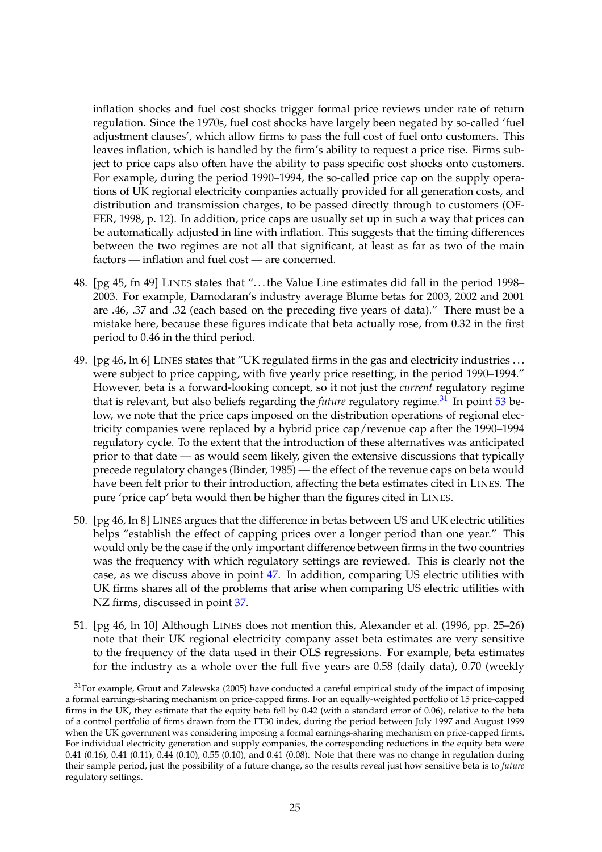inflation shocks and fuel cost shocks trigger formal price reviews under rate of return regulation. Since the 1970s, fuel cost shocks have largely been negated by so-called 'fuel adjustment clauses', which allow firms to pass the full cost of fuel onto customers. This leaves inflation, which is handled by the firm's ability to request a price rise. Firms subject to price caps also often have the ability to pass specific cost shocks onto customers. For example, during the period 1990–1994, the so-called price cap on the supply operations of UK regional electricity companies actually provided for all generation costs, and distribution and transmission charges, to be passed directly through to customers (OF-FER, 1998, p. 12). In addition, price caps are usually set up in such a way that prices can be automatically adjusted in line with inflation. This suggests that the timing differences between the two regimes are not all that significant, at least as far as two of the main factors — inflation and fuel cost — are concerned.

- 48. [pg 45, fn 49] LINES states that ". . . the Value Line estimates did fall in the period 1998– 2003. For example, Damodaran's industry average Blume betas for 2003, 2002 and 2001 are .46, .37 and .32 (each based on the preceding five years of data)." There must be a mistake here, because these figures indicate that beta actually rose, from 0.32 in the first period to 0.46 in the third period.
- 49. [pg 46, ln 6] LINES states that "UK regulated firms in the gas and electricity industries . . . were subject to price capping, with five yearly price resetting, in the period 1990–1994." However, beta is a forward-looking concept, so it not just the *current* regulatory regime that is relevant, but also beliefs regarding the *future* regulatory regime.<sup>[31](#page-26-2)</sup> In point  $\frac{53}{2}$  $\frac{53}{2}$  $\frac{53}{2}$  below, we note that the price caps imposed on the distribution operations of regional electricity companies were replaced by a hybrid price cap/revenue cap after the 1990–1994 regulatory cycle. To the extent that the introduction of these alternatives was anticipated prior to that date — as would seem likely, given the extensive discussions that typically precede regulatory changes (Binder, 1985) — the effect of the revenue caps on beta would have been felt prior to their introduction, affecting the beta estimates cited in LINES. The pure 'price cap' beta would then be higher than the figures cited in LINES.
- <span id="page-26-1"></span>50. [pg 46, ln 8] LINES argues that the difference in betas between US and UK electric utilities helps "establish the effect of capping prices over a longer period than one year." This would only be the case if the only important difference between firms in the two countries was the frequency with which regulatory settings are reviewed. This is clearly not the case, as we discuss above in point [47.](#page-25-0) In addition, comparing US electric utilities with UK firms shares all of the problems that arise when comparing US electric utilities with NZ firms, discussed in point [37.](#page-22-0)
- <span id="page-26-0"></span>51. [pg 46, ln 10] Although LINES does not mention this, Alexander et al. (1996, pp. 25–26) note that their UK regional electricity company asset beta estimates are very sensitive to the frequency of the data used in their OLS regressions. For example, beta estimates for the industry as a whole over the full five years are 0.58 (daily data), 0.70 (weekly

<span id="page-26-2"></span> $31$ For example, Grout and Zalewska (2005) have conducted a careful empirical study of the impact of imposing a formal earnings-sharing mechanism on price-capped firms. For an equally-weighted portfolio of 15 price-capped firms in the UK, they estimate that the equity beta fell by 0.42 (with a standard error of 0.06), relative to the beta of a control portfolio of firms drawn from the FT30 index, during the period between July 1997 and August 1999 when the UK government was considering imposing a formal earnings-sharing mechanism on price-capped firms. For individual electricity generation and supply companies, the corresponding reductions in the equity beta were 0.41 (0.16), 0.41 (0.11), 0.44 (0.10), 0.55 (0.10), and 0.41 (0.08). Note that there was no change in regulation during their sample period, just the possibility of a future change, so the results reveal just how sensitive beta is to *future* regulatory settings.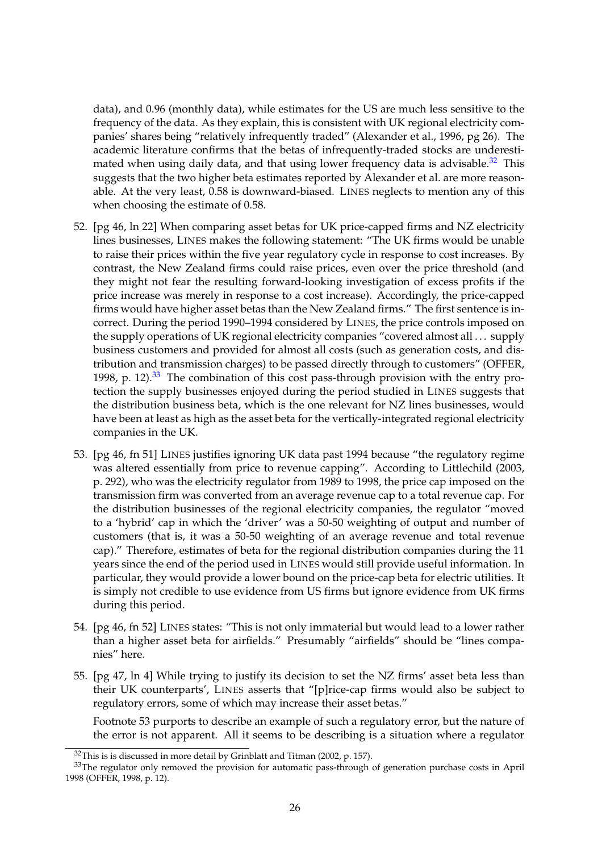data), and 0.96 (monthly data), while estimates for the US are much less sensitive to the frequency of the data. As they explain, this is consistent with UK regional electricity companies' shares being "relatively infrequently traded" (Alexander et al., 1996, pg 26). The academic literature confirms that the betas of infrequently-traded stocks are underestimated when using daily data, and that using lower frequency data is advisable. $32$  This suggests that the two higher beta estimates reported by Alexander et al. are more reasonable. At the very least, 0.58 is downward-biased. LINES neglects to mention any of this when choosing the estimate of 0.58.

- <span id="page-27-0"></span>52. [pg 46, ln 22] When comparing asset betas for UK price-capped firms and NZ electricity lines businesses, LINES makes the following statement: "The UK firms would be unable to raise their prices within the five year regulatory cycle in response to cost increases. By contrast, the New Zealand firms could raise prices, even over the price threshold (and they might not fear the resulting forward-looking investigation of excess profits if the price increase was merely in response to a cost increase). Accordingly, the price-capped firms would have higher asset betas than the New Zealand firms." The first sentence is incorrect. During the period 1990–1994 considered by LINES, the price controls imposed on the supply operations of UK regional electricity companies "covered almost all . . . supply business customers and provided for almost all costs (such as generation costs, and distribution and transmission charges) to be passed directly through to customers" (OFFER, 1998, p. 12). $33$  The combination of this cost pass-through provision with the entry protection the supply businesses enjoyed during the period studied in LINES suggests that the distribution business beta, which is the one relevant for NZ lines businesses, would have been at least as high as the asset beta for the vertically-integrated regional electricity companies in the UK.
- <span id="page-27-2"></span>53. [pg 46, fn 51] LINES justifies ignoring UK data past 1994 because "the regulatory regime was altered essentially from price to revenue capping". According to Littlechild (2003, p. 292), who was the electricity regulator from 1989 to 1998, the price cap imposed on the transmission firm was converted from an average revenue cap to a total revenue cap. For the distribution businesses of the regional electricity companies, the regulator "moved to a 'hybrid' cap in which the 'driver' was a 50-50 weighting of output and number of customers (that is, it was a 50-50 weighting of an average revenue and total revenue cap)." Therefore, estimates of beta for the regional distribution companies during the 11 years since the end of the period used in LINES would still provide useful information. In particular, they would provide a lower bound on the price-cap beta for electric utilities. It is simply not credible to use evidence from US firms but ignore evidence from UK firms during this period.
- 54. [pg 46, fn 52] LINES states: "This is not only immaterial but would lead to a lower rather than a higher asset beta for airfields." Presumably "airfields" should be "lines companies" here.
- <span id="page-27-1"></span>55. [pg 47, ln 4] While trying to justify its decision to set the NZ firms' asset beta less than their UK counterparts', LINES asserts that "[p]rice-cap firms would also be subject to regulatory errors, some of which may increase their asset betas."

Footnote 53 purports to describe an example of such a regulatory error, but the nature of the error is not apparent. All it seems to be describing is a situation where a regulator

 $32$ This is is discussed in more detail by Grinblatt and Titman (2002, p. 157).

<span id="page-27-4"></span><span id="page-27-3"></span> $33$ The regulator only removed the provision for automatic pass-through of generation purchase costs in April 1998 (OFFER, 1998, p. 12).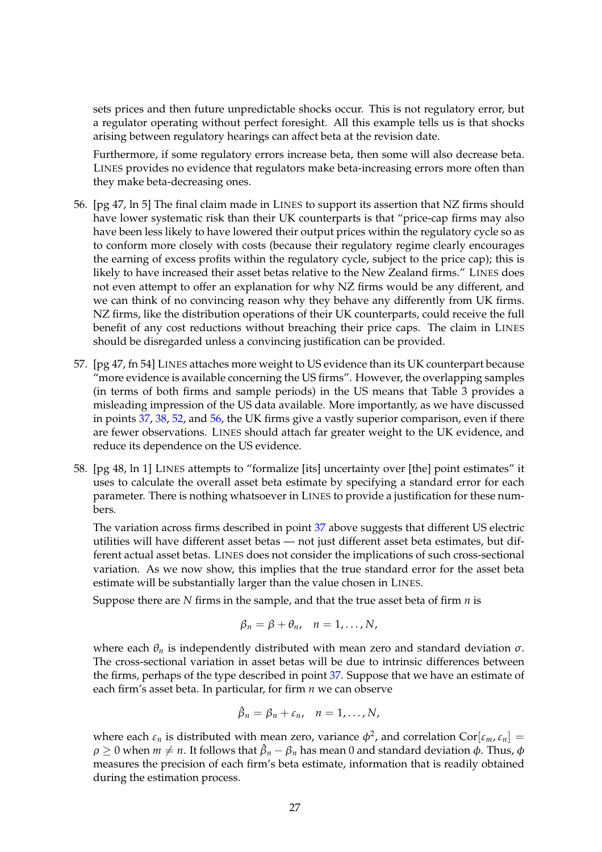sets prices and then future unpredictable shocks occur. This is not regulatory error, but a regulator operating without perfect foresight. All this example tells us is that shocks arising between regulatory hearings can affect beta at the revision date.

Furthermore, if some regulatory errors increase beta, then some will also decrease beta. LINES provides no evidence that regulators make beta-increasing errors more often than they make beta-decreasing ones.

- <span id="page-28-0"></span>56. [pg 47, ln 5] The final claim made in LINES to support its assertion that NZ firms should have lower systematic risk than their UK counterparts is that "price-cap firms may also have been less likely to have lowered their output prices within the regulatory cycle so as to conform more closely with costs (because their regulatory regime clearly encourages the earning of excess profits within the regulatory cycle, subject to the price cap); this is likely to have increased their asset betas relative to the New Zealand firms." LINES does not even attempt to offer an explanation for why NZ firms would be any different, and we can think of no convincing reason why they behave any differently from UK firms. NZ firms, like the distribution operations of their UK counterparts, could receive the full benefit of any cost reductions without breaching their price caps. The claim in LINES should be disregarded unless a convincing justification can be provided.
- <span id="page-28-1"></span>57. [pg 47, fn 54] LINES attaches more weight to US evidence than its UK counterpart because "more evidence is available concerning the US firms". However, the overlapping samples (in terms of both firms and sample periods) in the US means that Table 3 provides a misleading impression of the US data available. More importantly, as we have discussed in points [37,](#page-22-0) [38,](#page-23-0) [52,](#page-27-0) and [56,](#page-28-0) the UK firms give a vastly superior comparison, even if there are fewer observations. LINES should attach far greater weight to the UK evidence, and reduce its dependence on the US evidence.
- <span id="page-28-2"></span>58. [pg 48, ln 1] LINES attempts to "formalize [its] uncertainty over [the] point estimates" it uses to calculate the overall asset beta estimate by specifying a standard error for each parameter. There is nothing whatsoever in LINES to provide a justification for these numbers.

The variation across firms described in point [37](#page-22-0) above suggests that different US electric utilities will have different asset betas — not just different asset beta estimates, but different actual asset betas. LINES does not consider the implications of such cross-sectional variation. As we now show, this implies that the true standard error for the asset beta estimate will be substantially larger than the value chosen in LINES.

Suppose there are *N* firms in the sample, and that the true asset beta of firm *n* is

$$
\beta_n = \beta + \theta_n, \quad n = 1, \ldots, N,
$$

where each  $\theta_n$  is independently distributed with mean zero and standard deviation  $\sigma$ . The cross-sectional variation in asset betas will be due to intrinsic differences between the firms, perhaps of the type described in point [37.](#page-22-0) Suppose that we have an estimate of each firm's asset beta. In particular, for firm *n* we can observe

$$
\hat{\beta}_n = \beta_n + \varepsilon_n, \quad n = 1, \ldots, N,
$$

where each  $\varepsilon_n$  is distributed with mean zero, variance  $\phi^2$ , and correlation  $\text{Cor}[ \varepsilon_m, \varepsilon_n ] =$  $\rho \geq 0$  when  $m \neq n.$  It follows that  $\hat{\beta}_n - \beta_n$  has mean 0 and standard deviation  $\phi.$  Thus,  $\phi$ measures the precision of each firm's beta estimate, information that is readily obtained during the estimation process.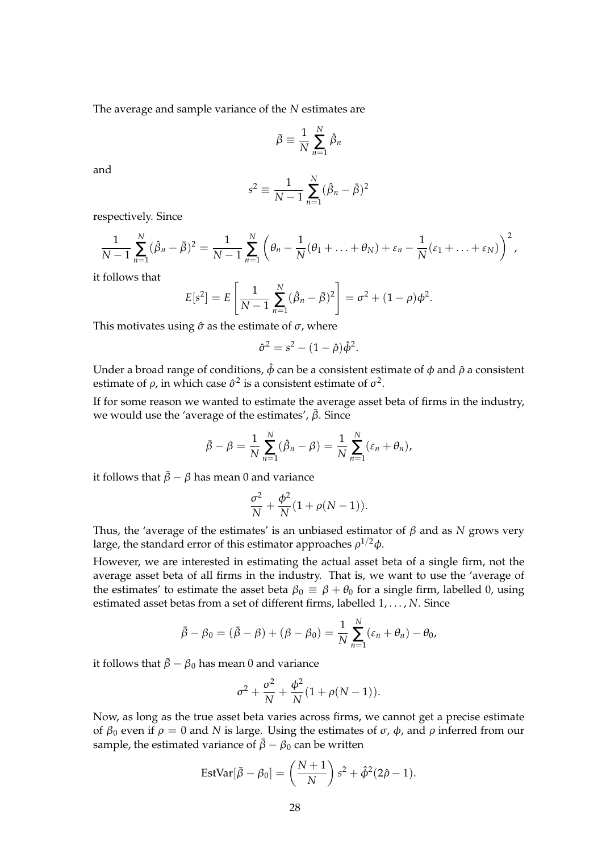The average and sample variance of the *N* estimates are

$$
\bar{\beta} \equiv \frac{1}{N} \sum_{n=1}^{N} \hat{\beta}_n
$$

and

$$
s^{2} \equiv \frac{1}{N-1} \sum_{n=1}^{N} (\hat{\beta}_{n} - \bar{\beta})^{2}
$$

respectively. Since

$$
\frac{1}{N-1}\sum_{n=1}^N(\hat{\beta}_n-\bar{\beta})^2=\frac{1}{N-1}\sum_{n=1}^N\left(\theta_n-\frac{1}{N}(\theta_1+\ldots+\theta_N)+\varepsilon_n-\frac{1}{N}(\varepsilon_1+\ldots+\varepsilon_N)\right)^2,
$$

it follows that

$$
E[s^{2}] = E\left[\frac{1}{N-1}\sum_{n=1}^{N}(\hat{\beta}_{n}-\bar{\beta})^{2}\right] = \sigma^{2} + (1-\rho)\phi^{2}.
$$

This motivates using  $\hat{\sigma}$  as the estimate of  $\sigma$ , where

$$
\hat{\sigma}^2 = s^2 - (1 - \hat{\rho})\hat{\phi}^2.
$$

Under a broad range of conditions,  $\hat{\phi}$  can be a consistent estimate of  $\phi$  and  $\hat{\rho}$  a consistent estimate of  $\rho$ , in which case  $\hat{\sigma}^2$  is a consistent estimate of  $\sigma^2$ .

If for some reason we wanted to estimate the average asset beta of firms in the industry, we would use the 'average of the estimates',  $\bar{\beta}$ . Since

$$
\bar{\beta}-\beta=\frac{1}{N}\sum_{n=1}^N(\hat{\beta}_n-\beta)=\frac{1}{N}\sum_{n=1}^N(\varepsilon_n+\theta_n),
$$

it follows that  $\bar{\beta} - \beta$  has mean 0 and variance

$$
\frac{\sigma^2}{N} + \frac{\phi^2}{N} (1 + \rho(N-1)).
$$

Thus, the 'average of the estimates' is an unbiased estimator of  $\beta$  and as *N* grows very large, the standard error of this estimator approaches  $\rho^{1/2}\phi.$ 

However, we are interested in estimating the actual asset beta of a single firm, not the average asset beta of all firms in the industry. That is, we want to use the 'average of the estimates' to estimate the asset beta  $\beta_0 \equiv \beta + \theta_0$  for a single firm, labelled 0, using estimated asset betas from a set of different firms, labelled  $1, \ldots, N$ . Since

$$
\bar{\beta} - \beta_0 = (\bar{\beta} - \beta) + (\beta - \beta_0) = \frac{1}{N} \sum_{n=1}^{N} (\varepsilon_n + \theta_n) - \theta_0,
$$

it follows that  $\bar{\beta} - \beta_0$  has mean 0 and variance

$$
\sigma^2 + \frac{\sigma^2}{N} + \frac{\phi^2}{N} (1 + \rho(N - 1)).
$$

Now, as long as the true asset beta varies across firms, we cannot get a precise estimate of  $β_0$  even if  $ρ = 0$  and *N* is large. Using the estimates of  $σ$ ,  $φ$ , and  $ρ$  inferred from our sample, the estimated variance of  $\bar{\beta} - \beta_0$  can be written

$$
EstVar[\bar{\beta} - \beta_0] = \left(\frac{N+1}{N}\right)s^2 + \hat{\phi}^2(2\hat{\rho} - 1).
$$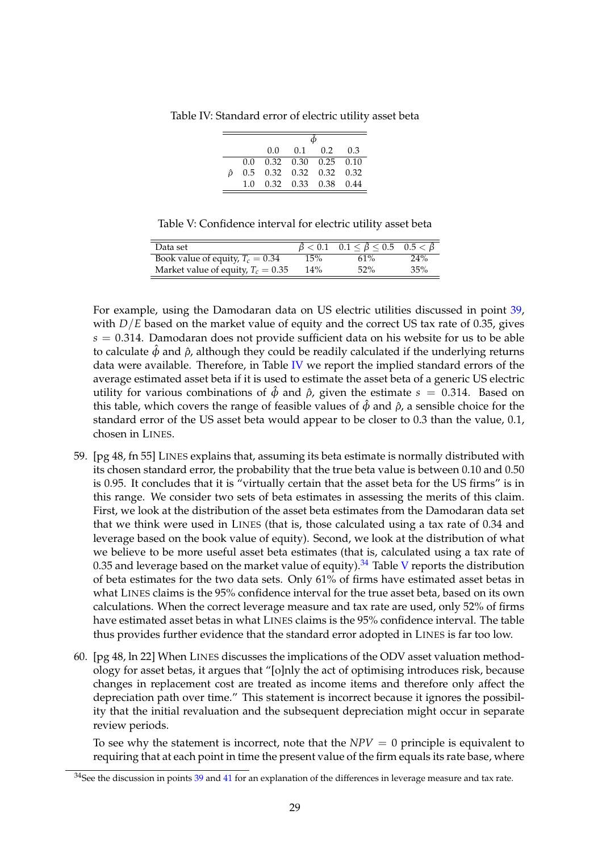<span id="page-30-2"></span>Table IV: Standard error of electric utility asset beta

|   |                                   | $0.0 \quad 0.1 \quad 0.2 \quad 0.3$ |  |  |
|---|-----------------------------------|-------------------------------------|--|--|
|   | $0.0$ $0.32$ $0.30$ $0.25$ $0.10$ |                                     |  |  |
| ô | $0.5$ $0.32$ $0.32$ $0.32$ $0.32$ |                                     |  |  |
|   | 1.0 0.32 0.33 0.38 0.44           |                                     |  |  |

Table V: Confidence interval for electric utility asset beta

<span id="page-30-4"></span>

| Data set                             | $\beta < 0.1$ | $0.1 \leq \hat{\beta} \leq 0.5$ $0.5 < \hat{\beta}$ |     |
|--------------------------------------|---------------|-----------------------------------------------------|-----|
| Book value of equity, $T_c = 0.34$   | 15%           | 61%                                                 | 24% |
| Market value of equity, $T_c = 0.35$ | $14\%$        | 52%                                                 | 35% |

For example, using the Damodaran data on US electric utilities discussed in point [39,](#page-24-0) with *D*/*E* based on the market value of equity and the correct US tax rate of 0.35, gives *s* = 0.314. Damodaran does not provide sufficient data on his website for us to be able to calculate  $\hat{\phi}$  and  $\hat{\rho}$ , although they could be readily calculated if the underlying returns data were available. Therefore, in Table [IV](#page-30-2) we report the implied standard errors of the average estimated asset beta if it is used to estimate the asset beta of a generic US electric utility for various combinations of  $\hat{\phi}$  and  $\hat{\rho}$ , given the estimate  $s = 0.314$ . Based on this table, which covers the range of feasible values of  $\hat{\phi}$  and  $\hat{\rho}$ , a sensible choice for the standard error of the US asset beta would appear to be closer to 0.3 than the value, 0.1, chosen in LINES.

- <span id="page-30-1"></span>59. [pg 48, fn 55] LINES explains that, assuming its beta estimate is normally distributed with its chosen standard error, the probability that the true beta value is between 0.10 and 0.50 is 0.95. It concludes that it is "virtually certain that the asset beta for the US firms" is in this range. We consider two sets of beta estimates in assessing the merits of this claim. First, we look at the distribution of the asset beta estimates from the Damodaran data set that we think were used in LINES (that is, those calculated using a tax rate of 0.34 and leverage based on the book value of equity). Second, we look at the distribution of what we believe to be more useful asset beta estimates (that is, calculated using a tax rate of 0.35 and leverage based on the market value of equity). $34$  Table [V](#page-30-4) reports the distribution of beta estimates for the two data sets. Only 61% of firms have estimated asset betas in what LINES claims is the 95% confidence interval for the true asset beta, based on its own calculations. When the correct leverage measure and tax rate are used, only 52% of firms have estimated asset betas in what LINES claims is the 95% confidence interval. The table thus provides further evidence that the standard error adopted in LINES is far too low.
- <span id="page-30-0"></span>60. [pg 48, ln 22] When LINES discusses the implications of the ODV asset valuation methodology for asset betas, it argues that "[o]nly the act of optimising introduces risk, because changes in replacement cost are treated as income items and therefore only affect the depreciation path over time." This statement is incorrect because it ignores the possibility that the initial revaluation and the subsequent depreciation might occur in separate review periods.

To see why the statement is incorrect, note that the  $NPV = 0$  principle is equivalent to requiring that at each point in time the present value of the firm equals its rate base, where

<span id="page-30-3"></span> $34$ See the discussion in points  $39$  and  $41$  for an explanation of the differences in leverage measure and tax rate.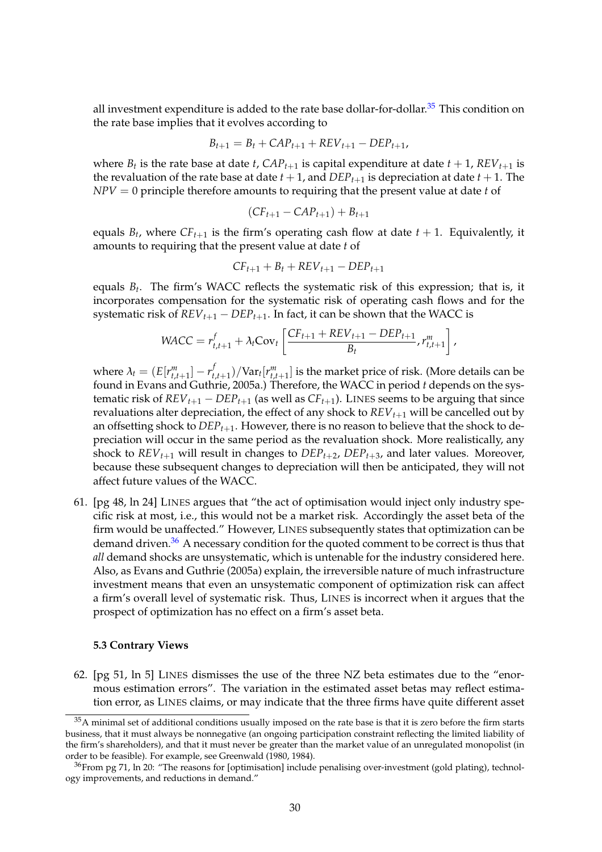all investment expenditure is added to the rate base dollar-for-dollar.<sup>[35](#page-31-2)</sup> This condition on the rate base implies that it evolves according to

$$
B_{t+1} = B_t + CAP_{t+1} + REV_{t+1} - DEP_{t+1},
$$

where  $B_t$  is the rate base at date *t*,  $CAP_{t+1}$  is capital expenditure at date  $t + 1$ ,  $REV_{t+1}$  is the revaluation of the rate base at date  $t + 1$ , and  $DEP_{t+1}$  is depreciation at date  $t + 1$ . The *NPV* = 0 principle therefore amounts to requiring that the present value at date *t* of

$$
(CF_{t+1}-CAP_{t+1})+B_{t+1}
$$

equals  $B_t$ , where  $CF_{t+1}$  is the firm's operating cash flow at date  $t+1$ . Equivalently, it amounts to requiring that the present value at date *t* of

$$
CF_{t+1} + B_t + REV_{t+1} - DEP_{t+1}
$$

equals *B<sup>t</sup>* . The firm's WACC reflects the systematic risk of this expression; that is, it incorporates compensation for the systematic risk of operating cash flows and for the systematic risk of  $REV_{t+1} - DEP_{t+1}$ . In fact, it can be shown that the WACC is

$$
WACC = r_{t,t+1}^f + \lambda_t \text{Cov}_t \left[ \frac{CF_{t+1} + REV_{t+1} - DEP_{t+1}}{B_t}, r_{t,t+1}^m \right]
$$

,

where  $\lambda_t = (E[r^m_{t,t+1}] - r^f_{t}]$  $(t_{t,t+1})/\text{Var}_t[r_{t,t+1}^m]$  is the market price of risk. (More details can be found in Evans and Guthrie, 2005a.) Therefore, the WACC in period *t* depends on the systematic risk of  $REV_{t+1} - DEP_{t+1}$  (as well as  $CF_{t+1}$ ). LINES seems to be arguing that since revaluations alter depreciation, the effect of any shock to *REVt*+<sup>1</sup> will be cancelled out by an offsetting shock to  $DEP_{t+1}$ . However, there is no reason to believe that the shock to depreciation will occur in the same period as the revaluation shock. More realistically, any shock to  $REV_{t+1}$  will result in changes to  $DEP_{t+2}$ ,  $DEP_{t+3}$ , and later values. Moreover, because these subsequent changes to depreciation will then be anticipated, they will not affect future values of the WACC.

<span id="page-31-0"></span>61. [pg 48, ln 24] LINES argues that "the act of optimisation would inject only industry specific risk at most, i.e., this would not be a market risk. Accordingly the asset beta of the firm would be unaffected." However, LINES subsequently states that optimization can be demand driven.<sup>[36](#page-31-3)</sup> A necessary condition for the quoted comment to be correct is thus that *all* demand shocks are unsystematic, which is untenable for the industry considered here. Also, as Evans and Guthrie (2005a) explain, the irreversible nature of much infrastructure investment means that even an unsystematic component of optimization risk can affect a firm's overall level of systematic risk. Thus, LINES is incorrect when it argues that the prospect of optimization has no effect on a firm's asset beta.

#### **5.3 Contrary Views**

<span id="page-31-1"></span>62. [pg 51, ln 5] LINES dismisses the use of the three NZ beta estimates due to the "enormous estimation errors". The variation in the estimated asset betas may reflect estimation error, as LINES claims, or may indicate that the three firms have quite different asset

<span id="page-31-2"></span> $35A$  minimal set of additional conditions usually imposed on the rate base is that it is zero before the firm starts business, that it must always be nonnegative (an ongoing participation constraint reflecting the limited liability of the firm's shareholders), and that it must never be greater than the market value of an unregulated monopolist (in order to be feasible). For example, see Greenwald (1980, 1984).

<span id="page-31-3"></span> $36$ From pg 71, ln 20: "The reasons for [optimisation] include penalising over-investment (gold plating), technology improvements, and reductions in demand."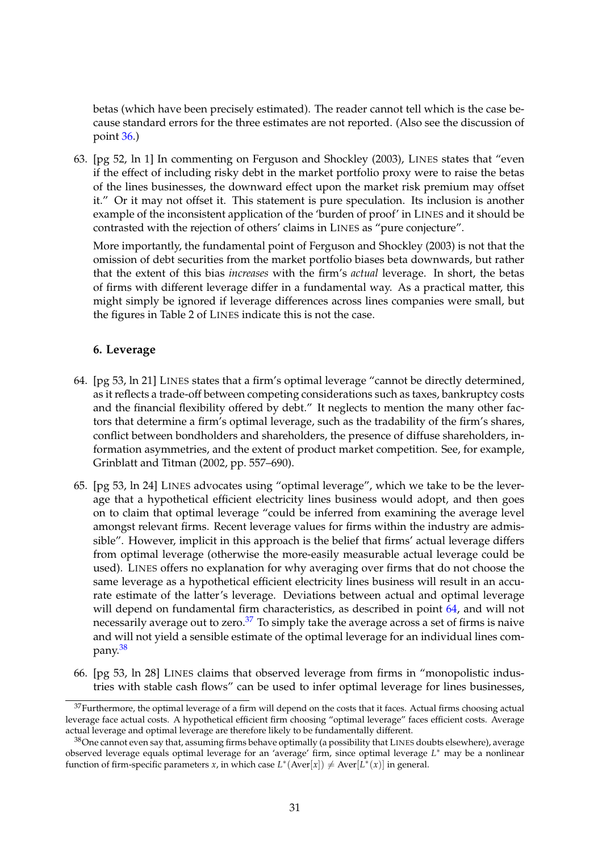betas (which have been precisely estimated). The reader cannot tell which is the case because standard errors for the three estimates are not reported. (Also see the discussion of point [36.](#page-22-1))

<span id="page-32-2"></span>63. [pg 52, ln 1] In commenting on Ferguson and Shockley (2003), LINES states that "even if the effect of including risky debt in the market portfolio proxy were to raise the betas of the lines businesses, the downward effect upon the market risk premium may offset it." Or it may not offset it. This statement is pure speculation. Its inclusion is another example of the inconsistent application of the 'burden of proof' in LINES and it should be contrasted with the rejection of others' claims in LINES as "pure conjecture".

More importantly, the fundamental point of Ferguson and Shockley (2003) is not that the omission of debt securities from the market portfolio biases beta downwards, but rather that the extent of this bias *increases* with the firm's *actual* leverage. In short, the betas of firms with different leverage differ in a fundamental way. As a practical matter, this might simply be ignored if leverage differences across lines companies were small, but the figures in Table 2 of LINES indicate this is not the case.

## **6. Leverage**

- <span id="page-32-0"></span>64. [pg 53, ln 21] LINES states that a firm's optimal leverage "cannot be directly determined, as it reflects a trade-off between competing considerations such as taxes, bankruptcy costs and the financial flexibility offered by debt." It neglects to mention the many other factors that determine a firm's optimal leverage, such as the tradability of the firm's shares, conflict between bondholders and shareholders, the presence of diffuse shareholders, information asymmetries, and the extent of product market competition. See, for example, Grinblatt and Titman (2002, pp. 557–690).
- <span id="page-32-1"></span>65. [pg 53, ln 24] LINES advocates using "optimal leverage", which we take to be the leverage that a hypothetical efficient electricity lines business would adopt, and then goes on to claim that optimal leverage "could be inferred from examining the average level amongst relevant firms. Recent leverage values for firms within the industry are admissible". However, implicit in this approach is the belief that firms' actual leverage differs from optimal leverage (otherwise the more-easily measurable actual leverage could be used). LINES offers no explanation for why averaging over firms that do not choose the same leverage as a hypothetical efficient electricity lines business will result in an accurate estimate of the latter's leverage. Deviations between actual and optimal leverage will depend on fundamental firm characteristics, as described in point [64,](#page-32-0) and will not necessarily average out to zero.[37](#page-32-4) To simply take the average across a set of firms is naive and will not yield a sensible estimate of the optimal leverage for an individual lines company.[38](#page-32-5)
- <span id="page-32-3"></span>66. [pg 53, ln 28] LINES claims that observed leverage from firms in "monopolistic industries with stable cash flows" can be used to infer optimal leverage for lines businesses,

<span id="page-32-4"></span> $37$ Furthermore, the optimal leverage of a firm will depend on the costs that it faces. Actual firms choosing actual leverage face actual costs. A hypothetical efficient firm choosing "optimal leverage" faces efficient costs. Average actual leverage and optimal leverage are therefore likely to be fundamentally different.

<span id="page-32-5"></span> $38$ One cannot even say that, assuming firms behave optimally (a possibility that LINES doubts elsewhere), average observed leverage equals optimal leverage for an 'average' firm, since optimal leverage *L* <sup>∗</sup> may be a nonlinear function of firm-specific parameters *x*, in which case  $L^*(Aver[x]) \neq Aver[L^*(x)]$  in general.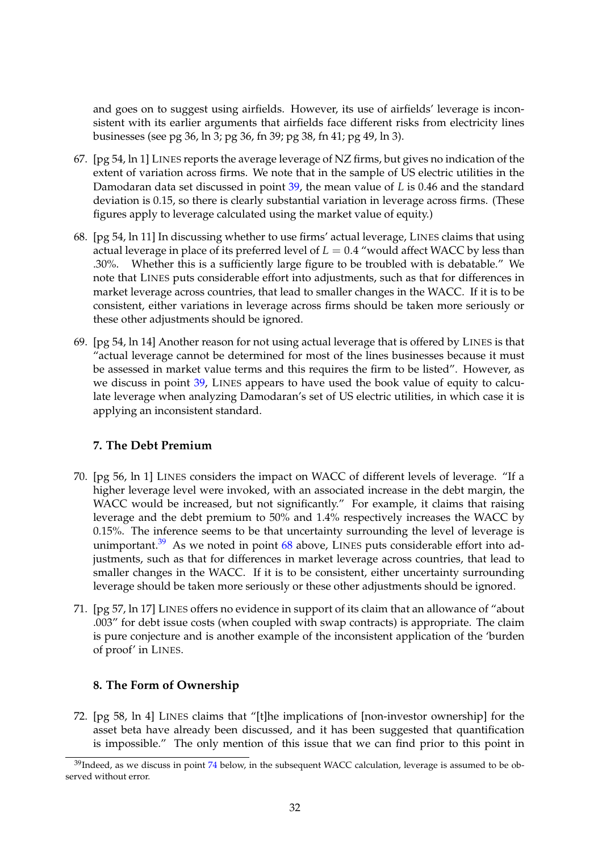and goes on to suggest using airfields. However, its use of airfields' leverage is inconsistent with its earlier arguments that airfields face different risks from electricity lines businesses (see pg 36, ln 3; pg 36, fn 39; pg 38, fn 41; pg 49, ln 3).

- <span id="page-33-0"></span>67. [pg 54, ln 1] LINES reports the average leverage of NZ firms, but gives no indication of the extent of variation across firms. We note that in the sample of US electric utilities in the Damodaran data set discussed in point [39,](#page-24-0) the mean value of *L* is 0.46 and the standard deviation is 0.15, so there is clearly substantial variation in leverage across firms. (These figures apply to leverage calculated using the market value of equity.)
- <span id="page-33-2"></span>68. [pg 54, ln 11] In discussing whether to use firms' actual leverage, LINES claims that using actual leverage in place of its preferred level of  $L = 0.4$  "would affect WACC by less than .30%. Whether this is a sufficiently large figure to be troubled with is debatable." We note that LINES puts considerable effort into adjustments, such as that for differences in market leverage across countries, that lead to smaller changes in the WACC. If it is to be consistent, either variations in leverage across firms should be taken more seriously or these other adjustments should be ignored.
- <span id="page-33-4"></span>69. [pg 54, ln 14] Another reason for not using actual leverage that is offered by LINES is that "actual leverage cannot be determined for most of the lines businesses because it must be assessed in market value terms and this requires the firm to be listed". However, as we discuss in point [39,](#page-24-0) LINES appears to have used the book value of equity to calculate leverage when analyzing Damodaran's set of US electric utilities, in which case it is applying an inconsistent standard.

## **7. The Debt Premium**

- <span id="page-33-3"></span>70. [pg 56, ln 1] LINES considers the impact on WACC of different levels of leverage. "If a higher leverage level were invoked, with an associated increase in the debt margin, the WACC would be increased, but not significantly." For example, it claims that raising leverage and the debt premium to 50% and 1.4% respectively increases the WACC by 0.15%. The inference seems to be that uncertainty surrounding the level of leverage is unimportant. $39$  As we noted in point  $68$  above, LINES puts considerable effort into adjustments, such as that for differences in market leverage across countries, that lead to smaller changes in the WACC. If it is to be consistent, either uncertainty surrounding leverage should be taken more seriously or these other adjustments should be ignored.
- <span id="page-33-1"></span>71. [pg 57, ln 17] LINES offers no evidence in support of its claim that an allowance of "about .003" for debt issue costs (when coupled with swap contracts) is appropriate. The claim is pure conjecture and is another example of the inconsistent application of the 'burden of proof' in LINES.

## **8. The Form of Ownership**

72. [pg 58, ln 4] LINES claims that "[t]he implications of [non-investor ownership] for the asset beta have already been discussed, and it has been suggested that quantification is impossible." The only mention of this issue that we can find prior to this point in

<span id="page-33-5"></span> $39$ Indeed, as we discuss in point [74](#page-34-1) below, in the subsequent WACC calculation, leverage is assumed to be observed without error.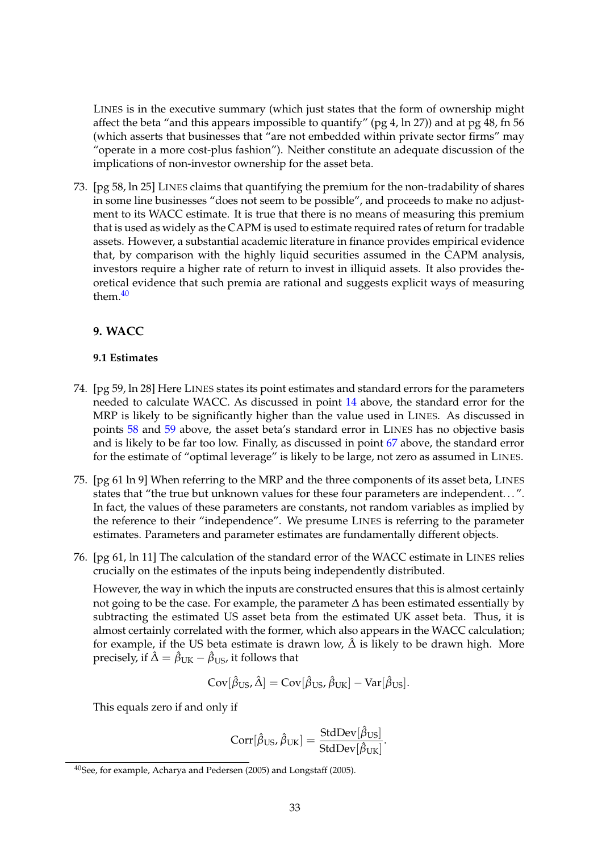LINES is in the executive summary (which just states that the form of ownership might affect the beta "and this appears impossible to quantify" (pg 4, ln 27)) and at pg 48, fn 56 (which asserts that businesses that "are not embedded within private sector firms" may "operate in a more cost-plus fashion"). Neither constitute an adequate discussion of the implications of non-investor ownership for the asset beta.

73. [pg 58, ln 25] LINES claims that quantifying the premium for the non-tradability of shares in some line businesses "does not seem to be possible", and proceeds to make no adjustment to its WACC estimate. It is true that there is no means of measuring this premium that is used as widely as the CAPM is used to estimate required rates of return for tradable assets. However, a substantial academic literature in finance provides empirical evidence that, by comparison with the highly liquid securities assumed in the CAPM analysis, investors require a higher rate of return to invest in illiquid assets. It also provides theoretical evidence that such premia are rational and suggests explicit ways of measuring them $140$  $140$ 

#### **9. WACC**

#### **9.1 Estimates**

- <span id="page-34-1"></span>74. [pg 59, ln 28] Here LINES states its point estimates and standard errors for the parameters needed to calculate WACC. As discussed in point [14](#page-14-0) above, the standard error for the MRP is likely to be significantly higher than the value used in LINES. As discussed in points [58](#page-28-2) and [59](#page-30-1) above, the asset beta's standard error in LINES has no objective basis and is likely to be far too low. Finally, as discussed in point [67](#page-33-0) above, the standard error for the estimate of "optimal leverage" is likely to be large, not zero as assumed in LINES.
- 75. [pg 61 ln 9] When referring to the MRP and the three components of its asset beta, LINES states that "the true but unknown values for these four parameters are independent. . . ". In fact, the values of these parameters are constants, not random variables as implied by the reference to their "independence". We presume LINES is referring to the parameter estimates. Parameters and parameter estimates are fundamentally different objects.
- <span id="page-34-0"></span>76. [pg 61, ln 11] The calculation of the standard error of the WACC estimate in LINES relies crucially on the estimates of the inputs being independently distributed.

However, the way in which the inputs are constructed ensures that this is almost certainly not going to be the case. For example, the parameter  $\Delta$  has been estimated essentially by subtracting the estimated US asset beta from the estimated UK asset beta. Thus, it is almost certainly correlated with the former, which also appears in the WACC calculation; for example, if the US beta estimate is drawn low,  $\hat{\Delta}$  is likely to be drawn high. More precisely, if  $\hat{\Delta} = \hat{\beta}_{UK} - \hat{\beta}_{US}$ , it follows that

$$
Cov[\hat{\beta}_{US}, \hat{\Delta}] = Cov[\hat{\beta}_{US}, \hat{\beta}_{UK}] - Var[\hat{\beta}_{US}].
$$

This equals zero if and only if

$$
Corr[\hat{\beta}_{US}, \hat{\beta}_{UK}] = \frac{StdDev[\hat{\beta}_{US}]}{StdDev[\hat{\beta}_{UK}]}.
$$

<span id="page-34-2"></span><sup>40</sup>See, for example, Acharya and Pedersen (2005) and Longstaff (2005).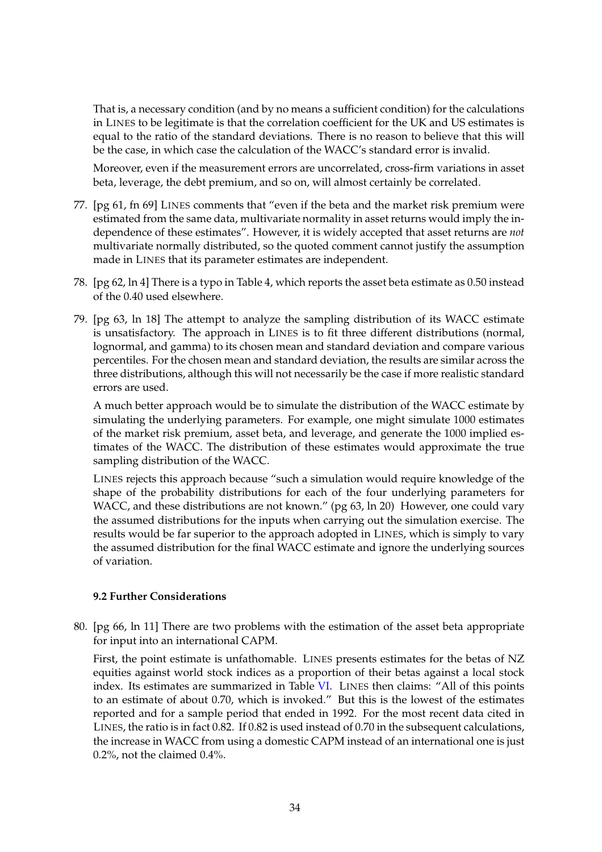That is, a necessary condition (and by no means a sufficient condition) for the calculations in LINES to be legitimate is that the correlation coefficient for the UK and US estimates is equal to the ratio of the standard deviations. There is no reason to believe that this will be the case, in which case the calculation of the WACC's standard error is invalid.

Moreover, even if the measurement errors are uncorrelated, cross-firm variations in asset beta, leverage, the debt premium, and so on, will almost certainly be correlated.

- 77. [pg 61, fn 69] LINES comments that "even if the beta and the market risk premium were estimated from the same data, multivariate normality in asset returns would imply the independence of these estimates". However, it is widely accepted that asset returns are *not* multivariate normally distributed, so the quoted comment cannot justify the assumption made in LINES that its parameter estimates are independent.
- 78. [pg 62, ln 4] There is a typo in Table 4, which reports the asset beta estimate as 0.50 instead of the 0.40 used elsewhere.
- 79. [pg 63, ln 18] The attempt to analyze the sampling distribution of its WACC estimate is unsatisfactory. The approach in LINES is to fit three different distributions (normal, lognormal, and gamma) to its chosen mean and standard deviation and compare various percentiles. For the chosen mean and standard deviation, the results are similar across the three distributions, although this will not necessarily be the case if more realistic standard errors are used.

A much better approach would be to simulate the distribution of the WACC estimate by simulating the underlying parameters. For example, one might simulate 1000 estimates of the market risk premium, asset beta, and leverage, and generate the 1000 implied estimates of the WACC. The distribution of these estimates would approximate the true sampling distribution of the WACC.

LINES rejects this approach because "such a simulation would require knowledge of the shape of the probability distributions for each of the four underlying parameters for WACC, and these distributions are not known." (pg 63, ln 20) However, one could vary the assumed distributions for the inputs when carrying out the simulation exercise. The results would be far superior to the approach adopted in LINES, which is simply to vary the assumed distribution for the final WACC estimate and ignore the underlying sources of variation.

#### **9.2 Further Considerations**

80. [pg 66, ln 11] There are two problems with the estimation of the asset beta appropriate for input into an international CAPM.

First, the point estimate is unfathomable. LINES presents estimates for the betas of NZ equities against world stock indices as a proportion of their betas against a local stock index. Its estimates are summarized in Table [VI.](#page-36-2) LINES then claims: "All of this points to an estimate of about 0.70, which is invoked." But this is the lowest of the estimates reported and for a sample period that ended in 1992. For the most recent data cited in LINES, the ratio is in fact 0.82. If 0.82 is used instead of 0.70 in the subsequent calculations, the increase in WACC from using a domestic CAPM instead of an international one is just 0.2%, not the claimed 0.4%.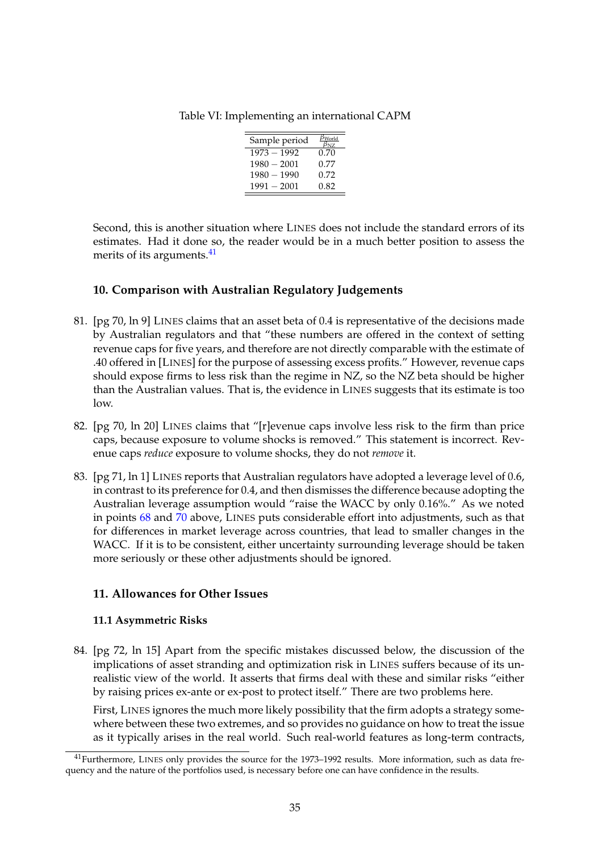<span id="page-36-2"></span>Table VI: Implementing an international CAPM

| Sample period | World<br>ŹΝ7. |
|---------------|---------------|
| $1973 - 1992$ | 0.70          |
| $1980 - 2001$ | 0.77          |
| $1980 - 1990$ | 0.72          |
| $1991 - 2001$ | 0.82          |

Second, this is another situation where LINES does not include the standard errors of its estimates. Had it done so, the reader would be in a much better position to assess the merits of its arguments.<sup>[41](#page-36-3)</sup>

## **10. Comparison with Australian Regulatory Judgements**

- 81. [pg 70, ln 9] LINES claims that an asset beta of 0.4 is representative of the decisions made by Australian regulators and that "these numbers are offered in the context of setting revenue caps for five years, and therefore are not directly comparable with the estimate of .40 offered in [LINES] for the purpose of assessing excess profits." However, revenue caps should expose firms to less risk than the regime in NZ, so the NZ beta should be higher than the Australian values. That is, the evidence in LINES suggests that its estimate is too low.
- 82. [pg 70, ln 20] LINES claims that "[r]evenue caps involve less risk to the firm than price caps, because exposure to volume shocks is removed." This statement is incorrect. Revenue caps *reduce* exposure to volume shocks, they do not *remove* it.
- <span id="page-36-1"></span>83. [pg 71, ln 1] LINES reports that Australian regulators have adopted a leverage level of 0.6, in contrast to its preference for 0.4, and then dismisses the difference because adopting the Australian leverage assumption would "raise the WACC by only 0.16%." As we noted in points [68](#page-33-2) and [70](#page-33-3) above, LINES puts considerable effort into adjustments, such as that for differences in market leverage across countries, that lead to smaller changes in the WACC. If it is to be consistent, either uncertainty surrounding leverage should be taken more seriously or these other adjustments should be ignored.

## **11. Allowances for Other Issues**

## **11.1 Asymmetric Risks**

<span id="page-36-0"></span>84. [pg 72, ln 15] Apart from the specific mistakes discussed below, the discussion of the implications of asset stranding and optimization risk in LINES suffers because of its unrealistic view of the world. It asserts that firms deal with these and similar risks "either by raising prices ex-ante or ex-post to protect itself." There are two problems here.

First, LINES ignores the much more likely possibility that the firm adopts a strategy somewhere between these two extremes, and so provides no guidance on how to treat the issue as it typically arises in the real world. Such real-world features as long-term contracts,

<span id="page-36-3"></span> $^{41}$ Furthermore, LINES only provides the source for the 1973–1992 results. More information, such as data frequency and the nature of the portfolios used, is necessary before one can have confidence in the results.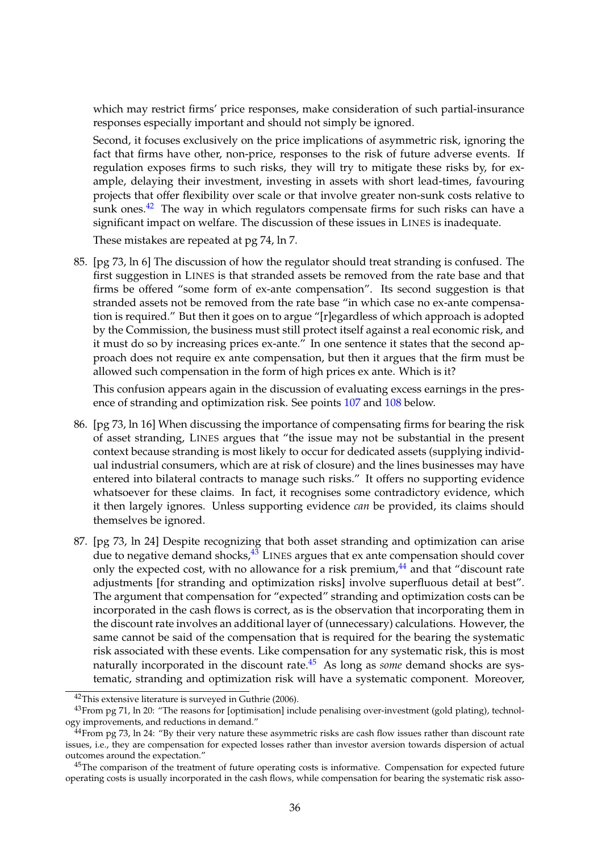which may restrict firms' price responses, make consideration of such partial-insurance responses especially important and should not simply be ignored.

Second, it focuses exclusively on the price implications of asymmetric risk, ignoring the fact that firms have other, non-price, responses to the risk of future adverse events. If regulation exposes firms to such risks, they will try to mitigate these risks by, for example, delaying their investment, investing in assets with short lead-times, favouring projects that offer flexibility over scale or that involve greater non-sunk costs relative to sunk ones. $42$  The way in which regulators compensate firms for such risks can have a significant impact on welfare. The discussion of these issues in LINES is inadequate.

These mistakes are repeated at pg 74, ln 7.

85. [pg 73, ln 6] The discussion of how the regulator should treat stranding is confused. The first suggestion in LINES is that stranded assets be removed from the rate base and that firms be offered "some form of ex-ante compensation". Its second suggestion is that stranded assets not be removed from the rate base "in which case no ex-ante compensation is required." But then it goes on to argue "[r]egardless of which approach is adopted by the Commission, the business must still protect itself against a real economic risk, and it must do so by increasing prices ex-ante." In one sentence it states that the second approach does not require ex ante compensation, but then it argues that the firm must be allowed such compensation in the form of high prices ex ante. Which is it?

This confusion appears again in the discussion of evaluating excess earnings in the presence of stranding and optimization risk. See points [107](#page-43-0) and [108](#page-45-0) below.

- <span id="page-37-1"></span>86. [pg 73, ln 16] When discussing the importance of compensating firms for bearing the risk of asset stranding, LINES argues that "the issue may not be substantial in the present context because stranding is most likely to occur for dedicated assets (supplying individual industrial consumers, which are at risk of closure) and the lines businesses may have entered into bilateral contracts to manage such risks." It offers no supporting evidence whatsoever for these claims. In fact, it recognises some contradictory evidence, which it then largely ignores. Unless supporting evidence *can* be provided, its claims should themselves be ignored.
- <span id="page-37-0"></span>87. [pg 73, ln 24] Despite recognizing that both asset stranding and optimization can arise due to negative demand shocks,<sup>[43](#page-37-3)</sup> LINES argues that ex ante compensation should cover only the expected cost, with no allowance for a risk premium, $^{44}$  $^{44}$  $^{44}$  and that "discount rate adjustments [for stranding and optimization risks] involve superfluous detail at best". The argument that compensation for "expected" stranding and optimization costs can be incorporated in the cash flows is correct, as is the observation that incorporating them in the discount rate involves an additional layer of (unnecessary) calculations. However, the same cannot be said of the compensation that is required for the bearing the systematic risk associated with these events. Like compensation for any systematic risk, this is most naturally incorporated in the discount rate.[45](#page-37-5) As long as *some* demand shocks are systematic, stranding and optimization risk will have a systematic component. Moreover,

 $42$ This extensive literature is surveyed in Guthrie (2006).

<span id="page-37-3"></span><span id="page-37-2"></span> $^{43}$ From pg 71, ln 20: "The reasons for [optimisation] include penalising over-investment (gold plating), technology improvements, and reductions in demand."

<span id="page-37-4"></span> $^{44}$ From pg 73, ln 24: "By their very nature these asymmetric risks are cash flow issues rather than discount rate issues, i.e., they are compensation for expected losses rather than investor aversion towards dispersion of actual outcomes around the expectation."

<span id="page-37-5"></span><sup>&</sup>lt;sup>45</sup>The comparison of the treatment of future operating costs is informative. Compensation for expected future operating costs is usually incorporated in the cash flows, while compensation for bearing the systematic risk asso-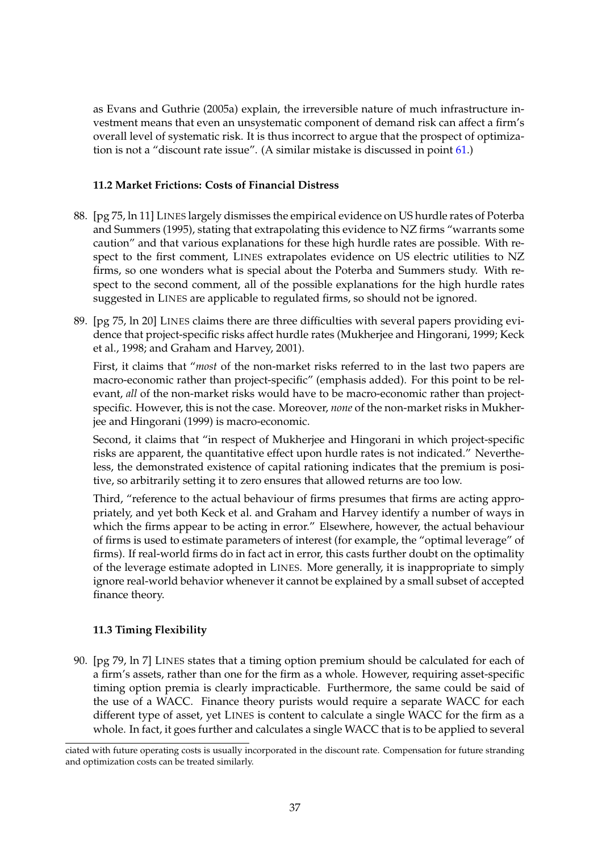as Evans and Guthrie (2005a) explain, the irreversible nature of much infrastructure investment means that even an unsystematic component of demand risk can affect a firm's overall level of systematic risk. It is thus incorrect to argue that the prospect of optimization is not a "discount rate issue". (A similar mistake is discussed in point [61.](#page-31-0))

## **11.2 Market Frictions: Costs of Financial Distress**

- <span id="page-38-1"></span>88. [pg 75, ln 11] LINES largely dismisses the empirical evidence on US hurdle rates of Poterba and Summers (1995), stating that extrapolating this evidence to NZ firms "warrants some caution" and that various explanations for these high hurdle rates are possible. With respect to the first comment, LINES extrapolates evidence on US electric utilities to NZ firms, so one wonders what is special about the Poterba and Summers study. With respect to the second comment, all of the possible explanations for the high hurdle rates suggested in LINES are applicable to regulated firms, so should not be ignored.
- <span id="page-38-0"></span>89. [pg 75, ln 20] LINES claims there are three difficulties with several papers providing evidence that project-specific risks affect hurdle rates (Mukherjee and Hingorani, 1999; Keck et al., 1998; and Graham and Harvey, 2001).

First, it claims that "*most* of the non-market risks referred to in the last two papers are macro-economic rather than project-specific" (emphasis added). For this point to be relevant, *all* of the non-market risks would have to be macro-economic rather than projectspecific. However, this is not the case. Moreover, *none* of the non-market risks in Mukherjee and Hingorani (1999) is macro-economic.

Second, it claims that "in respect of Mukherjee and Hingorani in which project-specific risks are apparent, the quantitative effect upon hurdle rates is not indicated." Nevertheless, the demonstrated existence of capital rationing indicates that the premium is positive, so arbitrarily setting it to zero ensures that allowed returns are too low.

Third, "reference to the actual behaviour of firms presumes that firms are acting appropriately, and yet both Keck et al. and Graham and Harvey identify a number of ways in which the firms appear to be acting in error." Elsewhere, however, the actual behaviour of firms is used to estimate parameters of interest (for example, the "optimal leverage" of firms). If real-world firms do in fact act in error, this casts further doubt on the optimality of the leverage estimate adopted in LINES. More generally, it is inappropriate to simply ignore real-world behavior whenever it cannot be explained by a small subset of accepted finance theory.

## **11.3 Timing Flexibility**

<span id="page-38-2"></span>90. [pg 79, ln 7] LINES states that a timing option premium should be calculated for each of a firm's assets, rather than one for the firm as a whole. However, requiring asset-specific timing option premia is clearly impracticable. Furthermore, the same could be said of the use of a WACC. Finance theory purists would require a separate WACC for each different type of asset, yet LINES is content to calculate a single WACC for the firm as a whole. In fact, it goes further and calculates a single WACC that is to be applied to several

ciated with future operating costs is usually incorporated in the discount rate. Compensation for future stranding and optimization costs can be treated similarly.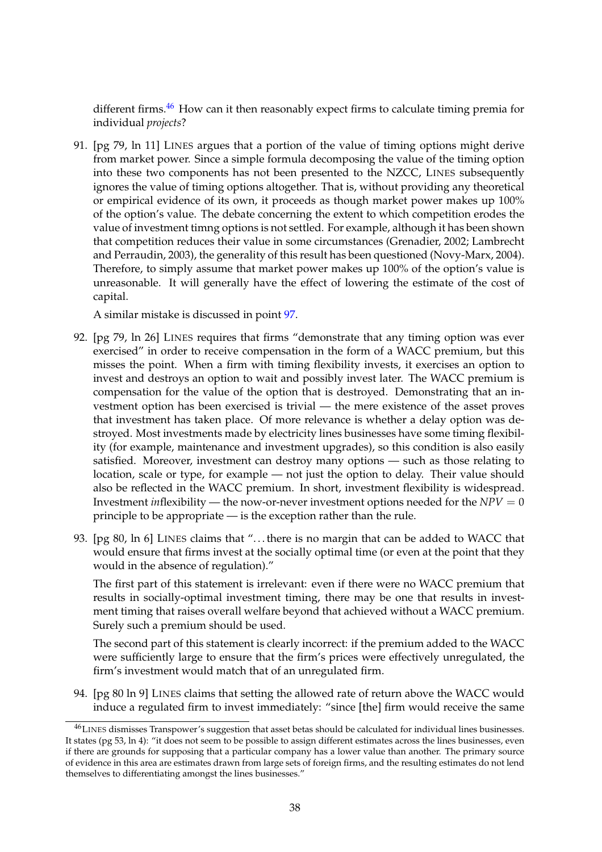different firms.<sup>[46](#page-39-1)</sup> How can it then reasonably expect firms to calculate timing premia for individual *projects*?

<span id="page-39-0"></span>91. [pg 79, ln 11] LINES argues that a portion of the value of timing options might derive from market power. Since a simple formula decomposing the value of the timing option into these two components has not been presented to the NZCC, LINES subsequently ignores the value of timing options altogether. That is, without providing any theoretical or empirical evidence of its own, it proceeds as though market power makes up 100% of the option's value. The debate concerning the extent to which competition erodes the value of investment timng options is not settled. For example, although it has been shown that competition reduces their value in some circumstances (Grenadier, 2002; Lambrecht and Perraudin, 2003), the generality of this result has been questioned (Novy-Marx, 2004). Therefore, to simply assume that market power makes up 100% of the option's value is unreasonable. It will generally have the effect of lowering the estimate of the cost of capital.

A similar mistake is discussed in point [97.](#page-40-2)

- 92. [pg 79, ln 26] LINES requires that firms "demonstrate that any timing option was ever exercised" in order to receive compensation in the form of a WACC premium, but this misses the point. When a firm with timing flexibility invests, it exercises an option to invest and destroys an option to wait and possibly invest later. The WACC premium is compensation for the value of the option that is destroyed. Demonstrating that an investment option has been exercised is trivial — the mere existence of the asset proves that investment has taken place. Of more relevance is whether a delay option was destroyed. Most investments made by electricity lines businesses have some timing flexibility (for example, maintenance and investment upgrades), so this condition is also easily satisfied. Moreover, investment can destroy many options — such as those relating to location, scale or type, for example — not just the option to delay. Their value should also be reflected in the WACC premium. In short, investment flexibility is widespread. Investment *in*flexibility — the now-or-never investment options needed for the  $NPV = 0$ principle to be appropriate — is the exception rather than the rule.
- 93. [pg 80, ln 6] LINES claims that "... there is no margin that can be added to WACC that would ensure that firms invest at the socially optimal time (or even at the point that they would in the absence of regulation)."

The first part of this statement is irrelevant: even if there were no WACC premium that results in socially-optimal investment timing, there may be one that results in investment timing that raises overall welfare beyond that achieved without a WACC premium. Surely such a premium should be used.

The second part of this statement is clearly incorrect: if the premium added to the WACC were sufficiently large to ensure that the firm's prices were effectively unregulated, the firm's investment would match that of an unregulated firm.

94. [pg 80 ln 9] LINES claims that setting the allowed rate of return above the WACC would induce a regulated firm to invest immediately: "since [the] firm would receive the same

<span id="page-39-1"></span><sup>46</sup>LINES dismisses Transpower's suggestion that asset betas should be calculated for individual lines businesses. It states (pg 53, ln 4): "it does not seem to be possible to assign different estimates across the lines businesses, even if there are grounds for supposing that a particular company has a lower value than another. The primary source of evidence in this area are estimates drawn from large sets of foreign firms, and the resulting estimates do not lend themselves to differentiating amongst the lines businesses."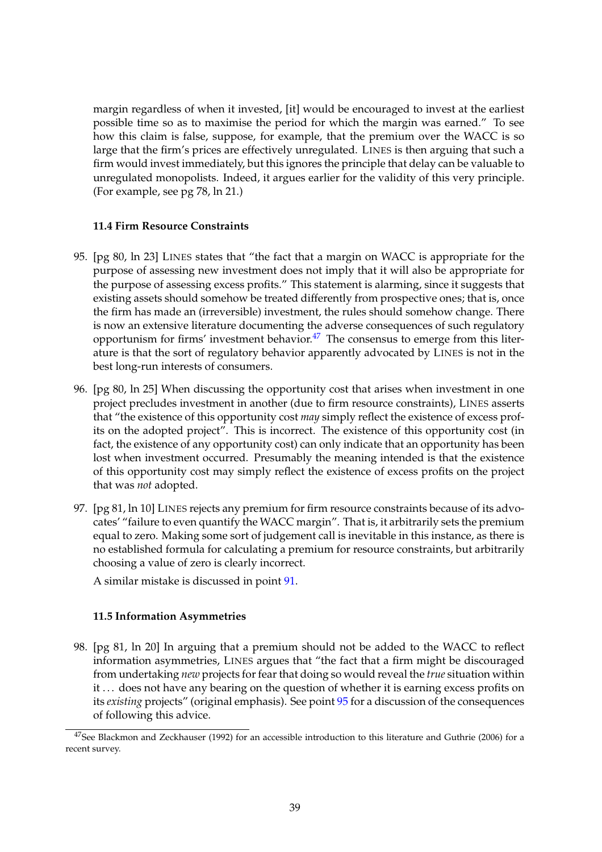margin regardless of when it invested, [it] would be encouraged to invest at the earliest possible time so as to maximise the period for which the margin was earned." To see how this claim is false, suppose, for example, that the premium over the WACC is so large that the firm's prices are effectively unregulated. LINES is then arguing that such a firm would invest immediately, but this ignores the principle that delay can be valuable to unregulated monopolists. Indeed, it argues earlier for the validity of this very principle. (For example, see pg 78, ln 21.)

#### **11.4 Firm Resource Constraints**

- <span id="page-40-0"></span>95. [pg 80, ln 23] LINES states that "the fact that a margin on WACC is appropriate for the purpose of assessing new investment does not imply that it will also be appropriate for the purpose of assessing excess profits." This statement is alarming, since it suggests that existing assets should somehow be treated differently from prospective ones; that is, once the firm has made an (irreversible) investment, the rules should somehow change. There is now an extensive literature documenting the adverse consequences of such regulatory opportunism for firms' investment behavior. $47$  The consensus to emerge from this literature is that the sort of regulatory behavior apparently advocated by LINES is not in the best long-run interests of consumers.
- 96. [pg 80, ln 25] When discussing the opportunity cost that arises when investment in one project precludes investment in another (due to firm resource constraints), LINES asserts that "the existence of this opportunity cost *may* simply reflect the existence of excess profits on the adopted project". This is incorrect. The existence of this opportunity cost (in fact, the existence of any opportunity cost) can only indicate that an opportunity has been lost when investment occurred. Presumably the meaning intended is that the existence of this opportunity cost may simply reflect the existence of excess profits on the project that was *not* adopted.
- <span id="page-40-2"></span>97. [pg 81, ln 10] LINES rejects any premium for firm resource constraints because of its advocates' "failure to even quantify the WACC margin". That is, it arbitrarily sets the premium equal to zero. Making some sort of judgement call is inevitable in this instance, as there is no established formula for calculating a premium for resource constraints, but arbitrarily choosing a value of zero is clearly incorrect.

A similar mistake is discussed in point [91.](#page-39-0)

## **11.5 Information Asymmetries**

<span id="page-40-1"></span>98. [pg 81, ln 20] In arguing that a premium should not be added to the WACC to reflect information asymmetries, LINES argues that "the fact that a firm might be discouraged from undertaking *new* projects for fear that doing so would reveal the *true* situation within it ... does not have any bearing on the question of whether it is earning excess profits on its *existing* projects" (original emphasis). See point [95](#page-40-0) for a discussion of the consequences of following this advice.

<span id="page-40-3"></span> $47$ See Blackmon and Zeckhauser (1992) for an accessible introduction to this literature and Guthrie (2006) for a recent survey.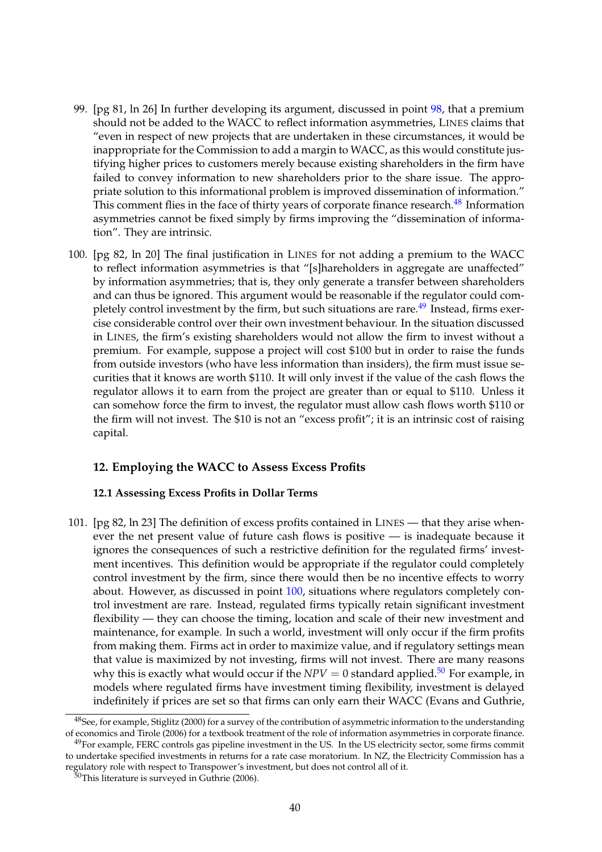- 99. [pg 81, ln 26] In further developing its argument, discussed in point [98,](#page-40-1) that a premium should not be added to the WACC to reflect information asymmetries, LINES claims that "even in respect of new projects that are undertaken in these circumstances, it would be inappropriate for the Commission to add a margin to WACC, as this would constitute justifying higher prices to customers merely because existing shareholders in the firm have failed to convey information to new shareholders prior to the share issue. The appropriate solution to this informational problem is improved dissemination of information." This comment flies in the face of thirty years of corporate finance research.<sup>[48](#page-41-1)</sup> Information asymmetries cannot be fixed simply by firms improving the "dissemination of information". They are intrinsic.
- <span id="page-41-3"></span>100. [pg 82, ln 20] The final justification in LINES for not adding a premium to the WACC to reflect information asymmetries is that "[s]hareholders in aggregate are unaffected" by information asymmetries; that is, they only generate a transfer between shareholders and can thus be ignored. This argument would be reasonable if the regulator could com-pletely control investment by the firm, but such situations are rare.<sup>[49](#page-41-2)</sup> Instead, firms exercise considerable control over their own investment behaviour. In the situation discussed in LINES, the firm's existing shareholders would not allow the firm to invest without a premium. For example, suppose a project will cost \$100 but in order to raise the funds from outside investors (who have less information than insiders), the firm must issue securities that it knows are worth \$110. It will only invest if the value of the cash flows the regulator allows it to earn from the project are greater than or equal to \$110. Unless it can somehow force the firm to invest, the regulator must allow cash flows worth \$110 or the firm will not invest. The \$10 is not an "excess profit"; it is an intrinsic cost of raising capital.

## **12. Employing the WACC to Assess Excess Profits**

#### **12.1 Assessing Excess Profits in Dollar Terms**

<span id="page-41-0"></span>101. [pg 82, ln 23] The definition of excess profits contained in LINES — that they arise whenever the net present value of future cash flows is positive — is inadequate because it ignores the consequences of such a restrictive definition for the regulated firms' investment incentives. This definition would be appropriate if the regulator could completely control investment by the firm, since there would then be no incentive effects to worry about. However, as discussed in point [100,](#page-41-3) situations where regulators completely control investment are rare. Instead, regulated firms typically retain significant investment flexibility — they can choose the timing, location and scale of their new investment and maintenance, for example. In such a world, investment will only occur if the firm profits from making them. Firms act in order to maximize value, and if regulatory settings mean that value is maximized by not investing, firms will not invest. There are many reasons why this is exactly what would occur if the  $NPV = 0$  standard applied.<sup>[50](#page-41-4)</sup> For example, in models where regulated firms have investment timing flexibility, investment is delayed indefinitely if prices are set so that firms can only earn their WACC (Evans and Guthrie,

<span id="page-41-2"></span><span id="page-41-1"></span><sup>&</sup>lt;sup>48</sup>See, for example, Stiglitz (2000) for a survey of the contribution of asymmetric information to the understanding of economics and Tirole (2006) for a textbook treatment of the role of information asymmetries in corporate finance. <sup>49</sup>For example, FERC controls gas pipeline investment in the US. In the US electricity sector, some firms commit to undertake specified investments in returns for a rate case moratorium. In NZ, the Electricity Commission has a regulatory role with respect to Transpower's investment, but does not control all of it.

<span id="page-41-4"></span> $^{50}$ This literature is surveyed in Guthrie (2006).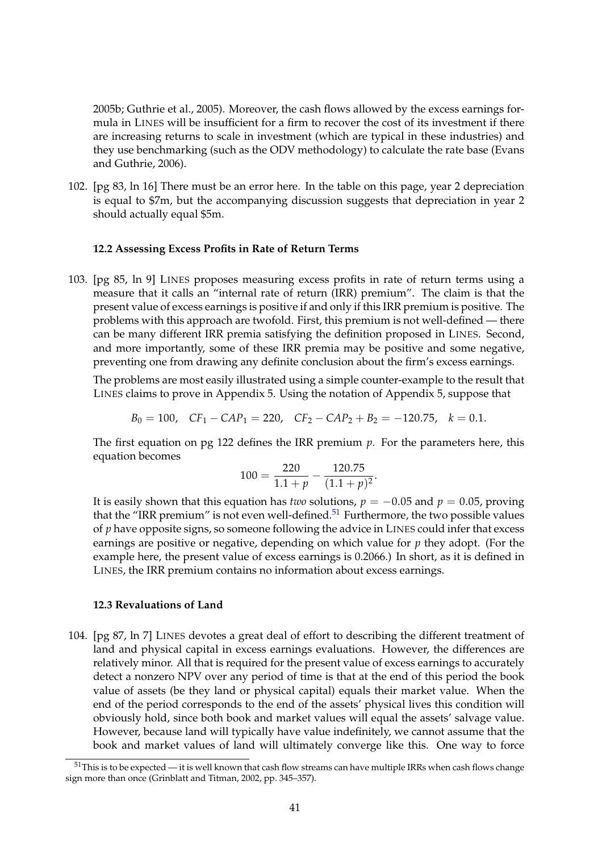2005b; Guthrie et al., 2005). Moreover, the cash flows allowed by the excess earnings formula in LINES will be insufficient for a firm to recover the cost of its investment if there are increasing returns to scale in investment (which are typical in these industries) and they use benchmarking (such as the ODV methodology) to calculate the rate base (Evans and Guthrie, 2006).

102. [pg 83, ln 16] There must be an error here. In the table on this page, year 2 depreciation is equal to \$7m, but the accompanying discussion suggests that depreciation in year 2 should actually equal \$5m.

#### **12.2 Assessing Excess Profits in Rate of Return Terms**

<span id="page-42-1"></span>103. [pg 85, ln 9] LINES proposes measuring excess profits in rate of return terms using a measure that it calls an "internal rate of return (IRR) premium". The claim is that the present value of excess earnings is positive if and only if this IRR premium is positive. The problems with this approach are twofold. First, this premium is not well-defined — there can be many different IRR premia satisfying the definition proposed in LINES. Second, and more importantly, some of these IRR premia may be positive and some negative, preventing one from drawing any definite conclusion about the firm's excess earnings.

The problems are most easily illustrated using a simple counter-example to the result that LINES claims to prove in Appendix 5. Using the notation of Appendix 5, suppose that

$$
B_0 = 100
$$
,  $CF_1 - CAP_1 = 220$ ,  $CF_2 - CAP_2 + B_2 = -120.75$ ,  $k = 0.1$ .

The first equation on pg 122 defines the IRR premium *p*. For the parameters here, this equation becomes

$$
100 = \frac{220}{1.1 + p} - \frac{120.75}{(1.1 + p)^2}.
$$

It is easily shown that this equation has *two* solutions,  $p = -0.05$  and  $p = 0.05$ , proving that the "IRR premium" is not even well-defined. $51$  Furthermore, the two possible values of *p* have opposite signs, so someone following the advice in LINES could infer that excess earnings are positive or negative, depending on which value for *p* they adopt. (For the example here, the present value of excess earnings is 0.2066.) In short, as it is defined in LINES, the IRR premium contains no information about excess earnings.

#### **12.3 Revaluations of Land**

<span id="page-42-0"></span>104. [pg 87, ln 7] LINES devotes a great deal of effort to describing the different treatment of land and physical capital in excess earnings evaluations. However, the differences are relatively minor. All that is required for the present value of excess earnings to accurately detect a nonzero NPV over any period of time is that at the end of this period the book value of assets (be they land or physical capital) equals their market value. When the end of the period corresponds to the end of the assets' physical lives this condition will obviously hold, since both book and market values will equal the assets' salvage value. However, because land will typically have value indefinitely, we cannot assume that the book and market values of land will ultimately converge like this. One way to force

<span id="page-42-2"></span> $51$ This is to be expected — it is well known that cash flow streams can have multiple IRRs when cash flows change sign more than once (Grinblatt and Titman, 2002, pp. 345–357).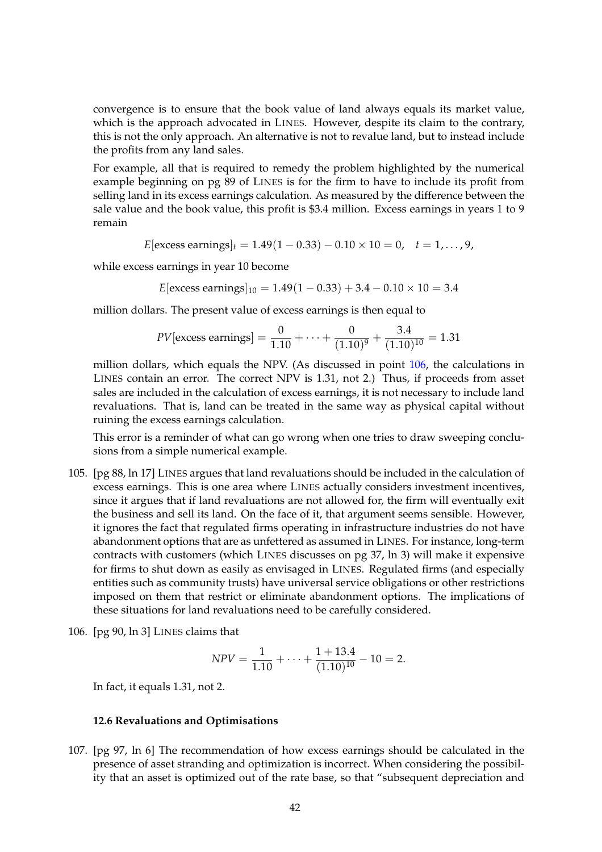convergence is to ensure that the book value of land always equals its market value, which is the approach advocated in LINES. However, despite its claim to the contrary, this is not the only approach. An alternative is not to revalue land, but to instead include the profits from any land sales.

For example, all that is required to remedy the problem highlighted by the numerical example beginning on pg 89 of LINES is for the firm to have to include its profit from selling land in its excess earnings calculation. As measured by the difference between the sale value and the book value, this profit is \$3.4 million. Excess earnings in years 1 to 9 remain

*E*[excess earnings]<sub>t</sub> = 1.49(1 – 0.33) – 0.10 × 10 = 0,  $t = 1, ..., 9$ ,

while excess earnings in year 10 become

*E*[excess earnings]<sub>10</sub> = 1.49(1 – 0.33) + 3.4 – 0.10  $\times$  10 = 3.4

million dollars. The present value of excess earnings is then equal to

*PV*[excess earnings] = 
$$
\frac{0}{1.10} + \dots + \frac{0}{(1.10)^9} + \frac{3.4}{(1.10)^{10}} = 1.31
$$

million dollars, which equals the NPV. (As discussed in point [106,](#page-43-1) the calculations in LINES contain an error. The correct NPV is 1.31, not 2.) Thus, if proceeds from asset sales are included in the calculation of excess earnings, it is not necessary to include land revaluations. That is, land can be treated in the same way as physical capital without ruining the excess earnings calculation.

This error is a reminder of what can go wrong when one tries to draw sweeping conclusions from a simple numerical example.

- 105. [pg 88, ln 17] LINES argues that land revaluations should be included in the calculation of excess earnings. This is one area where LINES actually considers investment incentives, since it argues that if land revaluations are not allowed for, the firm will eventually exit the business and sell its land. On the face of it, that argument seems sensible. However, it ignores the fact that regulated firms operating in infrastructure industries do not have abandonment options that are as unfettered as assumed in LINES. For instance, long-term contracts with customers (which LINES discusses on pg 37, ln 3) will make it expensive for firms to shut down as easily as envisaged in LINES. Regulated firms (and especially entities such as community trusts) have universal service obligations or other restrictions imposed on them that restrict or eliminate abandonment options. The implications of these situations for land revaluations need to be carefully considered.
- <span id="page-43-1"></span>106. [pg 90, ln 3] LINES claims that

$$
NPV = \frac{1}{1.10} + \dots + \frac{1 + 13.4}{(1.10)^{10}} - 10 = 2.
$$

In fact, it equals 1.31, not 2.

#### **12.6 Revaluations and Optimisations**

<span id="page-43-0"></span>107. [pg 97, ln 6] The recommendation of how excess earnings should be calculated in the presence of asset stranding and optimization is incorrect. When considering the possibility that an asset is optimized out of the rate base, so that "subsequent depreciation and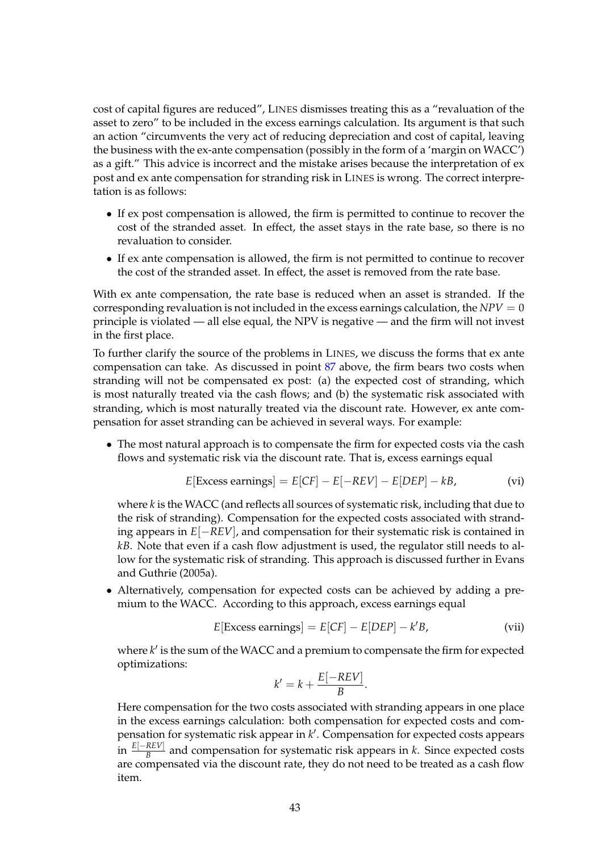cost of capital figures are reduced", LINES dismisses treating this as a "revaluation of the asset to zero" to be included in the excess earnings calculation. Its argument is that such an action "circumvents the very act of reducing depreciation and cost of capital, leaving the business with the ex-ante compensation (possibly in the form of a 'margin on WACC') as a gift." This advice is incorrect and the mistake arises because the interpretation of ex post and ex ante compensation for stranding risk in LINES is wrong. The correct interpretation is as follows:

- If ex post compensation is allowed, the firm is permitted to continue to recover the cost of the stranded asset. In effect, the asset stays in the rate base, so there is no revaluation to consider.
- If ex ante compensation is allowed, the firm is not permitted to continue to recover the cost of the stranded asset. In effect, the asset is removed from the rate base.

With ex ante compensation, the rate base is reduced when an asset is stranded. If the corresponding revaluation is not included in the excess earnings calculation, the  $NPV = 0$ principle is violated — all else equal, the NPV is negative — and the firm will not invest in the first place.

To further clarify the source of the problems in LINES, we discuss the forms that ex ante compensation can take. As discussed in point [87](#page-37-0) above, the firm bears two costs when stranding will not be compensated ex post: (a) the expected cost of stranding, which is most naturally treated via the cash flows; and (b) the systematic risk associated with stranding, which is most naturally treated via the discount rate. However, ex ante compensation for asset stranding can be achieved in several ways. For example:

• The most natural approach is to compensate the firm for expected costs via the cash flows and systematic risk via the discount rate. That is, excess earnings equal

<span id="page-44-0"></span>
$$
E[Excess\text{ earnings}] = E[CF] - E[-REV] - E[DEP] - kB,
$$
 (vi)

where *k* is the WACC (and reflects all sources of systematic risk, including that due to the risk of stranding). Compensation for the expected costs associated with stranding appears in *E*[−*REV*], and compensation for their systematic risk is contained in *kB*. Note that even if a cash flow adjustment is used, the regulator still needs to allow for the systematic risk of stranding. This approach is discussed further in Evans and Guthrie (2005a).

• Alternatively, compensation for expected costs can be achieved by adding a premium to the WACC. According to this approach, excess earnings equal

$$
E[Excess\text{ earnings}] = E[CF] - E[DEP] - k'B,
$$
\n(vii)

where k' is the sum of the WACC and a premium to compensate the firm for expected optimizations:

<span id="page-44-1"></span>
$$
k' = k + \frac{E[-REV]}{B}.
$$

Here compensation for the two costs associated with stranding appears in one place in the excess earnings calculation: both compensation for expected costs and compensation for systematic risk appear in *k* ′ . Compensation for expected costs appears in *<sup>E</sup>*[−*REV*] *B* and compensation for systematic risk appears in *k*. Since expected costs are compensated via the discount rate, they do not need to be treated as a cash flow item.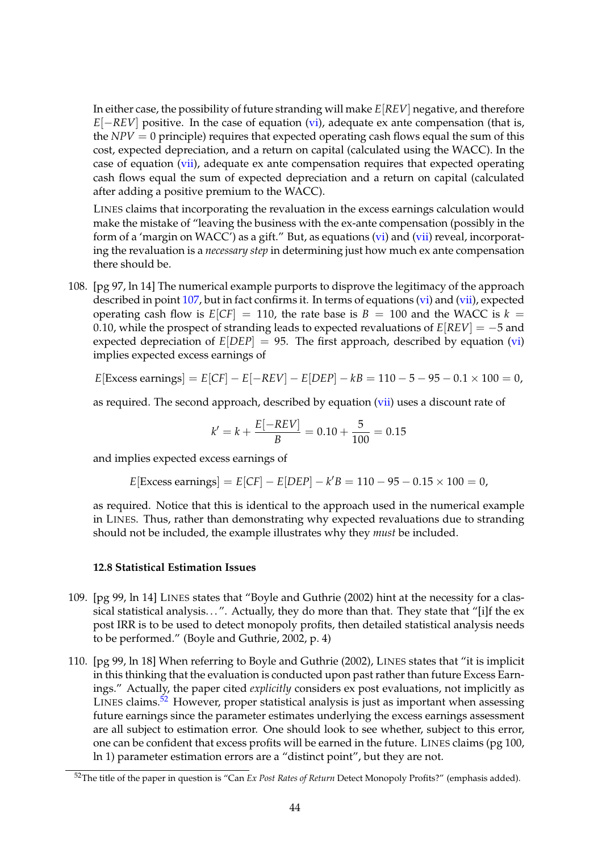In either case, the possibility of future stranding will make *E*[*REV*] negative, and therefore *E*[−*REV*] positive. In the case of equation [\(vi\)](#page-44-0), adequate ex ante compensation (that is, the  $NPV = 0$  principle) requires that expected operating cash flows equal the sum of this cost, expected depreciation, and a return on capital (calculated using the WACC). In the case of equation [\(vii\)](#page-44-1), adequate ex ante compensation requires that expected operating cash flows equal the sum of expected depreciation and a return on capital (calculated after adding a positive premium to the WACC).

LINES claims that incorporating the revaluation in the excess earnings calculation would make the mistake of "leaving the business with the ex-ante compensation (possibly in the form of a 'margin on WACC') as a gift." But, as equations [\(vi\)](#page-44-0) and [\(vii\)](#page-44-1) reveal, incorporating the revaluation is a *necessary step* in determining just how much ex ante compensation there should be.

<span id="page-45-0"></span>108. [pg 97, ln 14] The numerical example purports to disprove the legitimacy of the approach described in point [107,](#page-43-0) but in fact confirms it. In terms of equations [\(vi\)](#page-44-0) and [\(vii\)](#page-44-1), expected operating cash flow is  $E[CF] = 110$ , the rate base is  $B = 100$  and the WACC is  $k =$ 0.10, while the prospect of stranding leads to expected revaluations of *E*[*REV*] = −5 and expected depreciation of  $E[DEP] = 95$ . The first approach, described by equation [\(vi\)](#page-44-0) implies expected excess earnings of

 $E[Excess\text{ earnings}] = E[CF] - E[AEV] - E[DEF] - kB = 110 - 5 - 95 - 0.1 \times 100 = 0,$ 

as required. The second approach, described by equation  $(vii)$  uses a discount rate of

$$
k' = k + \frac{E[-REV]}{B} = 0.10 + \frac{5}{100} = 0.15
$$

and implies expected excess earnings of

$$
E[Excess\text{ earnings}] = E[CF] - E[DEP] - k'B = 110 - 95 - 0.15 \times 100 = 0,
$$

as required. Notice that this is identical to the approach used in the numerical example in LINES. Thus, rather than demonstrating why expected revaluations due to stranding should not be included, the example illustrates why they *must* be included.

#### **12.8 Statistical Estimation Issues**

- 109. [pg 99, ln 14] LINES states that "Boyle and Guthrie (2002) hint at the necessity for a classical statistical analysis...". Actually, they do more than that. They state that "[i]f the ex post IRR is to be used to detect monopoly profits, then detailed statistical analysis needs to be performed." (Boyle and Guthrie, 2002, p. 4)
- 110. [pg 99, ln 18] When referring to Boyle and Guthrie (2002), LINES states that "it is implicit in this thinking that the evaluation is conducted upon past rather than future Excess Earnings." Actually, the paper cited *explicitly* considers ex post evaluations, not implicitly as LINES claims.<sup>[52](#page-45-1)</sup> However, proper statistical analysis is just as important when assessing future earnings since the parameter estimates underlying the excess earnings assessment are all subject to estimation error. One should look to see whether, subject to this error, one can be confident that excess profits will be earned in the future. LINES claims (pg 100, ln 1) parameter estimation errors are a "distinct point", but they are not.

<span id="page-45-1"></span><sup>52</sup>The title of the paper in question is "Can *Ex Post Rates of Return* Detect Monopoly Profits?" (emphasis added).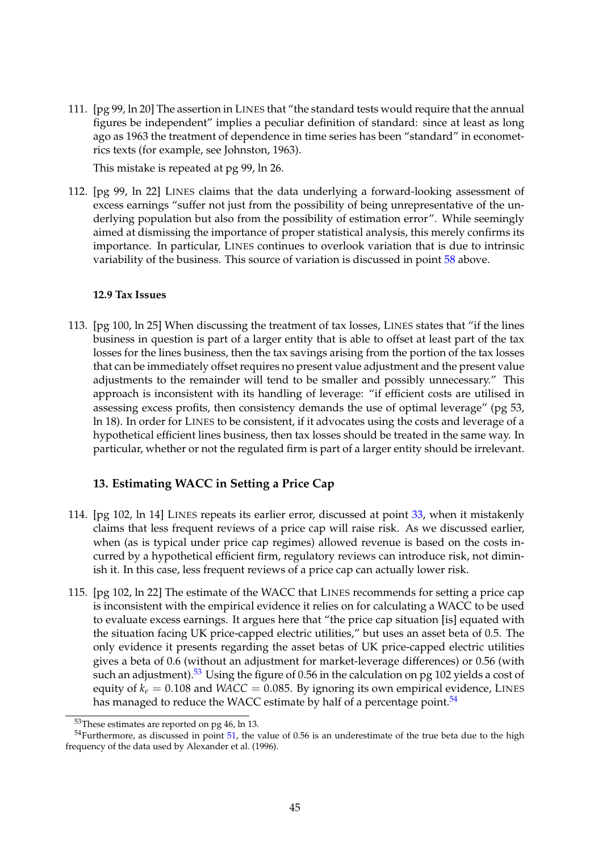111. [pg 99, ln 20] The assertion in LINES that "the standard tests would require that the annual figures be independent" implies a peculiar definition of standard: since at least as long ago as 1963 the treatment of dependence in time series has been "standard" in econometrics texts (for example, see Johnston, 1963).

This mistake is repeated at pg 99, ln 26.

<span id="page-46-1"></span>112. [pg 99, ln 22] LINES claims that the data underlying a forward-looking assessment of excess earnings "suffer not just from the possibility of being unrepresentative of the underlying population but also from the possibility of estimation error". While seemingly aimed at dismissing the importance of proper statistical analysis, this merely confirms its importance. In particular, LINES continues to overlook variation that is due to intrinsic variability of the business. This source of variation is discussed in point [58](#page-28-2) above.

#### **12.9 Tax Issues**

<span id="page-46-2"></span>113. [pg 100, ln 25] When discussing the treatment of tax losses, LINES states that "if the lines business in question is part of a larger entity that is able to offset at least part of the tax losses for the lines business, then the tax savings arising from the portion of the tax losses that can be immediately offset requires no present value adjustment and the present value adjustments to the remainder will tend to be smaller and possibly unnecessary." This approach is inconsistent with its handling of leverage: "if efficient costs are utilised in assessing excess profits, then consistency demands the use of optimal leverage" (pg 53, ln 18). In order for LINES to be consistent, if it advocates using the costs and leverage of a hypothetical efficient lines business, then tax losses should be treated in the same way. In particular, whether or not the regulated firm is part of a larger entity should be irrelevant.

## **13. Estimating WACC in Setting a Price Cap**

- <span id="page-46-0"></span>114. [pg 102, ln 14] LINES repeats its earlier error, discussed at point [33,](#page-21-1) when it mistakenly claims that less frequent reviews of a price cap will raise risk. As we discussed earlier, when (as is typical under price cap regimes) allowed revenue is based on the costs incurred by a hypothetical efficient firm, regulatory reviews can introduce risk, not diminish it. In this case, less frequent reviews of a price cap can actually lower risk.
- <span id="page-46-3"></span>115. [pg 102, ln 22] The estimate of the WACC that LINES recommends for setting a price cap is inconsistent with the empirical evidence it relies on for calculating a WACC to be used to evaluate excess earnings. It argues here that "the price cap situation [is] equated with the situation facing UK price-capped electric utilities," but uses an asset beta of 0.5. The only evidence it presents regarding the asset betas of UK price-capped electric utilities gives a beta of 0.6 (without an adjustment for market-leverage differences) or 0.56 (with such an adjustment).<sup>[53](#page-46-4)</sup> Using the figure of 0.56 in the calculation on pg 102 yields a cost of equity of  $k_e = 0.108$  and *WACC* = 0.085. By ignoring its own empirical evidence, LINES has managed to reduce the WACC estimate by half of a percentage point.<sup>[54](#page-46-5)</sup>

<sup>&</sup>lt;sup>53</sup>These estimates are reported on pg 46, ln 13.

<span id="page-46-5"></span><span id="page-46-4"></span><sup>&</sup>lt;sup>54</sup>Furthermore, as discussed in point [51,](#page-26-0) the value of 0.56 is an underestimate of the true beta due to the high frequency of the data used by Alexander et al. (1996).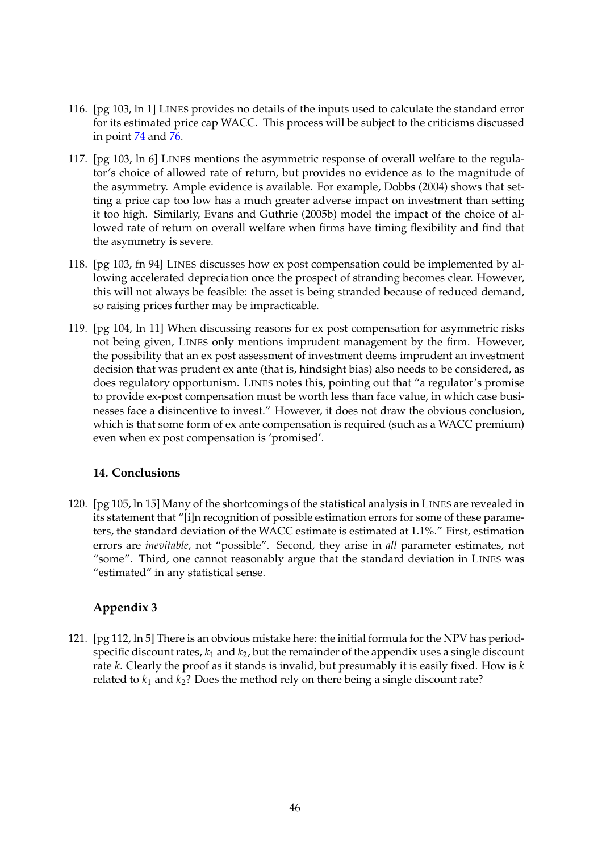- <span id="page-47-0"></span>116. [pg 103, ln 1] LINES provides no details of the inputs used to calculate the standard error for its estimated price cap WACC. This process will be subject to the criticisms discussed in point [74](#page-34-1) and [76.](#page-34-0)
- 117. [pg 103, ln 6] LINES mentions the asymmetric response of overall welfare to the regulator's choice of allowed rate of return, but provides no evidence as to the magnitude of the asymmetry. Ample evidence is available. For example, Dobbs (2004) shows that setting a price cap too low has a much greater adverse impact on investment than setting it too high. Similarly, Evans and Guthrie (2005b) model the impact of the choice of allowed rate of return on overall welfare when firms have timing flexibility and find that the asymmetry is severe.
- 118. [pg 103, fn 94] LINES discusses how ex post compensation could be implemented by allowing accelerated depreciation once the prospect of stranding becomes clear. However, this will not always be feasible: the asset is being stranded because of reduced demand, so raising prices further may be impracticable.
- 119. [pg 104, ln 11] When discussing reasons for ex post compensation for asymmetric risks not being given, LINES only mentions imprudent management by the firm. However, the possibility that an ex post assessment of investment deems imprudent an investment decision that was prudent ex ante (that is, hindsight bias) also needs to be considered, as does regulatory opportunism. LINES notes this, pointing out that "a regulator's promise to provide ex-post compensation must be worth less than face value, in which case businesses face a disincentive to invest." However, it does not draw the obvious conclusion, which is that some form of ex ante compensation is required (such as a WACC premium) even when ex post compensation is 'promised'.

## **14. Conclusions**

120. [pg 105, ln 15] Many of the shortcomings of the statistical analysis in LINES are revealed in its statement that "[i]n recognition of possible estimation errors for some of these parameters, the standard deviation of the WACC estimate is estimated at 1.1%." First, estimation errors are *inevitable*, not "possible". Second, they arise in *all* parameter estimates, not "some". Third, one cannot reasonably argue that the standard deviation in LINES was "estimated" in any statistical sense.

## **Appendix 3**

121. [pg 112, ln 5] There is an obvious mistake here: the initial formula for the NPV has periodspecific discount rates,  $k_1$  and  $k_2$ , but the remainder of the appendix uses a single discount rate *k*. Clearly the proof as it stands is invalid, but presumably it is easily fixed. How is *k* related to  $k_1$  and  $k_2$ ? Does the method rely on there being a single discount rate?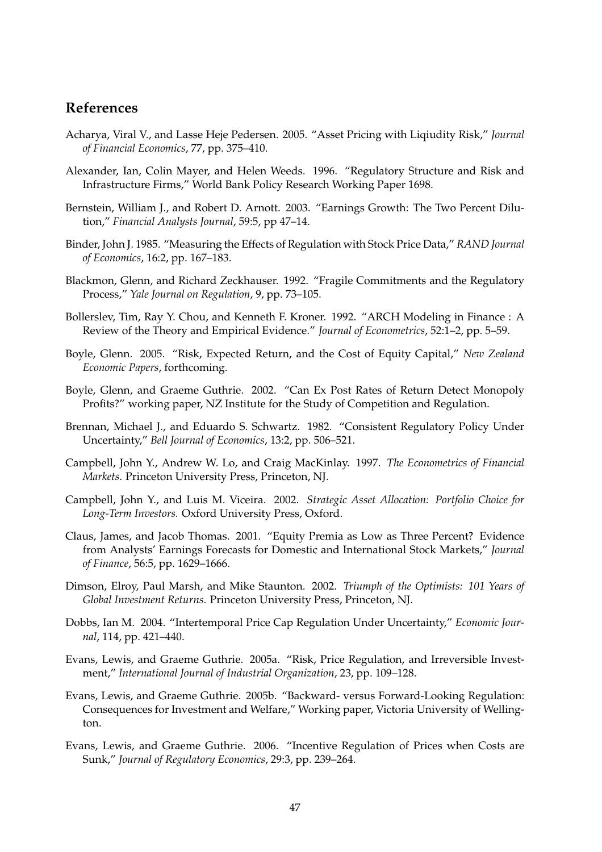## **References**

- Acharya, Viral V., and Lasse Heje Pedersen. 2005. "Asset Pricing with Liqiudity Risk," *Journal of Financial Economics*, 77, pp. 375–410.
- Alexander, Ian, Colin Mayer, and Helen Weeds. 1996. "Regulatory Structure and Risk and Infrastructure Firms," World Bank Policy Research Working Paper 1698.
- Bernstein, William J., and Robert D. Arnott. 2003. "Earnings Growth: The Two Percent Dilution," *Financial Analysts Journal*, 59:5, pp 47–14.
- Binder, John J. 1985. "Measuring the Effects of Regulation with Stock Price Data," *RAND Journal of Economics*, 16:2, pp. 167–183.
- Blackmon, Glenn, and Richard Zeckhauser. 1992. "Fragile Commitments and the Regulatory Process," *Yale Journal on Regulation*, 9, pp. 73–105.
- Bollerslev, Tim, Ray Y. Chou, and Kenneth F. Kroner. 1992. "ARCH Modeling in Finance : A Review of the Theory and Empirical Evidence." *Journal of Econometrics*, 52:1–2, pp. 5–59.
- Boyle, Glenn. 2005. "Risk, Expected Return, and the Cost of Equity Capital," *New Zealand Economic Papers*, forthcoming.
- Boyle, Glenn, and Graeme Guthrie. 2002. "Can Ex Post Rates of Return Detect Monopoly Profits?" working paper, NZ Institute for the Study of Competition and Regulation.
- Brennan, Michael J., and Eduardo S. Schwartz. 1982. "Consistent Regulatory Policy Under Uncertainty," *Bell Journal of Economics*, 13:2, pp. 506–521.
- Campbell, John Y., Andrew W. Lo, and Craig MacKinlay. 1997. *The Econometrics of Financial Markets*. Princeton University Press, Princeton, NJ.
- Campbell, John Y., and Luis M. Viceira. 2002. *Strategic Asset Allocation: Portfolio Choice for Long-Term Investors.* Oxford University Press, Oxford.
- Claus, James, and Jacob Thomas. 2001. "Equity Premia as Low as Three Percent? Evidence from Analysts' Earnings Forecasts for Domestic and International Stock Markets," *Journal of Finance*, 56:5, pp. 1629–1666.
- Dimson, Elroy, Paul Marsh, and Mike Staunton. 2002. *Triumph of the Optimists: 101 Years of Global Investment Returns*. Princeton University Press, Princeton, NJ.
- Dobbs, Ian M. 2004. "Intertemporal Price Cap Regulation Under Uncertainty," *Economic Journal*, 114, pp. 421–440.
- Evans, Lewis, and Graeme Guthrie. 2005a. "Risk, Price Regulation, and Irreversible Investment," *International Journal of Industrial Organization*, 23, pp. 109–128.
- Evans, Lewis, and Graeme Guthrie. 2005b. "Backward- versus Forward-Looking Regulation: Consequences for Investment and Welfare," Working paper, Victoria University of Wellington.
- Evans, Lewis, and Graeme Guthrie. 2006. "Incentive Regulation of Prices when Costs are Sunk," *Journal of Regulatory Economics*, 29:3, pp. 239–264.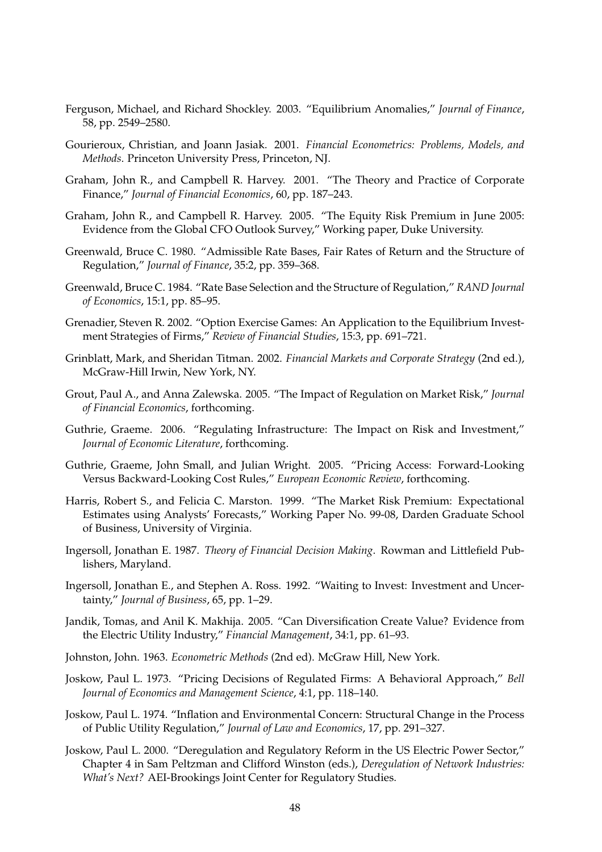- Ferguson, Michael, and Richard Shockley. 2003. "Equilibrium Anomalies," *Journal of Finance*, 58, pp. 2549–2580.
- Gourieroux, Christian, and Joann Jasiak. 2001. *Financial Econometrics: Problems, Models, and Methods*. Princeton University Press, Princeton, NJ.
- Graham, John R., and Campbell R. Harvey. 2001. "The Theory and Practice of Corporate Finance," *Journal of Financial Economics*, 60, pp. 187–243.
- Graham, John R., and Campbell R. Harvey. 2005. "The Equity Risk Premium in June 2005: Evidence from the Global CFO Outlook Survey," Working paper, Duke University.
- Greenwald, Bruce C. 1980. "Admissible Rate Bases, Fair Rates of Return and the Structure of Regulation," *Journal of Finance*, 35:2, pp. 359–368.
- Greenwald, Bruce C. 1984. "Rate Base Selection and the Structure of Regulation," *RAND Journal of Economics*, 15:1, pp. 85–95.
- Grenadier, Steven R. 2002. "Option Exercise Games: An Application to the Equilibrium Investment Strategies of Firms," *Review of Financial Studies*, 15:3, pp. 691–721.
- Grinblatt, Mark, and Sheridan Titman. 2002. *Financial Markets and Corporate Strategy* (2nd ed.), McGraw-Hill Irwin, New York, NY.
- Grout, Paul A., and Anna Zalewska. 2005. "The Impact of Regulation on Market Risk," *Journal of Financial Economics*, forthcoming.
- Guthrie, Graeme. 2006. "Regulating Infrastructure: The Impact on Risk and Investment," *Journal of Economic Literature*, forthcoming.
- Guthrie, Graeme, John Small, and Julian Wright. 2005. "Pricing Access: Forward-Looking Versus Backward-Looking Cost Rules," *European Economic Review*, forthcoming.
- Harris, Robert S., and Felicia C. Marston. 1999. "The Market Risk Premium: Expectational Estimates using Analysts' Forecasts," Working Paper No. 99-08, Darden Graduate School of Business, University of Virginia.
- Ingersoll, Jonathan E. 1987. *Theory of Financial Decision Making*. Rowman and Littlefield Publishers, Maryland.
- Ingersoll, Jonathan E., and Stephen A. Ross. 1992. "Waiting to Invest: Investment and Uncertainty," *Journal of Business*, 65, pp. 1–29.
- Jandik, Tomas, and Anil K. Makhija. 2005. "Can Diversification Create Value? Evidence from the Electric Utility Industry," *Financial Management*, 34:1, pp. 61–93.
- Johnston, John. 1963. *Econometric Methods* (2nd ed). McGraw Hill, New York.
- Joskow, Paul L. 1973. "Pricing Decisions of Regulated Firms: A Behavioral Approach," *Bell Journal of Economics and Management Science*, 4:1, pp. 118–140.
- Joskow, Paul L. 1974. "Inflation and Environmental Concern: Structural Change in the Process of Public Utility Regulation," *Journal of Law and Economics*, 17, pp. 291–327.
- Joskow, Paul L. 2000. "Deregulation and Regulatory Reform in the US Electric Power Sector," Chapter 4 in Sam Peltzman and Clifford Winston (eds.), *Deregulation of Network Industries: What's Next?* AEI-Brookings Joint Center for Regulatory Studies.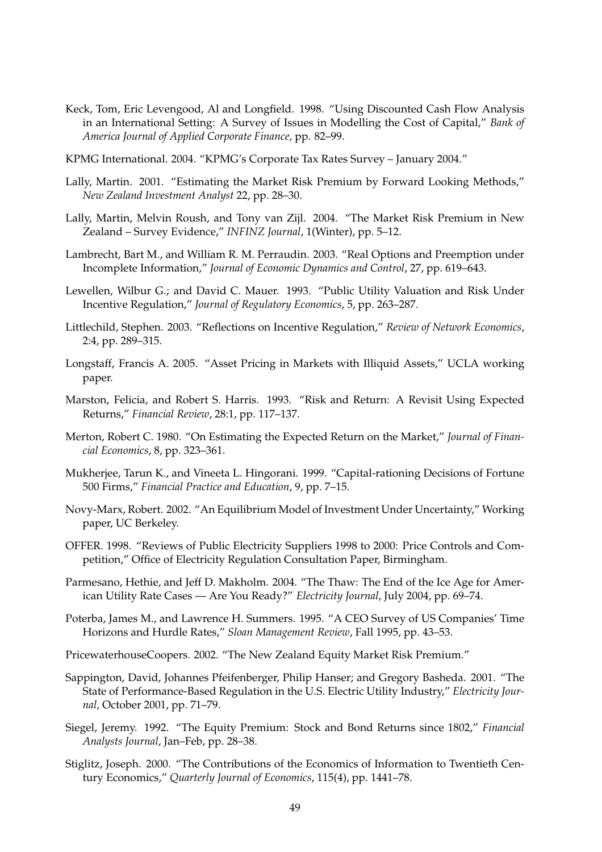- Keck, Tom, Eric Levengood, Al and Longfield. 1998. "Using Discounted Cash Flow Analysis in an International Setting: A Survey of Issues in Modelling the Cost of Capital," *Bank of America Journal of Applied Corporate Finance*, pp. 82–99.
- KPMG International. 2004. "KPMG's Corporate Tax Rates Survey January 2004."
- Lally, Martin. 2001. "Estimating the Market Risk Premium by Forward Looking Methods," *New Zealand Investment Analyst* 22, pp. 28–30.
- Lally, Martin, Melvin Roush, and Tony van Zijl. 2004. "The Market Risk Premium in New Zealand – Survey Evidence," *INFINZ Journal*, 1(Winter), pp. 5–12.
- Lambrecht, Bart M., and William R. M. Perraudin. 2003. "Real Options and Preemption under Incomplete Information," *Journal of Economic Dynamics and Control*, 27, pp. 619–643.
- Lewellen, Wilbur G.; and David C. Mauer. 1993. "Public Utility Valuation and Risk Under Incentive Regulation," *Journal of Regulatory Economics*, 5, pp. 263–287.
- Littlechild, Stephen. 2003. "Reflections on Incentive Regulation," *Review of Network Economics*, 2:4, pp. 289–315.
- Longstaff, Francis A. 2005. "Asset Pricing in Markets with Illiquid Assets," UCLA working paper.
- Marston, Felicia, and Robert S. Harris. 1993. "Risk and Return: A Revisit Using Expected Returns," *Financial Review*, 28:1, pp. 117–137.
- Merton, Robert C. 1980. "On Estimating the Expected Return on the Market," *Journal of Financial Economics*, 8, pp. 323–361.
- Mukherjee, Tarun K., and Vineeta L. Hingorani. 1999. "Capital-rationing Decisions of Fortune 500 Firms," *Financial Practice and Education*, 9, pp. 7–15.
- Novy-Marx, Robert. 2002. "An Equilibrium Model of Investment Under Uncertainty," Working paper, UC Berkeley.
- OFFER. 1998. "Reviews of Public Electricity Suppliers 1998 to 2000: Price Controls and Competition," Office of Electricity Regulation Consultation Paper, Birmingham.
- Parmesano, Hethie, and Jeff D. Makholm. 2004. "The Thaw: The End of the Ice Age for American Utility Rate Cases — Are You Ready?" *Electricity Journal*, July 2004, pp. 69–74.
- Poterba, James M., and Lawrence H. Summers. 1995. "A CEO Survey of US Companies' Time Horizons and Hurdle Rates," *Sloan Management Review*, Fall 1995, pp. 43–53.

PricewaterhouseCoopers. 2002. "The New Zealand Equity Market Risk Premium."

- Sappington, David, Johannes Pfeifenberger, Philip Hanser; and Gregory Basheda. 2001. "The State of Performance-Based Regulation in the U.S. Electric Utility Industry," *Electricity Journal*, October 2001, pp. 71–79.
- Siegel, Jeremy. 1992. "The Equity Premium: Stock and Bond Returns since 1802," *Financial Analysts Journal*, Jan–Feb, pp. 28–38.
- Stiglitz, Joseph. 2000. "The Contributions of the Economics of Information to Twentieth Century Economics," *Quarterly Journal of Economics*, 115(4), pp. 1441–78.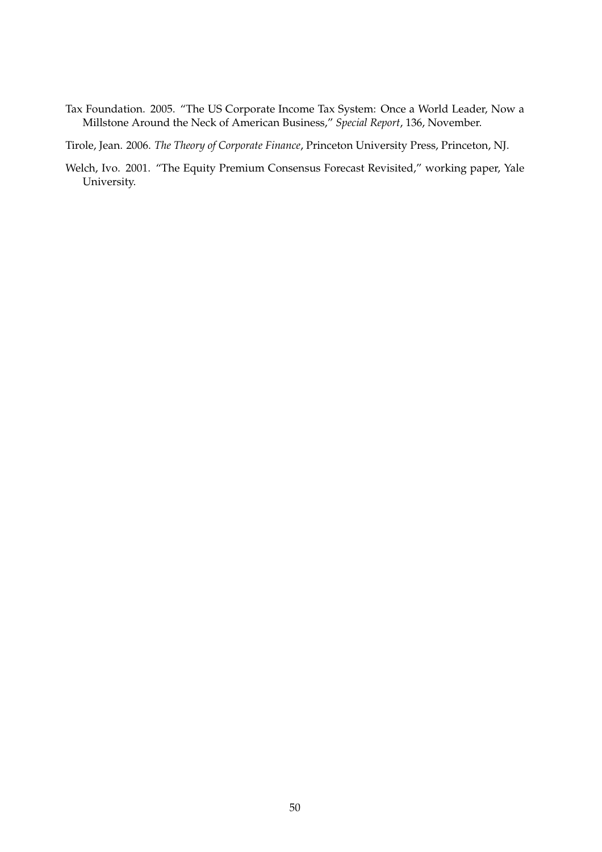- Tax Foundation. 2005. "The US Corporate Income Tax System: Once a World Leader, Now a Millstone Around the Neck of American Business," *Special Report*, 136, November.
- Tirole, Jean. 2006. *The Theory of Corporate Finance*, Princeton University Press, Princeton, NJ.
- Welch, Ivo. 2001. "The Equity Premium Consensus Forecast Revisited," working paper, Yale University.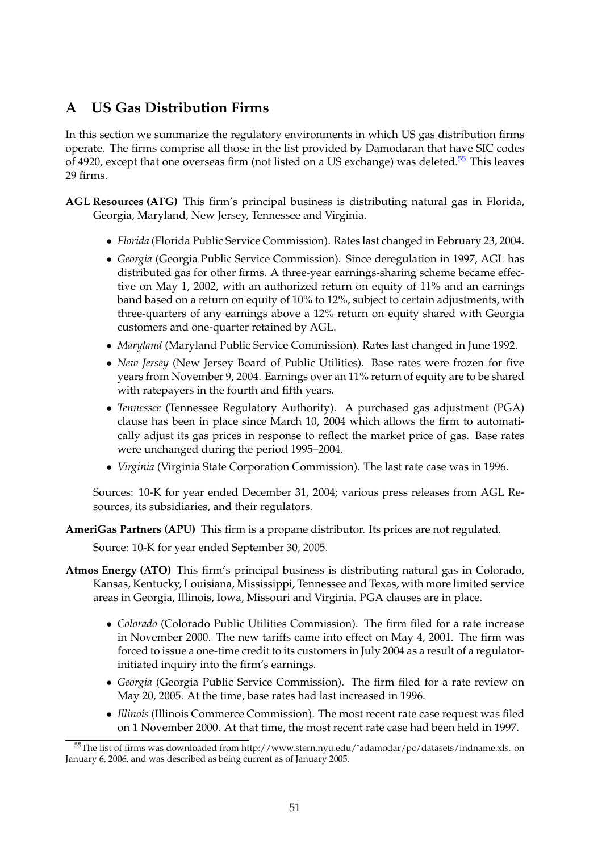## <span id="page-52-0"></span>**A US Gas Distribution Firms**

In this section we summarize the regulatory environments in which US gas distribution firms operate. The firms comprise all those in the list provided by Damodaran that have SIC codes of 4920, except that one overseas firm (not listed on a US exchange) was deleted.<sup>[55](#page-52-1)</sup> This leaves 29 firms.

- **AGL Resources (ATG)** This firm's principal business is distributing natural gas in Florida, Georgia, Maryland, New Jersey, Tennessee and Virginia.
	- *Florida* (Florida Public Service Commission). Rates last changed in February 23, 2004.
	- *Georgia* (Georgia Public Service Commission). Since deregulation in 1997, AGL has distributed gas for other firms. A three-year earnings-sharing scheme became effective on May 1, 2002, with an authorized return on equity of 11% and an earnings band based on a return on equity of 10% to 12%, subject to certain adjustments, with three-quarters of any earnings above a 12% return on equity shared with Georgia customers and one-quarter retained by AGL.
	- *Maryland* (Maryland Public Service Commission). Rates last changed in June 1992.
	- *New Jersey* (New Jersey Board of Public Utilities). Base rates were frozen for five years from November 9, 2004. Earnings over an 11% return of equity are to be shared with ratepayers in the fourth and fifth years.
	- *Tennessee* (Tennessee Regulatory Authority). A purchased gas adjustment (PGA) clause has been in place since March 10, 2004 which allows the firm to automatically adjust its gas prices in response to reflect the market price of gas. Base rates were unchanged during the period 1995–2004.
	- *Virginia* (Virginia State Corporation Commission). The last rate case was in 1996.

Sources: 10-K for year ended December 31, 2004; various press releases from AGL Resources, its subsidiaries, and their regulators.

**AmeriGas Partners (APU)** This firm is a propane distributor. Its prices are not regulated.

Source: 10-K for year ended September 30, 2005.

- **Atmos Energy (ATO)** This firm's principal business is distributing natural gas in Colorado, Kansas, Kentucky, Louisiana, Mississippi, Tennessee and Texas, with more limited service areas in Georgia, Illinois, Iowa, Missouri and Virginia. PGA clauses are in place.
	- *Colorado* (Colorado Public Utilities Commission). The firm filed for a rate increase in November 2000. The new tariffs came into effect on May 4, 2001. The firm was forced to issue a one-time credit to its customers in July 2004 as a result of a regulatorinitiated inquiry into the firm's earnings.
	- *Georgia* (Georgia Public Service Commission). The firm filed for a rate review on May 20, 2005. At the time, base rates had last increased in 1996.
	- *Illinois* (Illinois Commerce Commission). The most recent rate case request was filed on 1 November 2000. At that time, the most recent rate case had been held in 1997.

<span id="page-52-1"></span><sup>55</sup>The list of firms was downloaded from http://www.stern.nyu.edu/˜adamodar/pc/datasets/indname.xls. on January 6, 2006, and was described as being current as of January 2005.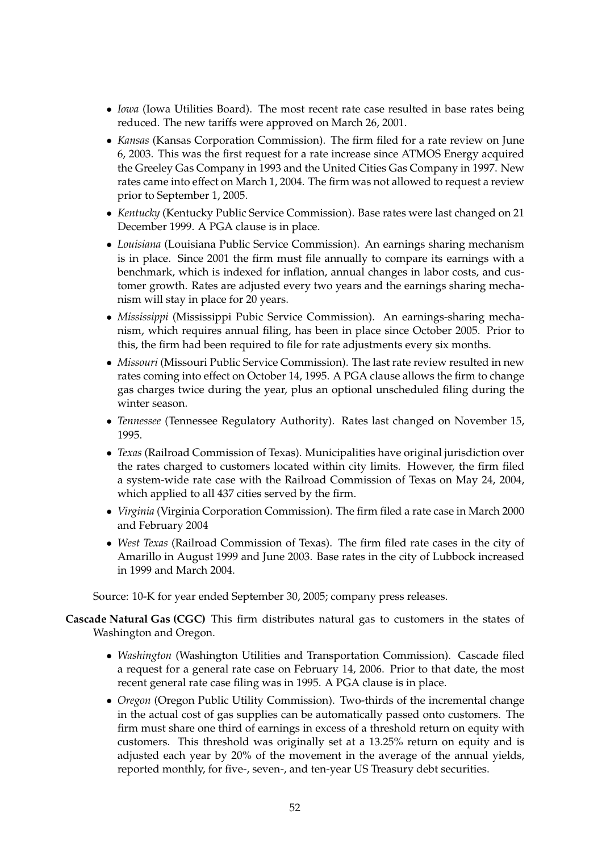- *Iowa* (Iowa Utilities Board). The most recent rate case resulted in base rates being reduced. The new tariffs were approved on March 26, 2001.
- *Kansas* (Kansas Corporation Commission). The firm filed for a rate review on June 6, 2003. This was the first request for a rate increase since ATMOS Energy acquired the Greeley Gas Company in 1993 and the United Cities Gas Company in 1997. New rates came into effect on March 1, 2004. The firm was not allowed to request a review prior to September 1, 2005.
- *Kentucky* (Kentucky Public Service Commission). Base rates were last changed on 21 December 1999. A PGA clause is in place.
- *Louisiana* (Louisiana Public Service Commission). An earnings sharing mechanism is in place. Since 2001 the firm must file annually to compare its earnings with a benchmark, which is indexed for inflation, annual changes in labor costs, and customer growth. Rates are adjusted every two years and the earnings sharing mechanism will stay in place for 20 years.
- *Mississippi* (Mississippi Pubic Service Commission). An earnings-sharing mechanism, which requires annual filing, has been in place since October 2005. Prior to this, the firm had been required to file for rate adjustments every six months.
- *Missouri* (Missouri Public Service Commission). The last rate review resulted in new rates coming into effect on October 14, 1995. A PGA clause allows the firm to change gas charges twice during the year, plus an optional unscheduled filing during the winter season.
- *Tennessee* (Tennessee Regulatory Authority). Rates last changed on November 15, 1995.
- *Texas* (Railroad Commission of Texas). Municipalities have original jurisdiction over the rates charged to customers located within city limits. However, the firm filed a system-wide rate case with the Railroad Commission of Texas on May 24, 2004, which applied to all 437 cities served by the firm.
- *Virginia* (Virginia Corporation Commission). The firm filed a rate case in March 2000 and February 2004
- *West Texas* (Railroad Commission of Texas). The firm filed rate cases in the city of Amarillo in August 1999 and June 2003. Base rates in the city of Lubbock increased in 1999 and March 2004.

Source: 10-K for year ended September 30, 2005; company press releases.

**Cascade Natural Gas (CGC)** This firm distributes natural gas to customers in the states of Washington and Oregon.

- *Washington* (Washington Utilities and Transportation Commission). Cascade filed a request for a general rate case on February 14, 2006. Prior to that date, the most recent general rate case filing was in 1995. A PGA clause is in place.
- *Oregon* (Oregon Public Utility Commission). Two-thirds of the incremental change in the actual cost of gas supplies can be automatically passed onto customers. The firm must share one third of earnings in excess of a threshold return on equity with customers. This threshold was originally set at a 13.25% return on equity and is adjusted each year by 20% of the movement in the average of the annual yields, reported monthly, for five-, seven-, and ten-year US Treasury debt securities.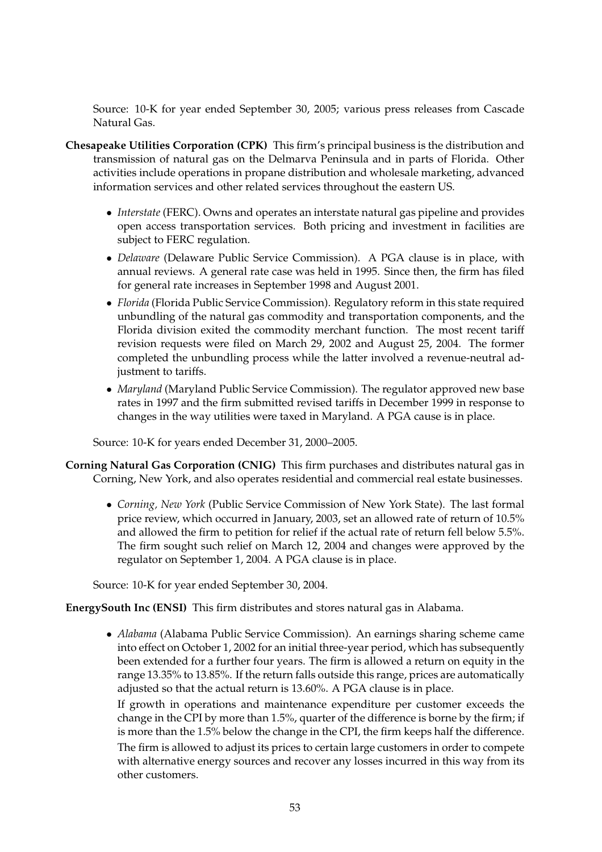Source: 10-K for year ended September 30, 2005; various press releases from Cascade Natural Gas.

- **Chesapeake Utilities Corporation (CPK)** This firm's principal business is the distribution and transmission of natural gas on the Delmarva Peninsula and in parts of Florida. Other activities include operations in propane distribution and wholesale marketing, advanced information services and other related services throughout the eastern US.
	- *Interstate* (FERC). Owns and operates an interstate natural gas pipeline and provides open access transportation services. Both pricing and investment in facilities are subject to FERC regulation.
	- *Delaware* (Delaware Public Service Commission). A PGA clause is in place, with annual reviews. A general rate case was held in 1995. Since then, the firm has filed for general rate increases in September 1998 and August 2001.
	- *Florida* (Florida Public Service Commission). Regulatory reform in this state required unbundling of the natural gas commodity and transportation components, and the Florida division exited the commodity merchant function. The most recent tariff revision requests were filed on March 29, 2002 and August 25, 2004. The former completed the unbundling process while the latter involved a revenue-neutral adjustment to tariffs.
	- *Maryland* (Maryland Public Service Commission). The regulator approved new base rates in 1997 and the firm submitted revised tariffs in December 1999 in response to changes in the way utilities were taxed in Maryland. A PGA cause is in place.

Source: 10-K for years ended December 31, 2000–2005.

**Corning Natural Gas Corporation (CNIG)** This firm purchases and distributes natural gas in Corning, New York, and also operates residential and commercial real estate businesses.

• *Corning, New York* (Public Service Commission of New York State). The last formal price review, which occurred in January, 2003, set an allowed rate of return of 10.5% and allowed the firm to petition for relief if the actual rate of return fell below 5.5%. The firm sought such relief on March 12, 2004 and changes were approved by the regulator on September 1, 2004. A PGA clause is in place.

Source: 10-K for year ended September 30, 2004.

**EnergySouth Inc (ENSI)** This firm distributes and stores natural gas in Alabama.

• *Alabama* (Alabama Public Service Commission). An earnings sharing scheme came into effect on October 1, 2002 for an initial three-year period, which has subsequently been extended for a further four years. The firm is allowed a return on equity in the range 13.35% to 13.85%. If the return falls outside this range, prices are automatically adjusted so that the actual return is 13.60%. A PGA clause is in place. If growth in operations and maintenance expenditure per customer exceeds the

change in the CPI by more than 1.5%, quarter of the difference is borne by the firm; if is more than the 1.5% below the change in the CPI, the firm keeps half the difference. The firm is allowed to adjust its prices to certain large customers in order to compete with alternative energy sources and recover any losses incurred in this way from its other customers.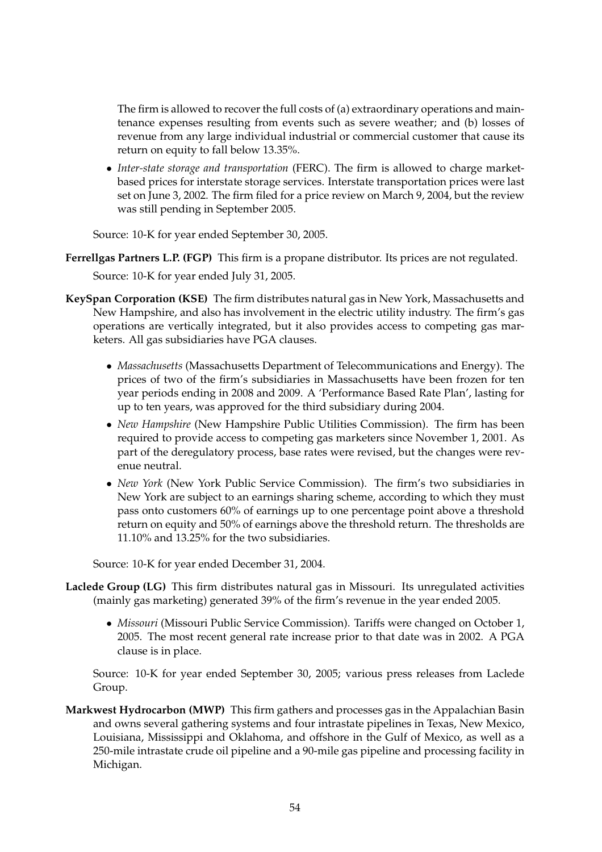The firm is allowed to recover the full costs of (a) extraordinary operations and maintenance expenses resulting from events such as severe weather; and (b) losses of revenue from any large individual industrial or commercial customer that cause its return on equity to fall below 13.35%.

• *Inter-state storage and transportation* (FERC). The firm is allowed to charge marketbased prices for interstate storage services. Interstate transportation prices were last set on June 3, 2002. The firm filed for a price review on March 9, 2004, but the review was still pending in September 2005.

Source: 10-K for year ended September 30, 2005.

**Ferrellgas Partners L.P. (FGP)** This firm is a propane distributor. Its prices are not regulated.

Source: 10-K for year ended July 31, 2005.

- **KeySpan Corporation (KSE)** The firm distributes natural gas in New York, Massachusetts and New Hampshire, and also has involvement in the electric utility industry. The firm's gas operations are vertically integrated, but it also provides access to competing gas marketers. All gas subsidiaries have PGA clauses.
	- *Massachusetts* (Massachusetts Department of Telecommunications and Energy). The prices of two of the firm's subsidiaries in Massachusetts have been frozen for ten year periods ending in 2008 and 2009. A 'Performance Based Rate Plan', lasting for up to ten years, was approved for the third subsidiary during 2004.
	- *New Hampshire* (New Hampshire Public Utilities Commission). The firm has been required to provide access to competing gas marketers since November 1, 2001. As part of the deregulatory process, base rates were revised, but the changes were revenue neutral.
	- *New York* (New York Public Service Commission). The firm's two subsidiaries in New York are subject to an earnings sharing scheme, according to which they must pass onto customers 60% of earnings up to one percentage point above a threshold return on equity and 50% of earnings above the threshold return. The thresholds are 11.10% and 13.25% for the two subsidiaries.

Source: 10-K for year ended December 31, 2004.

- **Laclede Group (LG)** This firm distributes natural gas in Missouri. Its unregulated activities (mainly gas marketing) generated 39% of the firm's revenue in the year ended 2005.
	- *Missouri* (Missouri Public Service Commission). Tariffs were changed on October 1, 2005. The most recent general rate increase prior to that date was in 2002. A PGA clause is in place.

Source: 10-K for year ended September 30, 2005; various press releases from Laclede Group.

**Markwest Hydrocarbon (MWP)** This firm gathers and processes gas in the Appalachian Basin and owns several gathering systems and four intrastate pipelines in Texas, New Mexico, Louisiana, Mississippi and Oklahoma, and offshore in the Gulf of Mexico, as well as a 250-mile intrastate crude oil pipeline and a 90-mile gas pipeline and processing facility in Michigan.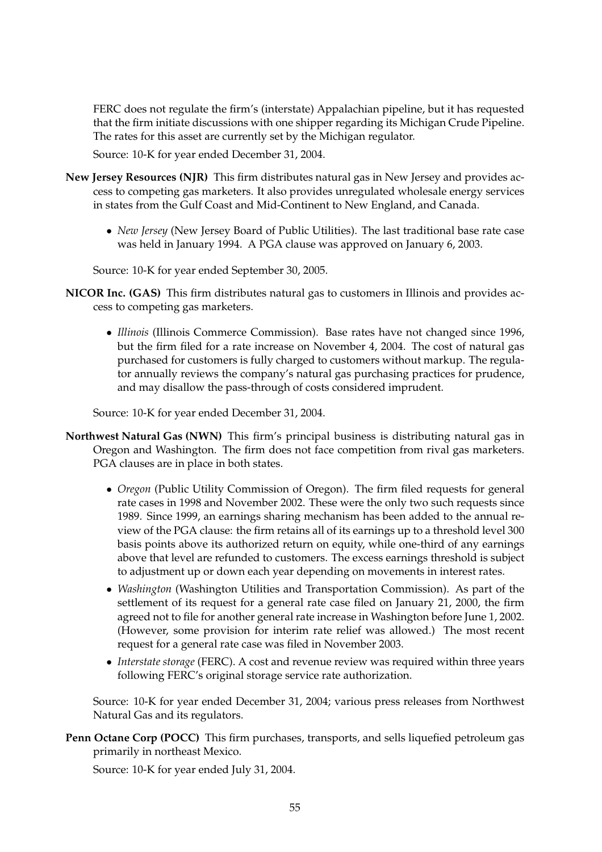FERC does not regulate the firm's (interstate) Appalachian pipeline, but it has requested that the firm initiate discussions with one shipper regarding its Michigan Crude Pipeline. The rates for this asset are currently set by the Michigan regulator.

Source: 10-K for year ended December 31, 2004.

- **New Jersey Resources (NJR)** This firm distributes natural gas in New Jersey and provides access to competing gas marketers. It also provides unregulated wholesale energy services in states from the Gulf Coast and Mid-Continent to New England, and Canada.
	- *New Jersey* (New Jersey Board of Public Utilities). The last traditional base rate case was held in January 1994. A PGA clause was approved on January 6, 2003.

Source: 10-K for year ended September 30, 2005.

- **NICOR Inc. (GAS)** This firm distributes natural gas to customers in Illinois and provides access to competing gas marketers.
	- *Illinois* (Illinois Commerce Commission). Base rates have not changed since 1996, but the firm filed for a rate increase on November 4, 2004. The cost of natural gas purchased for customers is fully charged to customers without markup. The regulator annually reviews the company's natural gas purchasing practices for prudence, and may disallow the pass-through of costs considered imprudent.

Source: 10-K for year ended December 31, 2004.

- **Northwest Natural Gas (NWN)** This firm's principal business is distributing natural gas in Oregon and Washington. The firm does not face competition from rival gas marketers. PGA clauses are in place in both states.
	- *Oregon* (Public Utility Commission of Oregon). The firm filed requests for general rate cases in 1998 and November 2002. These were the only two such requests since 1989. Since 1999, an earnings sharing mechanism has been added to the annual review of the PGA clause: the firm retains all of its earnings up to a threshold level 300 basis points above its authorized return on equity, while one-third of any earnings above that level are refunded to customers. The excess earnings threshold is subject to adjustment up or down each year depending on movements in interest rates.
	- *Washington* (Washington Utilities and Transportation Commission). As part of the settlement of its request for a general rate case filed on January 21, 2000, the firm agreed not to file for another general rate increase in Washington before June 1, 2002. (However, some provision for interim rate relief was allowed.) The most recent request for a general rate case was filed in November 2003.
	- *Interstate storage* (FERC). A cost and revenue review was required within three years following FERC's original storage service rate authorization.

Source: 10-K for year ended December 31, 2004; various press releases from Northwest Natural Gas and its regulators.

**Penn Octane Corp (POCC)** This firm purchases, transports, and sells liquefied petroleum gas primarily in northeast Mexico.

Source: 10-K for year ended July 31, 2004.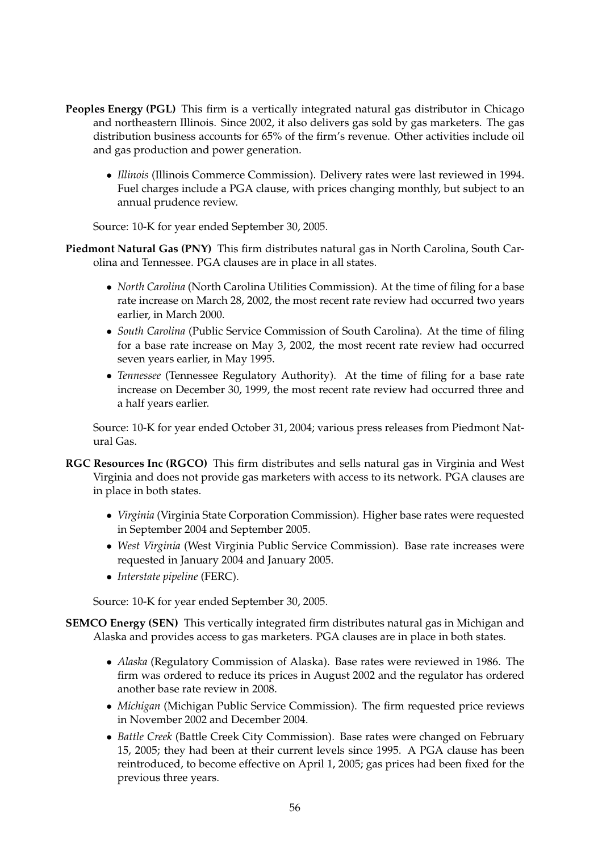- **Peoples Energy (PGL)** This firm is a vertically integrated natural gas distributor in Chicago and northeastern Illinois. Since 2002, it also delivers gas sold by gas marketers. The gas distribution business accounts for 65% of the firm's revenue. Other activities include oil and gas production and power generation.
	- *Illinois* (Illinois Commerce Commission). Delivery rates were last reviewed in 1994. Fuel charges include a PGA clause, with prices changing monthly, but subject to an annual prudence review.

Source: 10-K for year ended September 30, 2005.

**Piedmont Natural Gas (PNY)** This firm distributes natural gas in North Carolina, South Carolina and Tennessee. PGA clauses are in place in all states.

- *North Carolina* (North Carolina Utilities Commission). At the time of filing for a base rate increase on March 28, 2002, the most recent rate review had occurred two years earlier, in March 2000.
- *South Carolina* (Public Service Commission of South Carolina). At the time of filing for a base rate increase on May 3, 2002, the most recent rate review had occurred seven years earlier, in May 1995.
- *Tennessee* (Tennessee Regulatory Authority). At the time of filing for a base rate increase on December 30, 1999, the most recent rate review had occurred three and a half years earlier.

Source: 10-K for year ended October 31, 2004; various press releases from Piedmont Natural Gas.

- **RGC Resources Inc (RGCO)** This firm distributes and sells natural gas in Virginia and West Virginia and does not provide gas marketers with access to its network. PGA clauses are in place in both states.
	- *Virginia* (Virginia State Corporation Commission). Higher base rates were requested in September 2004 and September 2005.
	- *West Virginia* (West Virginia Public Service Commission). Base rate increases were requested in January 2004 and January 2005.
	- *Interstate pipeline* (FERC).

Source: 10-K for year ended September 30, 2005.

- **SEMCO Energy (SEN)** This vertically integrated firm distributes natural gas in Michigan and Alaska and provides access to gas marketers. PGA clauses are in place in both states.
	- *Alaska* (Regulatory Commission of Alaska). Base rates were reviewed in 1986. The firm was ordered to reduce its prices in August 2002 and the regulator has ordered another base rate review in 2008.
	- *Michigan* (Michigan Public Service Commission). The firm requested price reviews in November 2002 and December 2004.
	- *Battle Creek* (Battle Creek City Commission). Base rates were changed on February 15, 2005; they had been at their current levels since 1995. A PGA clause has been reintroduced, to become effective on April 1, 2005; gas prices had been fixed for the previous three years.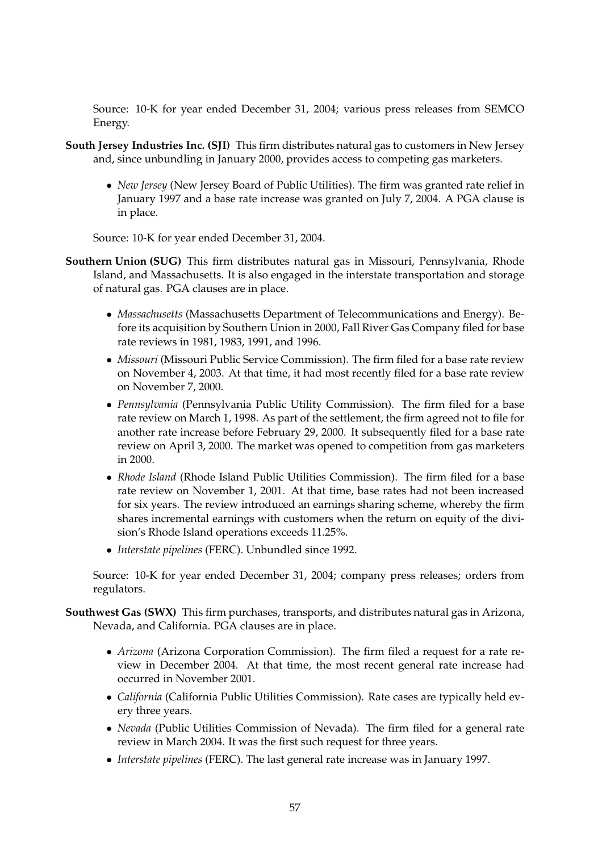Source: 10-K for year ended December 31, 2004; various press releases from SEMCO Energy.

- **South Jersey Industries Inc. (SJI)** This firm distributes natural gas to customers in New Jersey and, since unbundling in January 2000, provides access to competing gas marketers.
	- *New Jersey* (New Jersey Board of Public Utilities). The firm was granted rate relief in January 1997 and a base rate increase was granted on July 7, 2004. A PGA clause is in place.

Source: 10-K for year ended December 31, 2004.

- **Southern Union (SUG)** This firm distributes natural gas in Missouri, Pennsylvania, Rhode Island, and Massachusetts. It is also engaged in the interstate transportation and storage of natural gas. PGA clauses are in place.
	- *Massachusetts* (Massachusetts Department of Telecommunications and Energy). Before its acquisition by Southern Union in 2000, Fall River Gas Company filed for base rate reviews in 1981, 1983, 1991, and 1996.
	- *Missouri* (Missouri Public Service Commission). The firm filed for a base rate review on November 4, 2003. At that time, it had most recently filed for a base rate review on November 7, 2000.
	- *Pennsylvania* (Pennsylvania Public Utility Commission). The firm filed for a base rate review on March 1, 1998. As part of the settlement, the firm agreed not to file for another rate increase before February 29, 2000. It subsequently filed for a base rate review on April 3, 2000. The market was opened to competition from gas marketers in 2000.
	- *Rhode Island* (Rhode Island Public Utilities Commission). The firm filed for a base rate review on November 1, 2001. At that time, base rates had not been increased for six years. The review introduced an earnings sharing scheme, whereby the firm shares incremental earnings with customers when the return on equity of the division's Rhode Island operations exceeds 11.25%.
	- *Interstate pipelines* (FERC). Unbundled since 1992.

Source: 10-K for year ended December 31, 2004; company press releases; orders from regulators.

- **Southwest Gas (SWX)** This firm purchases, transports, and distributes natural gas in Arizona, Nevada, and California. PGA clauses are in place.
	- *Arizona* (Arizona Corporation Commission). The firm filed a request for a rate review in December 2004. At that time, the most recent general rate increase had occurred in November 2001.
	- *California* (California Public Utilities Commission). Rate cases are typically held every three years.
	- *Nevada* (Public Utilities Commission of Nevada). The firm filed for a general rate review in March 2004. It was the first such request for three years.
	- *Interstate pipelines* (FERC). The last general rate increase was in January 1997.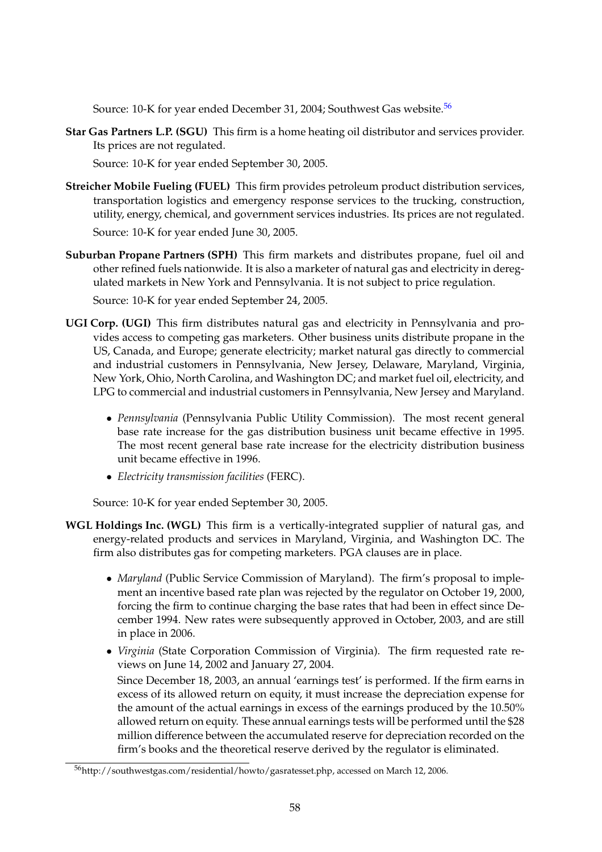Source: 10-K for year ended December 31, 2004; Southwest Gas website.<sup>[56](#page-59-0)</sup>

**Star Gas Partners L.P. (SGU)** This firm is a home heating oil distributor and services provider. Its prices are not regulated.

Source: 10-K for year ended September 30, 2005.

- **Streicher Mobile Fueling (FUEL)** This firm provides petroleum product distribution services, transportation logistics and emergency response services to the trucking, construction, utility, energy, chemical, and government services industries. Its prices are not regulated. Source: 10-K for year ended June 30, 2005.
- **Suburban Propane Partners (SPH)** This firm markets and distributes propane, fuel oil and other refined fuels nationwide. It is also a marketer of natural gas and electricity in deregulated markets in New York and Pennsylvania. It is not subject to price regulation.

Source: 10-K for year ended September 24, 2005.

- **UGI Corp. (UGI)** This firm distributes natural gas and electricity in Pennsylvania and provides access to competing gas marketers. Other business units distribute propane in the US, Canada, and Europe; generate electricity; market natural gas directly to commercial and industrial customers in Pennsylvania, New Jersey, Delaware, Maryland, Virginia, New York, Ohio, North Carolina, and Washington DC; and market fuel oil, electricity, and LPG to commercial and industrial customers in Pennsylvania, New Jersey and Maryland.
	- *Pennsylvania* (Pennsylvania Public Utility Commission). The most recent general base rate increase for the gas distribution business unit became effective in 1995. The most recent general base rate increase for the electricity distribution business unit became effective in 1996.
	- *Electricity transmission facilities* (FERC).

Source: 10-K for year ended September 30, 2005.

- **WGL Holdings Inc. (WGL)** This firm is a vertically-integrated supplier of natural gas, and energy-related products and services in Maryland, Virginia, and Washington DC. The firm also distributes gas for competing marketers. PGA clauses are in place.
	- *Maryland* (Public Service Commission of Maryland). The firm's proposal to implement an incentive based rate plan was rejected by the regulator on October 19, 2000, forcing the firm to continue charging the base rates that had been in effect since December 1994. New rates were subsequently approved in October, 2003, and are still in place in 2006.
	- *Virginia* (State Corporation Commission of Virginia). The firm requested rate reviews on June 14, 2002 and January 27, 2004.

Since December 18, 2003, an annual 'earnings test' is performed. If the firm earns in excess of its allowed return on equity, it must increase the depreciation expense for the amount of the actual earnings in excess of the earnings produced by the 10.50% allowed return on equity. These annual earnings tests will be performed until the \$28 million difference between the accumulated reserve for depreciation recorded on the firm's books and the theoretical reserve derived by the regulator is eliminated.

<span id="page-59-0"></span><sup>56</sup>http://southwestgas.com/residential/howto/gasratesset.php, accessed on March 12, 2006.